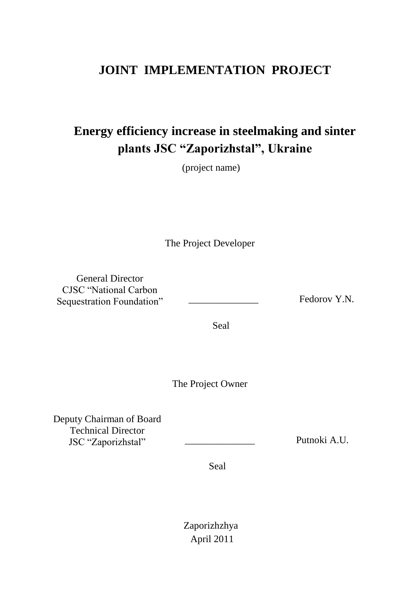# **JOINT IMPLEMENTATION PROJECT**

# **Energy efficiency increase in steelmaking and sinter plants JSC "Zaporizhstal", Ukraine**

(project name)

The Project Developer

General Director CJSC "National Carbon Sequestration Foundation" \_\_\_\_\_\_\_\_\_\_\_\_\_\_\_\_\_ Fedorov Y.N.

Seal

The Project Owner

Deputy Chairman of Board Technical Director JSC "Zaporizhstal" \_\_\_\_\_\_\_\_\_\_\_\_\_\_ Putnoki A.U.

Seal

Zaporizhzhya April 2011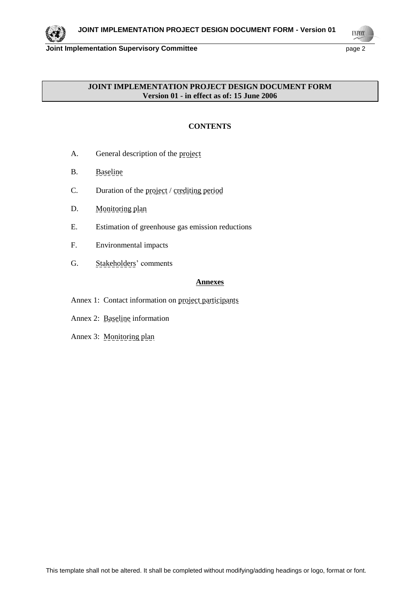

**UNFCCO** 

#### **JOINT IMPLEMENTATION PROJECT DESIGN DOCUMENT FORM Version 01 - in effect as of: 15 June 2006**

# **CONTENTS**

- A. General description of the project
- B. Baseline
- C. Duration of the project / crediting period
- D. Monitoring plan
- E. Estimation of greenhouse gas emission reductions
- F. Environmental impacts
- G. Stakeholders' comments

#### **Annexes**

- Annex 1: Contact information on project participants
- Annex 2: Baseline information
- Annex 3: Monitoring plan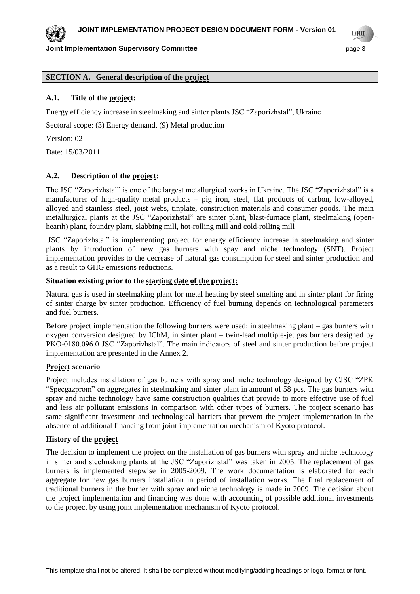#### **Joint Implementation Supervisory Committee Access 2008 2012 12:33 April 2013**

**UNFOCO** 

#### **SECTION A. General description of the project**

#### **A.1. Title of the project:**

Energy efficiency increase in steelmaking and sinter plants JSC "Zaporizhstal", Ukraine

Sectoral scope: (3) Energy demand, (9) Metal production

Version: 02

Date: 15/03/2011

#### **A.2. Description of the project:**

The JSC "Zaporizhstal" is one of the largest metallurgical works in Ukraine. The JSC "Zaporizhstal" is a manufacturer of high-quality metal products – pig iron, steel, flat products of carbon, low-alloyed, alloyed and stainless steel, joist webs, tinplate, construction materials and consumer goods. The main metallurgical plants at the JSC "Zaporizhstal" are sinter plant, blast-furnace plant, steelmaking (openhearth) plant, foundry plant, slabbing mill, hot-rolling mill and cold-rolling mill

JSC "Zaporizhstal" is implementing project for energy efficiency increase in steelmaking and sinter plants by introduction of new gas burners with spay and niche technology (SNT). Project implementation provides to the decrease of natural gas consumption for steel and sinter production and as a result to GHG emissions reductions.

#### **Situation existing prior to the starting date of the project:**

Natural gas is used in steelmaking plant for metal heating by steel smelting and in sinter plant for firing of sinter charge by sinter production. Efficiency of fuel burning depends on technological parameters and fuel burners.

Before project implementation the following burners were used: in steelmaking plant – gas burners with oxygen conversion designed by IChM, in sinter plant – twin-lead multiple-jet gas burners designed by PKO-0180.096.0 JSC "Zaporizhstal". The main indicators of steel and sinter production before project implementation are presented in the Annex 2.

#### **Project scenario**

Project includes installation of gas burners with spray and niche technology designed by CJSC "ZPK "Specgazprom" on aggregates in steelmaking and sinter plant in amount of 58 pcs. The gas burners with spray and niche technology have same construction qualities that provide to more effective use of fuel and less air pollutant emissions in comparison with other types of burners. The project scenario has same significant investment and technological barriers that prevent the project implementation in the absence of additional financing from joint implementation mechanism of Kyoto protocol.

#### **History of the project**

The decision to implement the project on the installation of gas burners with spray and niche technology in sinter and steelmaking plants at the JSC "Zaporizhstal" was taken in 2005. The replacement of gas burners is implemented stepwise in 2005-2009. The work documentation is elaborated for each aggregate for new gas burners installation in period of installation works. The final replacement of traditional burners in the burner with spray and niche technology is made in 2009. The decision about the project implementation and financing was done with accounting of possible additional investments to the project by using joint implementation mechanism of Kyoto protocol.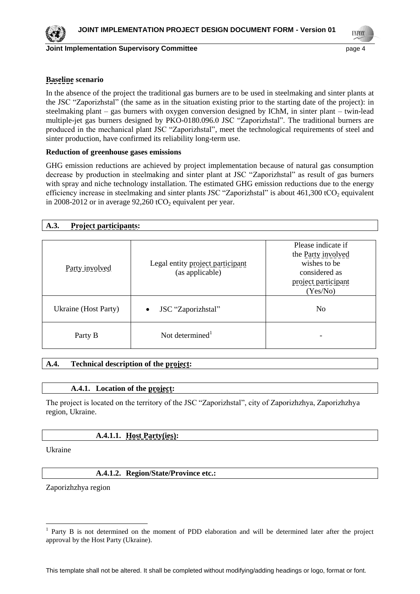

**Joint Implementation Supervisory Committee Figure 10 and 10 and 10 and 10 and 10 and 10 and 10 and 10 and 10 and 10 and 10 and 10 and 10 and 10 and 10 and 10 and 10 and 10 and 10 and 10 and 10 and 10 and 10 and 10 and** 

**INFOR** 

## **Baseline scenario**

In the absence of the project the traditional gas burners are to be used in steelmaking and sinter plants at the JSC "Zaporizhstal" (the same as in the situation existing prior to the starting date of the project): in steelmaking plant – gas burners with oxygen conversion designed by IChM, in sinter plant – twin-lead multiple-jet gas burners designed by PKO-0180.096.0 JSC "Zaporizhstal". The traditional burners are produced in the mechanical plant JSC "Zaporizhstal", meet the technological requirements of steel and sinter production, have confirmed its reliability long-term use.

#### **Reduction of greenhouse gases emissions**

GHG emission reductions are achieved by project implementation because of natural gas consumption decrease by production in steelmaking and sinter plant at JSC "Zaporizhstal" as result of gas burners with spray and niche technology installation. The estimated GHG emission reductions due to the energy efficiency increase in steelmaking and sinter plants JSC "Zaporizhstal" is about 461,300 tCO<sub>2</sub> equivalent in 2008-2012 or in average  $92,260$  tCO<sub>2</sub> equivalent per year.

|  | <b>Project participants:</b> |
|--|------------------------------|
|--|------------------------------|

| Party involved       | Legal entity project participant<br>(as applicable) | Please indicate if<br>the Party involved<br>wishes to be<br>considered as<br>project participant<br>(Yes/No) |
|----------------------|-----------------------------------------------------|--------------------------------------------------------------------------------------------------------------|
| Ukraine (Host Party) | JSC "Zaporizhstal"<br>$\bullet$                     | N <sub>0</sub>                                                                                               |
| Party B              | Not determined <sup>1</sup>                         |                                                                                                              |

#### **A.4. Technical description of the project:**

# **A.4.1. Location of the project:**

The project is located on the territory of the JSC "Zaporizhstal", city of Zaporizhzhya, Zaporizhzhya region, Ukraine.

# **A.4.1.1. Host Party(ies):**

Ukraine

 $\overline{a}$ 

#### **A.4.1.2. Region/State/Province etc.:**

Zaporizhzhya region

<sup>1</sup> Party B is not determined on the moment of PDD elaboration and will be determined later after the project approval by the Host Party (Ukraine).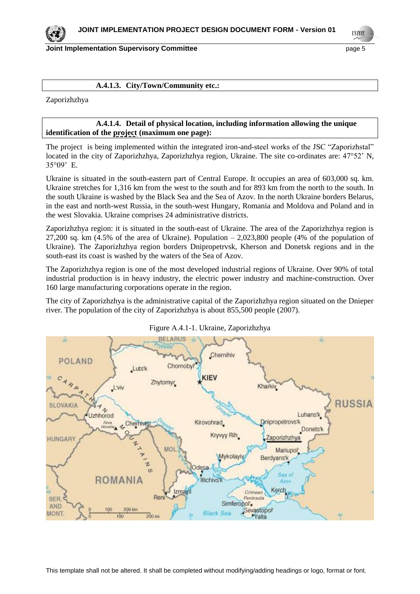

**Joint Implementation Supervisory Committee Access 2008 12 and 2009 12 and 2009 12 and 2009 12 and 2009 13 and 2009 13 and 2009 13 and 2009 13 and 2009 13 and 2009 13 and 2009 13 and 2009 13 and 2009 13 and 2009 13 and 200** 

#### **A.4.1.3. City/Town/Community etc.:**

Zaporizhzhya

#### **A.4.1.4. Detail of physical location, including information allowing the unique identification of the project (maximum one page):**

The project is being implemented within the integrated iron-and-steel works of the JSC "Zaporizhstal" located in the city of Zaporizhzhya, Zaporizhzhya region, Ukraine. The site co-ordinates are: 47°52' N, 35°09' E.

Ukraine is situated in the south-eastern part of Central Europe. It occupies an area of 603,000 sq. km. Ukraine stretches for 1,316 km from the west to the south and for 893 km from the north to the south. In the south Ukraine is washed by the Black Sea and the Sea of Azov. In the north Ukraine borders Belarus, in the east and north-west Russia, in the south-west Hungary, Romania and Moldova and Poland and in the west Slovakia. Ukraine comprises 24 administrative districts.

Zaporizhzhya region: it is situated in the south-east of Ukraine. The area of the Zaporizhzhya region is 27,200 sq. km  $(4.5\%$  of the area of Ukraine). Population  $-2,023,800$  people  $(4\%$  of the population of Ukraine). The Zaporizhzhya region borders Dnipropetrvsk, Kherson and Donetsk regions and in the south-east its coast is washed by the waters of the Sea of Azov.

The Zaporizhzhya region is one of the most developed industrial regions of Ukraine. Over 90% of total industrial production is in heavy industry, the electric power industry and machine-construction. Over 160 large manufacturing corporations operate in the region.

The city of Zaporizhzhya is the administrative capital of the Zaporizhzhya region situated on the Dnieper river. The population of the city of Zaporizhzhya is about 855,500 people (2007).



Figure А.4.1-1. Ukraine, Zaporizhzhya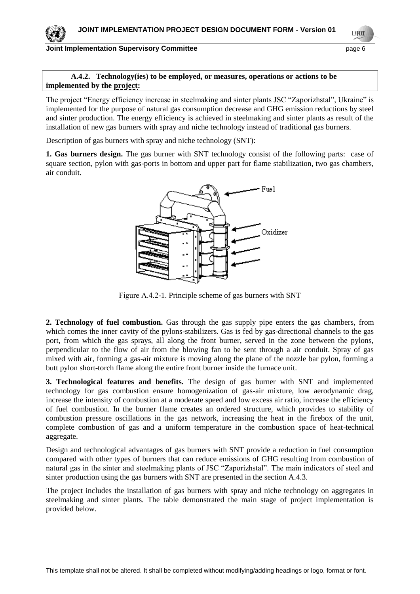#### **Joint Implementation Supervisory Committee Access 2008 12 and 2009 12 and 2009 12 and 2009 12 and 2009 12 and 2009 12 and 2009 12 and 2009 12 and 2009 12 and 2009 12 and 2009 12 and 2009 12 and 2009 12 and 2009 12 and 200**

**UNFOCO** 

#### **A.4.2. Technology(ies) to be employed, or measures, operations or actions to be implemented by the project:**

The project "Energy efficiency increase in steelmaking and sinter plants JSC "Zaporizhstal", Ukraine" is implemented for the purpose of natural gas consumption decrease and GHG emission reductions by steel and sinter production. The energy efficiency is achieved in steelmaking and sinter plants as result of the installation of new gas burners with spray and niche technology instead of traditional gas burners.

Description of gas burners with spray and niche technology (SNT):

**1. Gas burners design.** The gas burner with SNT technology consist of the following parts: case of square section, pylon with gas-ports in bottom and upper part for flame stabilization, two gas chambers, air conduit.



Figure А.4.2-1. Principle scheme of gas burners with SNT

**2. Technology of fuel combustion.** Gas through the gas supply pipe enters the gas chambers, from which comes the inner cavity of the pylons-stabilizers. Gas is fed by gas-directional channels to the gas port, from which the gas sprays, all along the front burner, served in the zone between the pylons, perpendicular to the flow of air from the blowing fan to be sent through a air conduit. Spray of gas mixed with air, forming a gas-air mixture is moving along the plane of the nozzle bar pylon, forming a butt pylon short-torch flame along the entire front burner inside the furnace unit.

**3. Technological features and benefits.** The design of gas burner with SNT and implemented technology for gas combustion ensure homogenization of gas-air mixture, low aerodynamic drag, increase the intensity of combustion at a moderate speed and low excess air ratio, increase the efficiency of fuel combustion. In the burner flame creates an ordered structure, which provides to stability of combustion pressure oscillations in the gas network, increasing the heat in the firebox of the unit, complete combustion of gas and a uniform temperature in the combustion space of heat-technical aggregate.

Design and technological advantages of gas burners with SNT provide a reduction in fuel consumption compared with other types of burners that can reduce emissions of GHG resulting from combustion of natural gas in the sinter and steelmaking plants of JSC "Zaporizhstal". The main indicators of steel and sinter production using the gas burners with SNT are presented in the section A.4.3.

The project includes the installation of gas burners with spray and niche technology on aggregates in steelmaking and sinter plants. The table demonstrated the main stage of project implementation is provided below.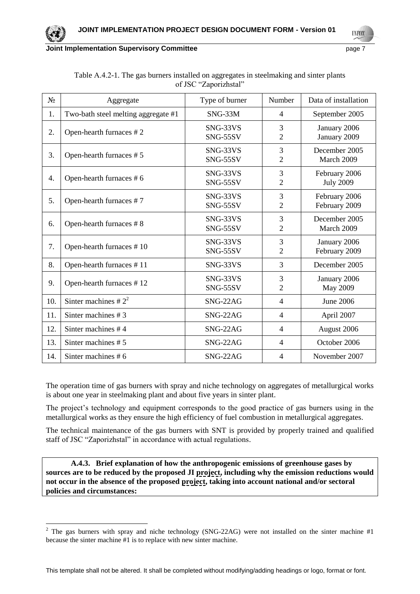

**UNFCO** 

| $N_2$ | Aggregate                           | Type of burner       | Number              | Data of installation              |
|-------|-------------------------------------|----------------------|---------------------|-----------------------------------|
| 1.    | Two-bath steel melting aggregate #1 | SNG-33M              | $\overline{4}$      | September 2005                    |
| 2.    | Open-hearth furnaces #2             | SNG-33VS<br>SNG-55SV | 3<br>$\overline{2}$ | January 2006<br>January 2009      |
| 3.    | Open-hearth furnaces #5             | SNG-33VS<br>SNG-55SV | 3<br>$\overline{2}$ | December 2005<br>March 2009       |
| 4.    | Open-hearth furnaces #6             | SNG-33VS<br>SNG-55SV | 3<br>$\overline{2}$ | February 2006<br><b>July 2009</b> |
| 5.    | Open-hearth furnaces #7             | SNG-33VS<br>SNG-55SV | 3<br>$\overline{2}$ | February 2006<br>February 2009    |
| 6.    | Open-hearth furnaces #8             | SNG-33VS<br>SNG-55SV | 3<br>$\overline{2}$ | December 2005<br>March 2009       |
| 7.    | Open-hearth furnaces #10            | SNG-33VS<br>SNG-55SV | 3<br>$\overline{2}$ | January 2006<br>February 2009     |
| 8.    | Open-hearth furnaces #11            | SNG-33VS             | 3                   | December 2005                     |
| 9.    | Open-hearth furnaces #12            | SNG-33VS<br>SNG-55SV | 3<br>$\overline{2}$ | January 2006<br>May 2009          |
| 10.   | Sinter machines # $2^2$             | SNG-22AG             | $\overline{4}$      | <b>June 2006</b>                  |
| 11.   | Sinter machines #3                  | SNG-22AG             | $\overline{4}$      | April 2007                        |
| 12.   | Sinter machines #4                  | SNG-22AG             | $\overline{4}$      | August 2006                       |
| 13.   | Sinter machines $# 5$               | SNG-22AG             | $\overline{4}$      | October 2006                      |
| 14.   | Sinter machines #6                  | SNG-22AG             | $\overline{4}$      | November 2007                     |

| Table A.4.2-1. The gas burners installed on aggregates in steelmaking and sinter plants |  |  |  |  |  |  |  |  |  |  |
|-----------------------------------------------------------------------------------------|--|--|--|--|--|--|--|--|--|--|
| of JSC "Zaporizhstal"                                                                   |  |  |  |  |  |  |  |  |  |  |

The operation time of gas burners with spray and niche technology on aggregates of metallurgical works is about one year in steelmaking plant and about five years in sinter plant.

The project's technology and equipment corresponds to the good practice of gas burners using in the metallurgical works as they ensure the high efficiency of fuel combustion in metallurgical aggregates.

The technical maintenance of the gas burners with SNT is provided by properly trained and qualified staff of JSC "Zaporizhstal" in accordance with actual regulations.

**A.4.3. Brief explanation of how the anthropogenic emissions of greenhouse gases by sources are to be reduced by the proposed JI project, including why the emission reductions would**  not occur in the absence of the proposed project, taking into account national and/or sectoral **policies and circumstances:**

 $\overline{a}$ 

<sup>&</sup>lt;sup>2</sup> The gas burners with spray and niche technology (SNG-22AG) were not installed on the sinter machine #1 because the sinter machine #1 is to replace with new sinter machine.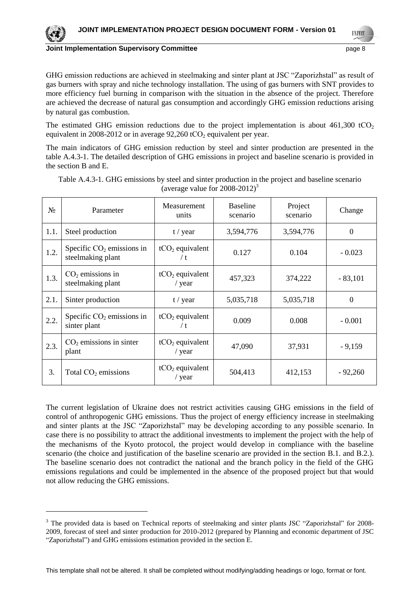

GHG emission reductions are achieved in steelmaking and sinter plant at JSC "Zaporizhstal" as result of gas burners with spray and niche technology installation. The using of gas burners with SNT provides to more efficiency fuel burning in comparison with the situation in the absence of the project. Therefore are achieved the decrease of natural gas consumption and accordingly GHG emission reductions arising by natural gas combustion.

The estimated GHG emission reductions due to the project implementation is about  $461,300$  tCO<sub>2</sub> equivalent in 2008-2012 or in average  $92,260$  tCO<sub>2</sub> equivalent per year.

The main indicators of GHG emission reduction by steel and sinter production are presented in the table A.4.3-1. The detailed description of GHG emissions in project and baseline scenario is provided in the section B and E.

Table А.4.3-1. GHG emissions by steel and sinter production in the project and baseline scenario (average value for  $2008-2012$ )<sup>3</sup>

| $N_2$ | Parameter                                        | Measurement<br>units          | <b>Baseline</b><br>scenario | Project<br>scenario | Change           |
|-------|--------------------------------------------------|-------------------------------|-----------------------------|---------------------|------------------|
| 1.1.  | Steel production                                 | t / year                      | 3,594,776                   | 3,594,776           | $\boldsymbol{0}$ |
| 1.2.  | Specific $CO2$ emissions in<br>steelmaking plant | $tCO2$ equivalent<br>/t       | 0.127                       | 0.104               | $-0.023$         |
| 1.3.  | $CO2$ emissions in<br>steelmaking plant          | $tCO2$ equivalent<br>/ $year$ | 457,323                     | 374,222             | $-83,101$        |
| 2.1.  | Sinter production                                | t / year                      | 5,035,718                   | 5,035,718           | $\Omega$         |
| 2.2.  | Specific $CO2$ emissions in<br>sinter plant      | $tCO2$ equivalent<br>/t       | 0.009                       | 0.008               | $-0.001$         |
| 2.3.  | $CO2$ emissions in sinter<br>plant               | $tCO2$ equivalent<br>/ $year$ | 47,090                      | 37,931              | $-9,159$         |
| 3.    | Total $CO2$ emissions                            | $tCO2$ equivalent<br>/ year   | 504,413                     | 412,153             | $-92,260$        |

The current legislation of Ukraine does not restrict activities causing GHG emissions in the field of control of anthropogenic GHG emissions. Thus the project of energy efficiency increase in steelmaking and sinter plants at the JSC "Zaporizhstal" may be developing according to any possible scenario. In case there is no possibility to attract the additional investments to implement the project with the help of the mechanisms of the Kyoto protocol, the project would develop in compliance with the baseline scenario (the choice and justification of the baseline scenario are provided in the section B.1. and В.2.). The baseline scenario does not contradict the national and the branch policy in the field of the GHG emissions regulations and could be implemented in the absence of the proposed project but that would not allow reducing the GHG emissions.

 $\overline{a}$ 

<sup>&</sup>lt;sup>3</sup> The provided data is based on Technical reports of steelmaking and sinter plants JSC "Zaporizhstal" for 2008-2009, forecast of steel and sinter production for 2010-2012 (prepared by Planning and economic department of JSC "Zaporizhstal") and GHG emissions estimation provided in the section E.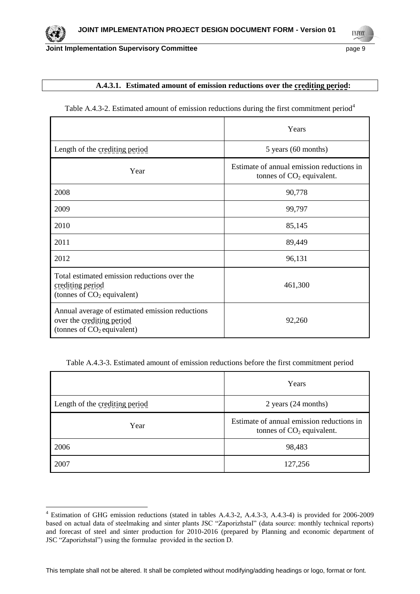**UNFCC** 

#### **A.4.3.1. Estimated amount of emission reductions over the crediting period:**

|                                                                                                              | Years                                                                    |
|--------------------------------------------------------------------------------------------------------------|--------------------------------------------------------------------------|
| Length of the crediting period                                                                               | 5 years (60 months)                                                      |
| Year                                                                                                         | Estimate of annual emission reductions in<br>tonnes of $CO2$ equivalent. |
| 2008                                                                                                         | 90,778                                                                   |
| 2009                                                                                                         | 99,797                                                                   |
| 2010                                                                                                         | 85,145                                                                   |
| 2011                                                                                                         | 89,449                                                                   |
| 2012                                                                                                         | 96,131                                                                   |
| Total estimated emission reductions over the<br>crediting period<br>(tonnes of $CO2$ equivalent)             | 461,300                                                                  |
| Annual average of estimated emission reductions<br>over the crediting period<br>(tonnes of $CO2$ equivalent) | 92,260                                                                   |

Table A.4.3-2. Estimated amount of emission reductions during the first commitment period<sup>4</sup>

Table А.4.3-3. Estimated amount of emission reductions before the first commitment period

|                                | Years                                                                    |
|--------------------------------|--------------------------------------------------------------------------|
| Length of the crediting period | 2 years (24 months)                                                      |
| Year                           | Estimate of annual emission reductions in<br>tonnes of $CO2$ equivalent. |
| 2006                           | 98,483                                                                   |
| 2007                           | 127,256                                                                  |

l

<sup>4</sup> Estimation of GHG emission reductions (stated in tables А.4.3-2, А.4.3-3, А.4.3-4) is provided for 2006-2009 based on actual data of steelmaking and sinter plants JSC "Zaporizhstal" (data source: monthly technical reports) and forecast of steel and sinter production for 2010-2016 (prepared by Planning and economic department of JSC "Zaporizhstal") using the formulae provided in the section D.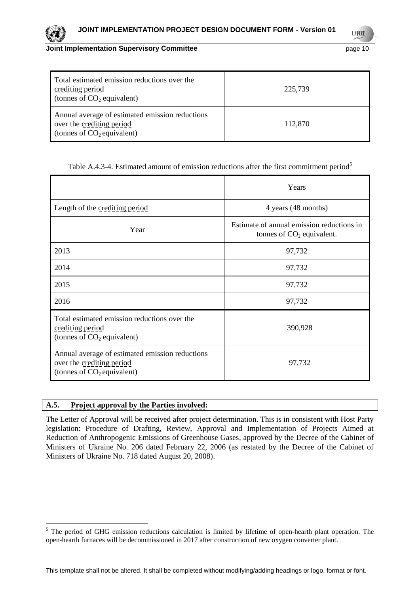| paye |  |
|------|--|
|      |  |

| Total estimated emission reductions over the<br>crediting period<br>(tonnes of $CO2$ equivalent)             | 225,739 |
|--------------------------------------------------------------------------------------------------------------|---------|
| Annual average of estimated emission reductions<br>over the crediting period<br>(tonnes of $CO2$ equivalent) | 112,870 |

| Table A.4.3-4. Estimated amount of emission reductions after the first commitment period <sup>5</sup> |  |  |  |  |  |  |  |
|-------------------------------------------------------------------------------------------------------|--|--|--|--|--|--|--|
|-------------------------------------------------------------------------------------------------------|--|--|--|--|--|--|--|

|                                                                                                              | Years                                                                    |
|--------------------------------------------------------------------------------------------------------------|--------------------------------------------------------------------------|
| Length of the crediting period                                                                               | 4 years (48 months)                                                      |
| Year                                                                                                         | Estimate of annual emission reductions in<br>tonnes of $CO2$ equivalent. |
| 2013                                                                                                         | 97,732                                                                   |
| 2014                                                                                                         | 97,732                                                                   |
| 2015                                                                                                         | 97,732                                                                   |
| 2016                                                                                                         | 97,732                                                                   |
| Total estimated emission reductions over the<br>crediting period<br>(tonnes of $CO2$ equivalent)             | 390,928                                                                  |
| Annual average of estimated emission reductions<br>over the crediting period<br>(tonnes of $CO2$ equivalent) | 97,732                                                                   |

# **A.5. Project approval by the Parties involved:**

 $\overline{a}$ 

The Letter of Approval will be received after project determination. This is in consistent with Host Party legislation: Procedure of Drafting, Review, Approval and Implementation of Projects Aimed at Reduction of Anthropogenic Emissions of Greenhouse Gases, approved by the Decree of the Cabinet of Ministers of Ukraine No. 206 dated February 22, 2006 (as restated by the Decree of the Cabinet of Ministers of Ukraine No. 718 dated August 20, 2008).



<sup>&</sup>lt;sup>5</sup> The period of GHG emission reductions calculation is limited by lifetime of open-hearth plant operation. The open-hearth furnaces will be decommissioned in 2017 after construction of new oxygen converter plant.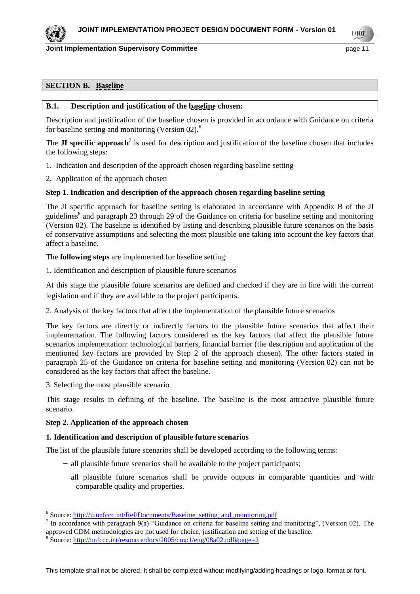**INFOR** 

#### **SECTION B. Baseline**

#### **B.1. Description and justification of the baseline chosen:**

Description and justification of the baseline chosen is provided in accordance with Guidance on criteria for baseline setting and monitoring (Version 02).<sup>6</sup>

The **JI specific approach**<sup>7</sup> is used for description and justification of the baseline chosen that includes the following steps:

- 1. Indication and description of the approach chosen regarding baseline setting
- 2. Application of the approach chosen

#### **Step 1. Indication and description of the approach chosen regarding baseline setting**

The JI specific approach for baseline setting is elaborated in accordance with Appendix B of the JI guidelines<sup>8</sup> and paragraph 23 through 29 of the Guidance on criteria for baseline setting and monitoring (Version 02). The baseline is identified by listing and describing plausible future scenarios on the basis of conservative assumptions and selecting the most plausible one taking into account the key factors that affect a baseline.

The **following steps** are implemented for baseline setting:

1. Identification and description of plausible future scenarios

At this stage the plausible future scenarios are defined and checked if they are in line with the current legislation and if they are available to the project participants.

2. Analysis of the key factors that affect the implementation of the plausible future scenarios

The key factors are directly or indirectly factors to the plausible future scenarios that affect their implementation. The following factors considered as the key factors that affect the plausible future scenarios implementation: technological barriers, financial barrier (the description and application of the mentioned key factors are provided by Step 2 of the approach chosen). The other factors stated in paragraph 25 of the Guidance on criteria for baseline setting and monitoring (Version 02) can not be considered as the key factors that affect the baseline.

3. Selecting the most plausible scenario

This stage results in defining of the baseline. The baseline is the most attractive plausible future scenario.

#### **Step 2. Application of the approach chosen**

#### **1. Identification and description of plausible future scenarios**

The list of the plausible future scenarios shall be developed according to the following terms:

- − all plausible future scenarios shall be available to the project participants;
- − all plausible future scenarios shall be provide outputs in comparable quantities and with comparable quality and properties.

<sup>&</sup>lt;sup>6</sup> Source: http://ji.unfccc.int/Ref/Documents/Baseline setting and monitoring.pdf

<sup>&</sup>lt;sup>7</sup> In accordance with paragraph 9(a) "Guidance on criteria for baseline setting and monitoring", (Version 02). The approved CDM methodologies are not used for choice, justification and setting of the baseline.

<sup>&</sup>lt;sup>8</sup>Source:<http://unfccc.int/resource/docs/2005/cmp1/eng/08a02.pdf#page=2>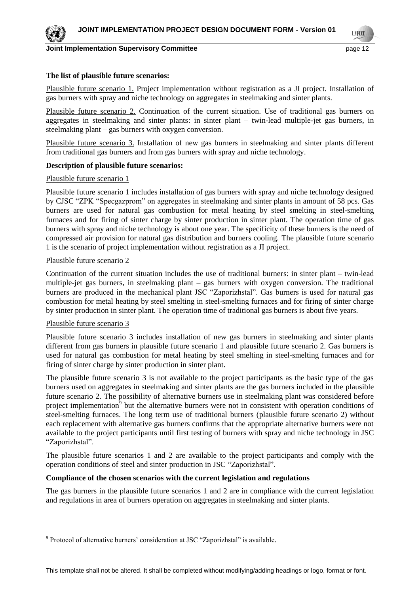

**INFOR** 

#### **The list of plausible future scenarios:**

Plausible future scenario 1. Project implementation without registration as a JI project. Installation of gas burners with spray and niche technology on aggregates in steelmaking and sinter plants.

Plausible future scenario 2. Continuation of the current situation. Use of traditional gas burners on aggregates in steelmaking and sinter plants: in sinter plant – twin-lead multiple-jet gas burners, in steelmaking plant – gas burners with oxygen conversion.

Plausible future scenario 3. Installation of new gas burners in steelmaking and sinter plants different from traditional gas burners and from gas burners with spray and niche technology.

#### **Description of plausible future scenarios:**

#### Plausible future scenario 1

Plausible future scenario 1 includes installation of gas burners with spray and niche technology designed by CJSC "ZPK "Specgazprom" on aggregates in steelmaking and sinter plants in amount of 58 pcs. Gas burners are used for natural gas combustion for metal heating by steel smelting in steel-smelting furnaces and for firing of sinter charge by sinter production in sinter plant. The operation time of gas burners with spray and niche technology is about one year. The specificity of these burners is the need of compressed air provision for natural gas distribution and burners cooling. The plausible future scenario 1 is the scenario of project implementation without registration as a JI project.

#### Plausible future scenario 2

Continuation of the current situation includes the use of traditional burners: in sinter plant – twin-lead multiple-jet gas burners, in steelmaking plant – gas burners with oxygen conversion. The traditional burners are produced in the mechanical plant JSC "Zaporizhstal". Gas burners is used for natural gas combustion for metal heating by steel smelting in steel-smelting furnaces and for firing of sinter charge by sinter production in sinter plant. The operation time of traditional gas burners is about five years.

#### Plausible future scenario 3

l

Plausible future scenario 3 includes installation of new gas burners in steelmaking and sinter plants different from gas burners in plausible future scenario 1 and plausible future scenario 2. Gas burners is used for natural gas combustion for metal heating by steel smelting in steel-smelting furnaces and for firing of sinter charge by sinter production in sinter plant.

The plausible future scenario 3 is not available to the project participants as the basic type of the gas burners used on aggregates in steelmaking and sinter plants are the gas burners included in the plausible future scenario 2. The possibility of alternative burners use in steelmaking plant was considered before project implementation<sup>9</sup> but the alternative burners were not in consistent with operation conditions of steel-smelting furnaces. The long term use of traditional burners (plausible future scenario 2) without each replacement with alternative gas burners confirms that the appropriate alternative burners were not available to the project participants until first testing of burners with spray and niche technology in JSC "Zaporizhstal".

The plausible future scenarios 1 and 2 are available to the project participants and comply with the operation conditions of steel and sinter production in JSC "Zaporizhstal".

#### **Compliance of the chosen scenarios with the current legislation and regulations**

The gas burners in the plausible future scenarios 1 and 2 are in compliance with the current legislation and regulations in area of burners operation on aggregates in steelmaking and sinter plants.

<sup>&</sup>lt;sup>9</sup> Protocol of alternative burners' consideration at JSC "Zaporizhstal" is available.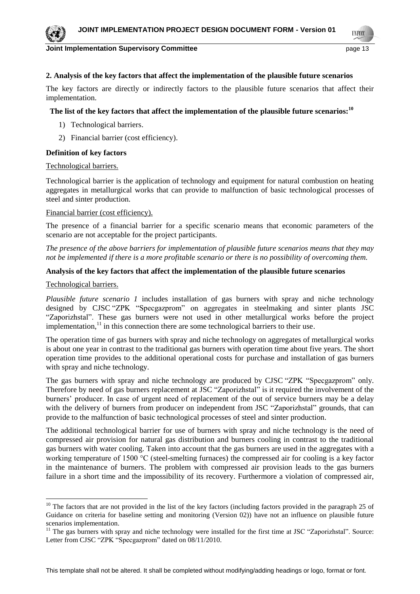

#### **Joint Implementation Supervisory Committee According to the Control of the Control of the Control of the Page 13**

**INFOR** 

# **2. Analysis of the key factors that affect the implementation of the plausible future scenarios**

The key factors are directly or indirectly factors to the plausible future scenarios that affect their implementation.

#### **The list of the key factors that affect the implementation of the plausible future scenarios:<sup>10</sup>**

- 1) Technological barriers.
- 2) Financial barrier (cost efficiency).

#### **Definition of key factors**

#### Technological barriers.

Technological barrier is the application of technology and equipment for natural combustion on heating aggregates in metallurgical works that can provide to malfunction of basic technological processes of steel and sinter production.

#### Financial barrier (cost efficiency).

The presence of a financial barrier for a specific scenario means that economic parameters of the scenario are not acceptable for the project participants.

*The presence of the above barriers for implementation of plausible future scenarios means that they may not be implemented if there is a more profitable scenario or there is no possibility of overcoming them.*

#### **Analysis of the key factors that affect the implementation of the plausible future scenarios**

#### Technological barriers.

 $\overline{a}$ 

*Plausible future scenario 1* includes installation of gas burners with spray and niche technology designed by CJSC "ZPK "Specgazprom" on aggregates in steelmaking and sinter plants JSC "Zaporizhstal". These gas burners were not used in other metallurgical works before the project implementation, $11$  in this connection there are some technological barriers to their use.

The operation time of gas burners with spray and niche technology on aggregates of metallurgical works is about one year in contrast to the traditional gas burners with operation time about five years. The short operation time provides to the additional operational costs for purchase and installation of gas burners with spray and niche technology.

The gas burners with spray and niche technology are produced by CJSC "ZPK "Specgazprom" only. Therefore by need of gas burners replacement at JSC "Zaporizhstal" is it required the involvement of the burners' producer. In case of urgent need of replacement of the out of service burners may be a delay with the delivery of burners from producer on independent from JSC "Zaporizhstal" grounds, that can provide to the malfunction of basic technological processes of steel and sinter production.

The additional technological barrier for use of burners with spray and niche technology is the need of compressed air provision for natural gas distribution and burners cooling in contrast to the traditional gas burners with water cooling. Taken into account that the gas burners are used in the aggregates with a working temperature of 1500 °C (steel-smelting furnaces) the compressed air for cooling is a key factor in the maintenance of burners. The problem with compressed air provision leads to the gas burners failure in a short time and the impossibility of its recovery. Furthermore a violation of compressed air,

<sup>&</sup>lt;sup>10</sup> The factors that are not provided in the list of the key factors (including factors provided in the paragraph 25 of Guidance on criteria for baseline setting and monitoring (Version 02)) have not an influence on plausible future scenarios implementation.

<sup>&</sup>lt;sup>11</sup> The gas burners with spray and niche technology were installed for the first time at JSC "Zaporizhstal". Source: Letter from CJSC "ZPK "Specgazprom" dated on 08/11/2010.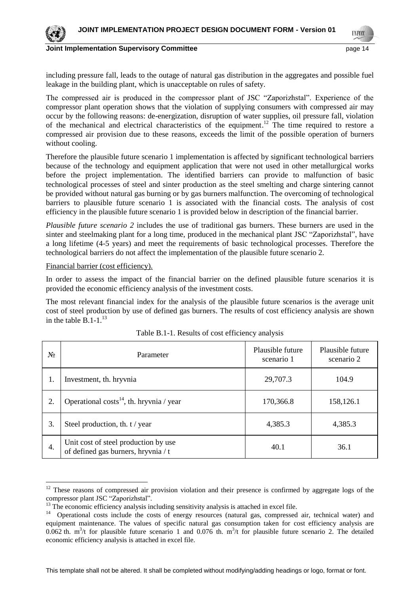

**Joint Implementation Supervisory Committee According the Committee of the Committee of the Committee Committee According to the Committee According to the Committee According to the Committee According to the Committee Ac** 

**INFO** 

including pressure fall, leads to the outage of natural gas distribution in the aggregates and possible fuel leakage in the building plant, which is unacceptable on rules of safety.

The compressed air is produced in the compressor plant of JSC "Zaporizhstal". Experience of the compressor plant operation shows that the violation of supplying consumers with compressed air may occur by the following reasons: de-energization, disruption of water supplies, oil pressure fall, violation of the mechanical and electrical characteristics of the equipment.<sup>12</sup> The time required to restore a compressed air provision due to these reasons, exceeds the limit of the possible operation of burners without cooling.

Therefore the plausible future scenario 1 implementation is affected by significant technological barriers because of the technology and equipment application that were not used in other metallurgical works before the project implementation. The identified barriers can provide to malfunction of basic technological processes of steel and sinter production as the steel smelting and charge sintering cannot be provided without natural gas burning or by gas burners malfunction. The overcoming of technological barriers to plausible future scenario 1 is associated with the financial costs. The analysis of cost efficiency in the plausible future scenario 1 is provided below in description of the financial barrier.

*Plausible future scenario 2* includes the use of traditional gas burners. These burners are used in the sinter and steelmaking plant for a long time, produced in the mechanical plant JSC "Zaporizhstal", have a long lifetime (4-5 years) and meet the requirements of basic technological processes. Therefore the technological barriers do not affect the implementation of the plausible future scenario 2.

#### Financial barrier (cost efficiency).

l

In order to assess the impact of the financial barrier on the defined plausible future scenarios it is provided the economic efficiency analysis of the investment costs.

The most relevant financial index for the analysis of the plausible future scenarios is the average unit cost of steel production by use of defined gas burners. The results of cost efficiency analysis are shown in the table  $\overline{B}$ . 1-1.<sup>13</sup>

| Nº | Parameter                                                                   | Plausible future<br>scenario 1 | Plausible future<br>scenario 2 |
|----|-----------------------------------------------------------------------------|--------------------------------|--------------------------------|
| 1. | Investment, th. hryvnia                                                     | 29,707.3                       | 104.9                          |
| 2. | Operational costs <sup>14</sup> , th. hryvnia / year                        | 170,366.8                      | 158,126.1                      |
| 3. | Steel production, th. t / year                                              | 4,385.3                        | 4,385.3                        |
| 4. | Unit cost of steel production by use<br>of defined gas burners, hryvnia / t | 40.1                           | 36.1                           |

Table B.1-1. Results of cost efficiency analysis

<sup>&</sup>lt;sup>12</sup> These reasons of compressed air provision violation and their presence is confirmed by aggregate logs of the compressor plant JSC "Zaporizhstal".

<sup>&</sup>lt;sup>13</sup> The economic efficiency analysis including sensitivity analysis is attached in excel file.

<sup>&</sup>lt;sup>14</sup> Operational costs include the costs of energy resources (natural gas, compressed air, technical water) and equipment maintenance. The values of specific natural gas consumption taken for cost efficiency analysis are 0.062 th.  $m^3/t$  for plausible future scenario 1 and 0.076 th.  $m^3/t$  for plausible future scenario 2. The detailed economic efficiency analysis is attached in excel file.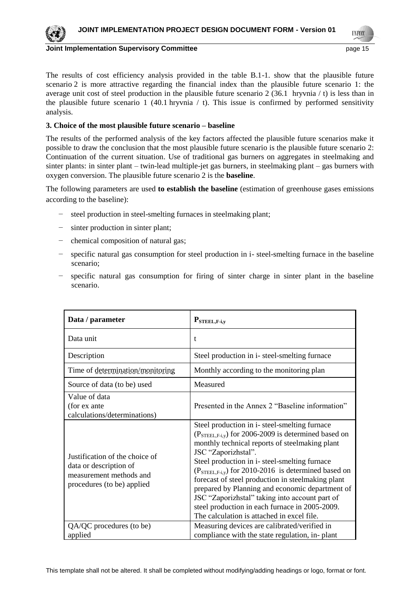

**Joint Implementation Supervisory Committee According to the Control of the Control of the Page 15** 

**INFOD** 

The results of cost efficiency analysis provided in the table B.1-1. show that the plausible future scenario 2 is more attractive regarding the financial index than the plausible future scenario 1: the average unit cost of steel production in the plausible future scenario 2 (36.1 hryvnia / t) is less than in the plausible future scenario 1 (40.1 hryvnia  $/$  t). This issue is confirmed by performed sensitivity analysis.

#### **3. Choice of the most plausible future scenario – baseline**

The results of the performed analysis of the key factors affected the plausible future scenarios make it possible to draw the conclusion that the most plausible future scenario is the plausible future scenario 2: Continuation of the current situation. Use of traditional gas burners on aggregates in steelmaking and sinter plants: in sinter plant – twin-lead multiple-jet gas burners, in steelmaking plant – gas burners with oxygen conversion. The plausible future scenario 2 is the **baseline**.

The following parameters are used **to establish the baseline** (estimation of greenhouse gases emissions according to the baseline):

- steel production in steel-smelting furnaces in steelmaking plant;
- − sinter production in sinter plant;
- − chemical composition of natural gas;
- − specific natural gas consumption for steel production in i- steel-smelting furnace in the baseline scenario;
- specific natural gas consumption for firing of sinter charge in sinter plant in the baseline scenario.

| Data / parameter                                                                                                  | $P_{\text{STEEL},F-i,y}$                                                                                                                                                                                                                                                                                                                                                                                                                                                                                                                          |
|-------------------------------------------------------------------------------------------------------------------|---------------------------------------------------------------------------------------------------------------------------------------------------------------------------------------------------------------------------------------------------------------------------------------------------------------------------------------------------------------------------------------------------------------------------------------------------------------------------------------------------------------------------------------------------|
| Data unit                                                                                                         | t                                                                                                                                                                                                                                                                                                                                                                                                                                                                                                                                                 |
| Description                                                                                                       | Steel production in i-steel-smelting furnace                                                                                                                                                                                                                                                                                                                                                                                                                                                                                                      |
| Time of determination/monitoring                                                                                  | Monthly according to the monitoring plan                                                                                                                                                                                                                                                                                                                                                                                                                                                                                                          |
| Source of data (to be) used                                                                                       | Measured                                                                                                                                                                                                                                                                                                                                                                                                                                                                                                                                          |
| Value of data<br>(for ex ante<br>calculations/determinations)                                                     | Presented in the Annex 2 "Baseline information"                                                                                                                                                                                                                                                                                                                                                                                                                                                                                                   |
| Justification of the choice of<br>data or description of<br>measurement methods and<br>procedures (to be) applied | Steel production in i-steel-smelting furnace<br>$(PSTEEL,F-i,y)$ for 2006-2009 is determined based on<br>monthly technical reports of steelmaking plant<br>JSC "Zaporizhstal".<br>Steel production in i-steel-smelting furnace<br>$(PSTEEL,F-i,y)$ for 2010-2016 is determined based on<br>forecast of steel production in steelmaking plant<br>prepared by Planning and economic department of<br>JSC "Zaporizhstal" taking into account part of<br>steel production in each furnace in 2005-2009.<br>The calculation is attached in excel file. |
| QA/QC procedures (to be)<br>applied                                                                               | Measuring devices are calibrated/verified in<br>compliance with the state regulation, in-plant                                                                                                                                                                                                                                                                                                                                                                                                                                                    |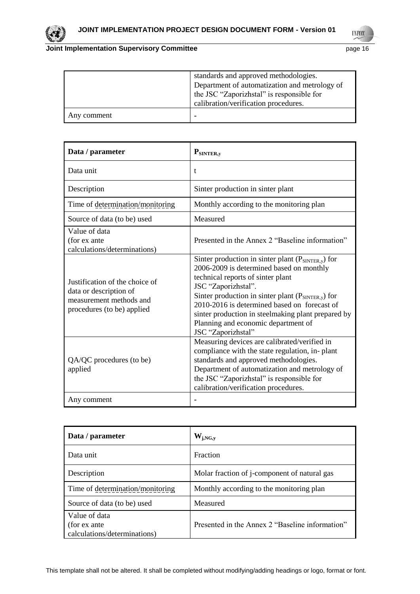

**UNFCCC** 

|             | standards and approved methodologies.         |
|-------------|-----------------------------------------------|
|             | Department of automatization and metrology of |
|             | the JSC "Zaporizhstal" is responsible for     |
|             | calibration/verification procedures.          |
| Any comment |                                               |

| Data / parameter                                                                                                  | $P_{SINTER,y}$                                                                                                                                                                                                                                                                                                                                                                                            |
|-------------------------------------------------------------------------------------------------------------------|-----------------------------------------------------------------------------------------------------------------------------------------------------------------------------------------------------------------------------------------------------------------------------------------------------------------------------------------------------------------------------------------------------------|
| Data unit                                                                                                         | t                                                                                                                                                                                                                                                                                                                                                                                                         |
| Description                                                                                                       | Sinter production in sinter plant                                                                                                                                                                                                                                                                                                                                                                         |
| Time of determination/monitoring                                                                                  | Monthly according to the monitoring plan                                                                                                                                                                                                                                                                                                                                                                  |
| Source of data (to be) used                                                                                       | Measured                                                                                                                                                                                                                                                                                                                                                                                                  |
| Value of data<br>(for ex ante<br>calculations/determinations)                                                     | Presented in the Annex 2 "Baseline information"                                                                                                                                                                                                                                                                                                                                                           |
| Justification of the choice of<br>data or description of<br>measurement methods and<br>procedures (to be) applied | Sinter production in sinter plant $(P_{\text{SINTER},y})$ for<br>2006-2009 is determined based on monthly<br>technical reports of sinter plant<br>JSC "Zaporizhstal".<br>Sinter production in sinter plant $(P_{\text{SINTER},y})$ for<br>2010-2016 is determined based on forecast of<br>sinter production in steelmaking plant prepared by<br>Planning and economic department of<br>JSC "Zaporizhstal" |
| QA/QC procedures (to be)<br>applied                                                                               | Measuring devices are calibrated/verified in<br>compliance with the state regulation, in-plant<br>standards and approved methodologies.<br>Department of automatization and metrology of<br>the JSC "Zaporizhstal" is responsible for<br>calibration/verification procedures.                                                                                                                             |
| Any comment                                                                                                       |                                                                                                                                                                                                                                                                                                                                                                                                           |

| Data / parameter                                              | $\mathbf{W}_{\mathbf{j},\mathbf{NG},\mathbf{y}}$ |
|---------------------------------------------------------------|--------------------------------------------------|
| Data unit                                                     | Fraction                                         |
| Description                                                   | Molar fraction of j-component of natural gas     |
| Time of determination/monitoring                              | Monthly according to the monitoring plan         |
| Source of data (to be) used                                   | Measured                                         |
| Value of data<br>(for ex ante<br>calculations/determinations) | Presented in the Annex 2 "Baseline information"  |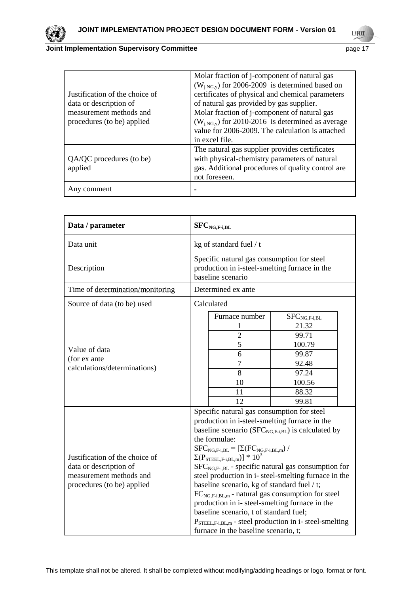

# **Joint Implementation Supervisory Committee Access 2016 2016 2017 2018 2019 2019 2018 2019 2019 2019 2019 2019**

**UNFCCC** 

| Justification of the choice of<br>data or description of<br>measurement methods and<br>procedures (to be) applied                                                                                                              | Molar fraction of j-component of natural gas<br>$(W_{i,NG,y})$ for 2006-2009 is determined based on<br>certificates of physical and chemical parameters<br>of natural gas provided by gas supplier.<br>Molar fraction of j-component of natural gas<br>$(W_{j,NG,y})$ for 2010-2016 is determined as average<br>value for 2006-2009. The calculation is attached |
|--------------------------------------------------------------------------------------------------------------------------------------------------------------------------------------------------------------------------------|------------------------------------------------------------------------------------------------------------------------------------------------------------------------------------------------------------------------------------------------------------------------------------------------------------------------------------------------------------------|
| in excel file.<br>The natural gas supplier provides certificates<br>with physical-chemistry parameters of natural<br>QA/QC procedures (to be)<br>gas. Additional procedures of quality control are<br>applied<br>not foreseen. |                                                                                                                                                                                                                                                                                                                                                                  |
| Any comment                                                                                                                                                                                                                    |                                                                                                                                                                                                                                                                                                                                                                  |

| Data / parameter                                                                                                  | $SFCNG,F-i, BL$                                                                                                                                                                                                                                                                                                                                                                                                                                                                                                                                                                                                                                                                                                                                                                                                                 |  |
|-------------------------------------------------------------------------------------------------------------------|---------------------------------------------------------------------------------------------------------------------------------------------------------------------------------------------------------------------------------------------------------------------------------------------------------------------------------------------------------------------------------------------------------------------------------------------------------------------------------------------------------------------------------------------------------------------------------------------------------------------------------------------------------------------------------------------------------------------------------------------------------------------------------------------------------------------------------|--|
| Data unit                                                                                                         | kg of standard fuel / t                                                                                                                                                                                                                                                                                                                                                                                                                                                                                                                                                                                                                                                                                                                                                                                                         |  |
| Description                                                                                                       | Specific natural gas consumption for steel<br>production in i-steel-smelting furnace in the<br>baseline scenario                                                                                                                                                                                                                                                                                                                                                                                                                                                                                                                                                                                                                                                                                                                |  |
| Time of determination/monitoring                                                                                  | Determined ex ante                                                                                                                                                                                                                                                                                                                                                                                                                                                                                                                                                                                                                                                                                                                                                                                                              |  |
| Source of data (to be) used                                                                                       | Calculated                                                                                                                                                                                                                                                                                                                                                                                                                                                                                                                                                                                                                                                                                                                                                                                                                      |  |
| Value of data<br>(for ex ante<br>calculations/determinations)                                                     | Furnace number<br>$SFC_{NG,F-i,BL}$<br>21.32<br>1<br>$\overline{2}$<br>99.71<br>$\overline{5}$<br>100.79<br>6<br>99.87<br>$\overline{7}$<br>92.48<br>8<br>97.24<br>10<br>100.56<br>88.32<br>11<br>12<br>99.81                                                                                                                                                                                                                                                                                                                                                                                                                                                                                                                                                                                                                   |  |
| Justification of the choice of<br>data or description of<br>measurement methods and<br>procedures (to be) applied | Specific natural gas consumption for steel<br>production in i-steel-smelting furnace in the<br>baseline scenario ( $SFC_{NG,F-i, BL}$ ) is calculated by<br>the formulae:<br>$\text{SFC}_{\text{NG},\text{F-i},\text{BL}}=\left[\Sigma(\text{FC}_{\text{NG},\text{F-i},\text{BL},\text{m}})\right/$<br>$\Sigma(\text{P}_{\text{STEEL},\text{F-i},\text{BL},\text{m}})]$ * $10^3$<br>$SFC_{NG,F-i, BL}$ - specific natural gas consumption for<br>steel production in i- steel-smelting furnace in the<br>baseline scenario, kg of standard fuel $/ t$ ;<br>$FC_{NG,F-i, BL,m}$ - natural gas consumption for steel<br>production in i- steel-smelting furnace in the<br>baseline scenario, t of standard fuel;<br>$P_{\text{STEEL}, F-i, BL,m}$ - steel production in i- steel-smelting<br>furnace in the baseline scenario, t; |  |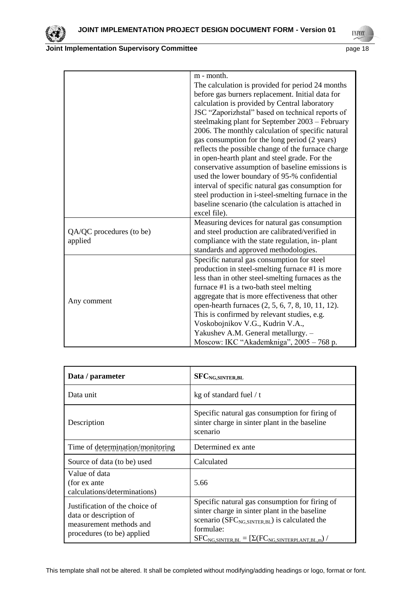



| ٠. |  |
|----|--|

|                          | m - month.                                          |
|--------------------------|-----------------------------------------------------|
|                          | The calculation is provided for period 24 months    |
|                          | before gas burners replacement. Initial data for    |
|                          | calculation is provided by Central laboratory       |
|                          | JSC "Zaporizhstal" based on technical reports of    |
|                          | steelmaking plant for September 2003 – February     |
|                          | 2006. The monthly calculation of specific natural   |
|                          | gas consumption for the long period (2 years)       |
|                          | reflects the possible change of the furnace charge  |
|                          | in open-hearth plant and steel grade. For the       |
|                          | conservative assumption of baseline emissions is    |
|                          | used the lower boundary of 95-% confidential        |
|                          | interval of specific natural gas consumption for    |
|                          | steel production in i-steel-smelting furnace in the |
|                          | baseline scenario (the calculation is attached in   |
|                          | excel file).                                        |
|                          | Measuring devices for natural gas consumption       |
| QA/QC procedures (to be) | and steel production are calibrated/verified in     |
| applied                  | compliance with the state regulation, in-plant      |
|                          | standards and approved methodologies.               |
|                          | Specific natural gas consumption for steel          |
|                          | production in steel-smelting furnace #1 is more     |
|                          | less than in other steel-smelting furnaces as the   |
| Any comment              | furnace #1 is a two-bath steel melting              |
|                          | aggregate that is more effectiveness that other     |
|                          | open-hearth furnaces (2, 5, 6, 7, 8, 10, 11, 12).   |
|                          | This is confirmed by relevant studies, e.g.         |
|                          | Voskobojnikov V.G., Kudrin V.A.,                    |
|                          | Yakushev A.M. General metallurgy. -                 |
|                          | Moscow: IKC "Akademkniga", 2005 - 768 p.            |

| Data / parameter                                                                                                  | <b>SFC</b> <sub>NG</sub> , SINTER, BL                                                                                                                                                                                                   |
|-------------------------------------------------------------------------------------------------------------------|-----------------------------------------------------------------------------------------------------------------------------------------------------------------------------------------------------------------------------------------|
| Data unit                                                                                                         | kg of standard fuel / t                                                                                                                                                                                                                 |
| Description                                                                                                       | Specific natural gas consumption for firing of<br>sinter charge in sinter plant in the baseline<br>scenario                                                                                                                             |
| Time of determination/monitoring                                                                                  | Determined ex ante                                                                                                                                                                                                                      |
| Source of data (to be) used                                                                                       | Calculated                                                                                                                                                                                                                              |
| Value of data<br>(for ex ante<br>calculations/determinations)                                                     | 5.66                                                                                                                                                                                                                                    |
| Justification of the choice of<br>data or description of<br>measurement methods and<br>procedures (to be) applied | Specific natural gas consumption for firing of<br>sinter charge in sinter plant in the baseline<br>scenario ( $SFC_{NG, SINTER, BL}$ ) is calculated the<br>formulae:<br>$SFC_{NG, SINTER, BL} = [\Sigma(FC_{NG, SINTERPLANT, BL,m})$ / |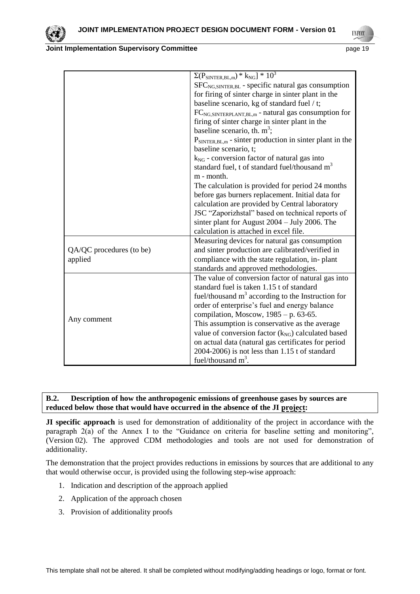



|                          | $\Sigma(P_{\text{SINTER, BL,m}}) * k_{\text{NG}}] * 10^3$                                     |
|--------------------------|-----------------------------------------------------------------------------------------------|
|                          | $SFCNG.SINTER, BL$ - specific natural gas consumption                                         |
|                          | for firing of sinter charge in sinter plant in the                                            |
|                          | baseline scenario, kg of standard fuel / t;                                                   |
|                          | FC <sub>NG,SINTERPLANT,BL,m</sub> - natural gas consumption for                               |
|                          | firing of sinter charge in sinter plant in the                                                |
|                          | baseline scenario, th. $m^3$ ;                                                                |
|                          | $P_{\text{SINTER, BL,m}}$ - sinter production in sinter plant in the<br>baseline scenario, t; |
|                          | $k_{NG}$ - conversion factor of natural gas into                                              |
|                          | standard fuel, t of standard fuel/thousand m <sup>3</sup>                                     |
|                          | m - month.                                                                                    |
|                          | The calculation is provided for period 24 months                                              |
|                          | before gas burners replacement. Initial data for                                              |
|                          | calculation are provided by Central laboratory                                                |
|                          | JSC "Zaporizhstal" based on technical reports of                                              |
|                          | sinter plant for August $2004 - \text{July } 2006$ . The                                      |
|                          | calculation is attached in excel file.                                                        |
|                          | Measuring devices for natural gas consumption                                                 |
| QA/QC procedures (to be) | and sinter production are calibrated/verified in                                              |
| applied                  | compliance with the state regulation, in-plant                                                |
|                          | standards and approved methodologies.                                                         |
|                          | The value of conversion factor of natural gas into                                            |
|                          | standard fuel is taken 1.15 t of standard                                                     |
|                          | fuel/thousand $m3$ according to the Instruction for                                           |
| Any comment              | order of enterprise's fuel and energy balance                                                 |
|                          | compilation, Moscow, $1985 - p. 63-65$ .                                                      |
|                          | This assumption is conservative as the average                                                |
|                          | value of conversion factor $(k_{NG})$ calculated based                                        |
|                          | on actual data (natural gas certificates for period                                           |
|                          | 2004-2006) is not less than 1.15 t of standard                                                |
|                          | fuel/thousand $m^3$ .                                                                         |

#### **B.2. Description of how the anthropogenic emissions of greenhouse gases by sources are reduced below those that would have occurred in the absence of the JI project:**

**JI specific approach** is used for demonstration of additionality of the project in accordance with the paragraph 2(a) of the Annex I to the "Guidance on criteria for baseline setting and monitoring", (Version 02). The approved CDM methodologies and tools are not used for demonstration of additionality.

The demonstration that the project provides reductions in emissions by sources that are additional to any that would otherwise occur, is provided using the following step-wise approach:

- 1. Indication and description of the approach applied
- 2. Application of the approach chosen
- 3. Provision of additionality proofs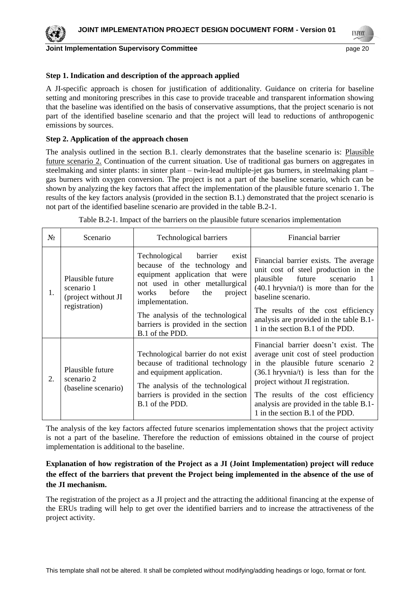

**Joint Implementation Supervisory Committee** *page 20* **page 20 page 20** 

**INFOR** 

#### **Step 1. Indication and description of the approach applied**

A JI-specific approach is chosen for justification of additionality. Guidance on criteria for baseline setting and monitoring prescribes in this case to provide traceable and transparent information showing that the baseline was identified on the basis of conservative assumptions, that the project scenario is not part of the identified baseline scenario and that the project will lead to reductions of anthropogenic emissions by sources.

#### **Step 2. Application of the approach chosen**

The analysis outlined in the section B.1. clearly demonstrates that the baseline scenario is: Plausible future scenario 2. Continuation of the current situation. Use of traditional gas burners on aggregates in steelmaking and sinter plants: in sinter plant – twin-lead multiple-jet gas burners, in steelmaking plant – gas burners with oxygen conversion. The project is not a part of the baseline scenario, which can be shown by analyzing the key factors that affect the implementation of the plausible future scenario 1. The results of the key factors analysis (provided in the section B.1.) demonstrated that the project scenario is not part of the identified baseline scenario are provided in the table B.2-1.

| $N_2$ | Scenario                                                               | Technological barriers                                                                                                                                                                                                                                                                    | Financial barrier                                                                                                                                                                                                                                                                                                       |
|-------|------------------------------------------------------------------------|-------------------------------------------------------------------------------------------------------------------------------------------------------------------------------------------------------------------------------------------------------------------------------------------|-------------------------------------------------------------------------------------------------------------------------------------------------------------------------------------------------------------------------------------------------------------------------------------------------------------------------|
| 1.    | Plausible future<br>scenario 1<br>(project without JI<br>registration) | Technological barrier<br>exist<br>because of the technology and<br>equipment application that were<br>not used in other metallurgical<br>works before<br>the<br>project<br>implementation.<br>The analysis of the technological<br>barriers is provided in the section<br>B.1 of the PDD. | Financial barrier exists. The average<br>unit cost of steel production in the<br>future scenario<br>plausible<br>$(40.1 hryvnia/t)$ is more than for the<br>baseline scenario.<br>The results of the cost efficiency<br>analysis are provided in the table B.1-<br>1 in the section B.1 of the PDD.                     |
| 2.    | Plausible future<br>scenario 2<br>(baseline scenario)                  | Technological barrier do not exist<br>because of traditional technology<br>and equipment application.<br>The analysis of the technological<br>barriers is provided in the section<br>B.1 of the PDD.                                                                                      | Financial barrier doesn't exist. The<br>average unit cost of steel production<br>in the plausible future scenario 2<br>$(36.1 hryvnia/t)$ is less than for the<br>project without JI registration.<br>The results of the cost efficiency<br>analysis are provided in the table B.1-<br>1 in the section B.1 of the PDD. |

Table В.2-1. Impact of the barriers on the plausible future scenarios implementation

The analysis of the key factors affected future scenarios implementation shows that the project activity is not a part of the baseline. Therefore the reduction of emissions obtained in the course of project implementation is additional to the baseline.

# **Explanation of how registration of the Project as a JI (Joint Implementation) project will reduce the effect of the barriers that prevent the Project being implemented in the absence of the use of the JI mechanism.**

The registration of the project as a JI project and the attracting the additional financing at the expense of the ERUs trading will help to get over the identified barriers and to increase the attractiveness of the project activity.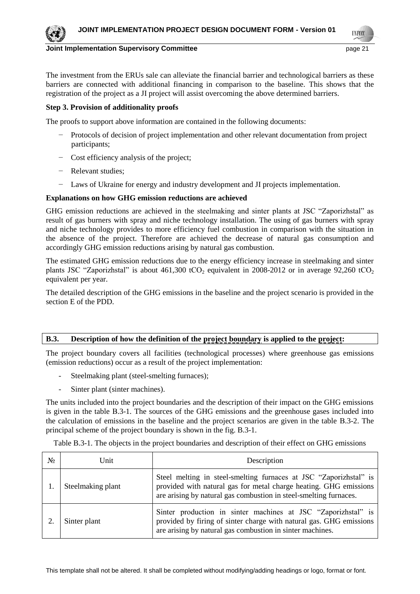**INFOR** 

# **Joint Implementation Supervisory Committee According the Committee of the Committee According to the Committee Committee According to the Committee According to the Committee According to the Committee According to the Co**

The investment from the ERUs sale can alleviate the financial barrier and technological barriers as these barriers are connected with additional financing in comparison to the baseline. This shows that the registration of the project as a JI project will assist overcoming the above determined barriers.

# **Step 3. Provision of additionality proofs**

The proofs to support above information are contained in the following documents:

- Protocols of decision of project implementation and other relevant documentation from project participants;
- − Cost efficiency analysis of the project;
- − Relevant studies;
- − Laws of Ukraine for energy and industry development and JI projects implementation.

# **Explanations on how GHG emission reductions are achieved**

GHG emission reductions are achieved in the steelmaking and sinter plants at JSC "Zaporizhstal" as result of gas burners with spray and niche technology installation. The using of gas burners with spray and niche technology provides to more efficiency fuel combustion in comparison with the situation in the absence of the project. Therefore are achieved the decrease of natural gas consumption and accordingly GHG emission reductions arising by natural gas combustion.

The estimated GHG emission reductions due to the energy efficiency increase in steelmaking and sinter plants JSC "Zaporizhstal" is about 461,300 tCO<sub>2</sub> equivalent in 2008-2012 or in average 92,260 tCO<sub>2</sub> equivalent per year.

The detailed description of the GHG emissions in the baseline and the project scenario is provided in the section E of the PDD.

# **B.3. Description of how the definition of the project boundary is applied to the project:**

The project boundary covers all facilities (technological processes) where greenhouse gas emissions (emission reductions) occur as a result of the project implementation:

- Steelmaking plant (steel-smelting furnaces);
- Sinter plant (sinter machines).

The units included into the project boundaries and the description of their impact on the GHG emissions is given in the table В.3-1. The sources of the GHG emissions and the greenhouse gases included into the calculation of emissions in the baseline and the project scenarios are given in the table В.3-2. The principal scheme of the project boundary is shown in the fig. B.3-1.

Table B.3-1. The objects in the project boundaries and description of their effect on GHG emissions

| Nº | Unit              | Description                                                                                                                                                                                                 |
|----|-------------------|-------------------------------------------------------------------------------------------------------------------------------------------------------------------------------------------------------------|
|    | Steelmaking plant | Steel melting in steel-smelting furnaces at JSC "Zaporizhstal" is<br>provided with natural gas for metal charge heating. GHG emissions<br>are arising by natural gas combustion in steel-smelting furnaces. |
|    | Sinter plant      | Sinter production in sinter machines at JSC "Zaporizhstal" is<br>provided by firing of sinter charge with natural gas. GHG emissions<br>are arising by natural gas combustion in sinter machines.           |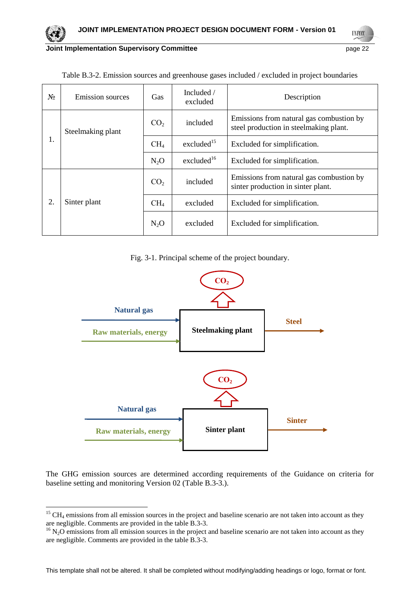

**UNFCC** 

| Nº                | <b>Emission sources</b> | Gas             | Included $/$<br>excluded | Description                                                                        |  |
|-------------------|-------------------------|-----------------|--------------------------|------------------------------------------------------------------------------------|--|
| Steelmaking plant |                         | CO <sub>2</sub> | included                 | Emissions from natural gas combustion by<br>steel production in steelmaking plant. |  |
| 1.                |                         | CH <sub>4</sub> | excluded $15$            | Excluded for simplification.                                                       |  |
|                   |                         |                 | excluded <sup>16</sup>   | Excluded for simplification.                                                       |  |
|                   |                         | CO <sub>2</sub> | included                 | Emissions from natural gas combustion by<br>sinter production in sinter plant.     |  |
| 2.                | Sinter plant            |                 | excluded                 | Excluded for simplification.                                                       |  |
|                   |                         |                 | excluded                 | Excluded for simplification.                                                       |  |

Table B.3-2. Emission sources and greenhouse gases included / excluded in project boundaries

Fig. 3-1. Principal scheme of the project boundary.



The GHG emission sources are determined according requirements of the Guidance on criteria for baseline setting and monitoring Version 02 (Table B.3-3.).

l

 $15$  CH<sub>4</sub> emissions from all emission sources in the project and baseline scenario are not taken into account as they are negligible. Comments are provided in the table B.3-3.

 $16$  N<sub>2</sub>O emissions from all emission sources in the project and baseline scenario are not taken into account as they are negligible. Comments are provided in the table B.3-3.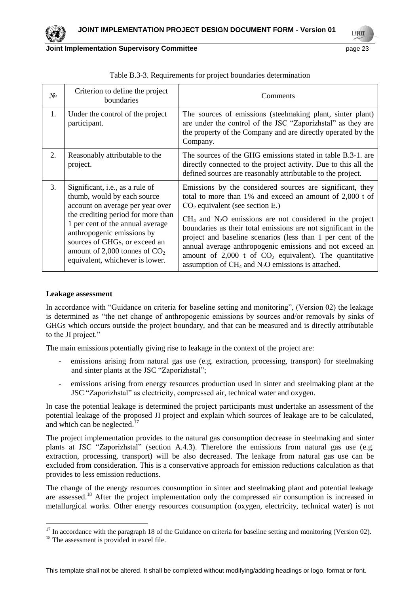

**INFO** 

| $N_2$ | Criterion to define the project<br>boundaries                                                                                                                                                                                                                                                                     | Comments                                                                                                                                                                                                                                                                                                                                                                                                                                                                                                                                                  |
|-------|-------------------------------------------------------------------------------------------------------------------------------------------------------------------------------------------------------------------------------------------------------------------------------------------------------------------|-----------------------------------------------------------------------------------------------------------------------------------------------------------------------------------------------------------------------------------------------------------------------------------------------------------------------------------------------------------------------------------------------------------------------------------------------------------------------------------------------------------------------------------------------------------|
| 1.    | Under the control of the project<br>participant.                                                                                                                                                                                                                                                                  | The sources of emissions (steelmaking plant, sinter plant)<br>are under the control of the JSC "Zaporizhstal" as they are<br>the property of the Company and are directly operated by the<br>Company.                                                                                                                                                                                                                                                                                                                                                     |
| 2.    | Reasonably attributable to the<br>project.                                                                                                                                                                                                                                                                        | The sources of the GHG emissions stated in table B.3-1, are<br>directly connected to the project activity. Due to this all the<br>defined sources are reasonably attributable to the project.                                                                                                                                                                                                                                                                                                                                                             |
| 3.    | Significant, i.e., as a rule of<br>thumb, would by each source<br>account on average per year over<br>the crediting period for more than<br>1 per cent of the annual average<br>anthropogenic emissions by<br>sources of GHGs, or exceed an<br>amount of 2,000 tonnes of $CO2$<br>equivalent, whichever is lower. | Emissions by the considered sources are significant, they<br>total to more than 1% and exceed an amount of 2,000 t of<br>$CO2$ equivalent (see section E.)<br>$CH4$ and N <sub>2</sub> O emissions are not considered in the project<br>boundaries as their total emissions are not significant in the<br>project and baseline scenarios (less than 1 per cent of the<br>annual average anthropogenic emissions and not exceed an<br>amount of $2,000$ t of $CO2$ equivalent). The quantitative<br>assumption of $CH_4$ and $N_2O$ emissions is attached. |

| Table B.3-3. Requirements for project boundaries determination |  |  |
|----------------------------------------------------------------|--|--|
|                                                                |  |  |

#### **Leakage assessment**

In accordance with "Guidance on criteria for baseline setting and monitoring", (Version 02) the leakage is determined as "the net change of anthropogenic emissions by sources and/or removals by sinks of GHGs which occurs outside the project boundary, and that can be measured and is directly attributable to the JI project."

The main emissions potentially giving rise to leakage in the context of the project are:

- emissions arising from natural gas use (e.g. extraction, processing, transport) for steelmaking and sinter plants at the JSC "Zaporizhstal";
- emissions arising from energy resources production used in sinter and steelmaking plant at the JSC "Zaporizhstal" as electricity, compressed air, technical water and oxygen.

In case the potential leakage is determined the project participants must undertake an assessment of the potential leakage of the proposed JI project and explain which sources of leakage are to be calculated, and which can be neglected.<sup>17</sup>

The project implementation provides to the natural gas consumption decrease in steelmaking and sinter plants at JSC "Zaporizhstal" (section A.4.3). Therefore the emissions from natural gas use (e.g. extraction, processing, transport) will be also decreased. The leakage from natural gas use can be excluded from consideration. This is a conservative approach for emission reductions calculation as that provides to less emission reductions.

The change of the energy resources consumption in sinter and steelmaking plant and potential leakage are assessed.<sup>18</sup> After the project implementation only the compressed air consumption is increased in metallurgical works. Other energy resources consumption (oxygen, electricity, technical water) is not

 $\overline{a}$ 

 $17$  In accordance with the paragraph 18 of the Guidance on criteria for baseline setting and monitoring (Version 02).

<sup>&</sup>lt;sup>18</sup> The assessment is provided in excel file.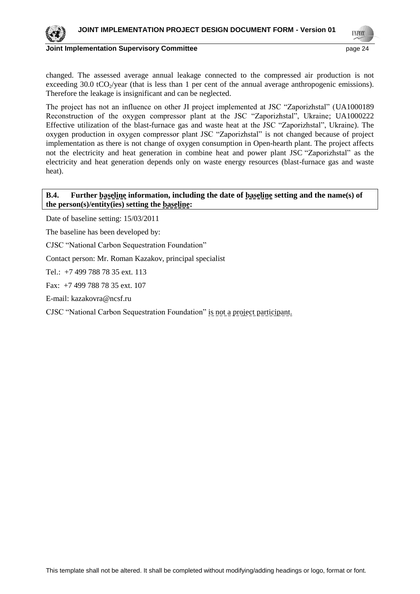

**Joint Implementation Supervisory Committee** *page 24* **and the page 24 and the page 24 and the page 24 and the page 24 and the page 24 and the page 24 and the page 24 and the page 24 and the page 24 and the page 24 and the** 

**INFOD** 

changed. The assessed average annual leakage connected to the compressed air production is not exceeding 30.0 tCO $_2$ /year (that is less than 1 per cent of the annual average anthropogenic emissions). Therefore the leakage is insignificant and can be neglected.

The project has not an influence on other JI project implemented at JSC "Zaporizhstal" (UA1000189 Reconstruction of the oxygen compressor plant at the JSC "Zaporizhstal", Ukraine; UA1000222 Effective utilization of the blast-furnace gas and waste heat at the JSC "Zaporizhstal", Ukraine). The oxygen production in oxygen compressor plant JSC "Zaporizhstal" is not changed because of project implementation as there is not change of oxygen consumption in Open-hearth plant. The project affects not the electricity and heat generation in combine heat and power plant JSC "Zaporizhstal" as the electricity and heat generation depends only on waste energy resources (blast-furnace gas and waste heat).

## **B.4. Further baseline information, including the date of baseline setting and the name(s) of the person(s)/entity(ies) setting the baseline:**

Date of baseline setting: 15/03/2011

The baseline has been developed by:

CJSC "National Carbon Sequestration Foundation"

Contact person: Mr. Roman Kazakov, principal specialist

Tel.: +7 499 788 78 35 ext. 113

Fax: +7 499 788 78 35 ext. 107

E-mail: [kazakovra@ncsf.ru](mailto:kazakovra@ncsf.ru)

CJSC "National Carbon Sequestration Foundation" is not a project participant.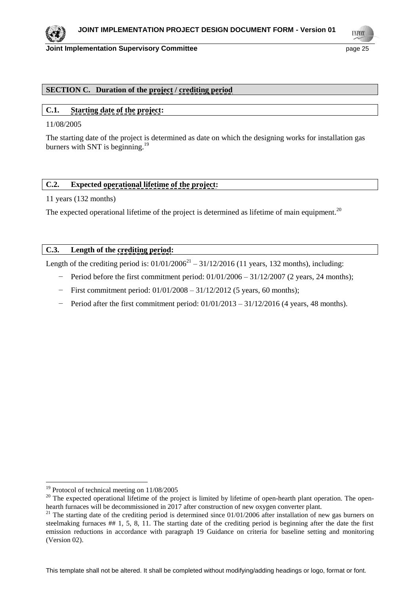

#### **Joint Implementation Supervisory Committee According to the Control of the Control of the Control of the Control of the Page 25**

**INFO** 

# **SECTION C. Duration of the project / crediting period**

# **C.1. Starting date of the project:**

11/08/2005

The starting date of the project is determined as date on which the designing works for installation gas burners with SNT is beginning.<sup>19</sup>

#### **C.2. Expected operational lifetime of the project:**

11 years (132 months)

The expected operational lifetime of the project is determined as lifetime of main equipment.<sup>20</sup>

#### **C.3. Length of the crediting period:**

Length of the crediting period is:  $01/01/2006^{21} - 31/12/2016$  (11 years, 132 months), including:

- Period before the first commitment period: 01/01/2006 31/12/2007 (2 years, 24 months);
- First commitment period: 01/01/2008 31/12/2012 (5 years, 60 months);
- − Period after the first commitment period: 01/01/2013 31/12/2016 (4 years, 48 months).

l

 $19$  Protocol of technical meeting on  $11/08/2005$ 

<sup>&</sup>lt;sup>20</sup> The expected operational lifetime of the project is limited by lifetime of open-hearth plant operation. The openhearth furnaces will be decommissioned in 2017 after construction of new oxygen converter plant.

 $^{21}$  The starting date of the crediting period is determined since 01/01/2006 after installation of new gas burners on steelmaking furnaces ## 1, 5, 8, 11. The starting date of the crediting period is beginning after the date the first emission reductions in accordance with paragraph 19 Guidance on criteria for baseline setting and monitoring (Version 02).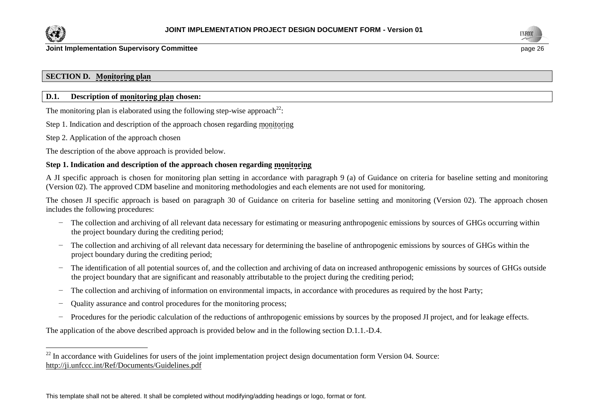

l



# **SECTION D. Monitoring plan**

# **D.1. Description of monitoring plan chosen:**

The monitoring plan is elaborated using the following step-wise approach<sup>22</sup>:

Step 1. Indication and description of the approach chosen regarding monitoring

Step 2. Application of the approach chosen

The description of the above approach is provided below.

# **Step 1. Indication and description of the approach chosen regarding monitoring**

A JI specific approach is chosen for monitoring plan setting in accordance with paragraph 9 (a) of Guidance on criteria for baseline setting and monitoring (Version 02). The approved CDM baseline and monitoring methodologies and each elements are not used for monitoring.

The chosen JI specific approach is based on paragraph 30 of Guidance on criteria for baseline setting and monitoring (Version 02). The approach chosen includes the following procedures:

- − The collection and archiving of all relevant data necessary for estimating or measuring anthropogenic emissions by sources of GHGs occurring within the project boundary during the crediting period;
- − The collection and archiving of all relevant data necessary for determining the baseline of anthropogenic emissions by sources of GHGs within the project boundary during the crediting period;
- − The identification of all potential sources of, and the collection and archiving of data on increased anthropogenic emissions by sources of GHGs outside the project boundary that are significant and reasonably attributable to the project during the crediting period;
- − The collection and archiving of information on environmental impacts, in accordance with procedures as required by the host Party;
- − Quality assurance and control procedures for the monitoring process;
- − Procedures for the periodic calculation of the reductions of anthropogenic emissions by sources by the proposed JI project, and for leakage effects.

The application of the above described approach is provided below and in the following section D.1.1.-D.4.

<sup>&</sup>lt;sup>22</sup> In accordance with Guidelines for users of the joint implementation project design documentation form Version 04. Source: <http://ji.unfccc.int/Ref/Documents/Guidelines.pdf>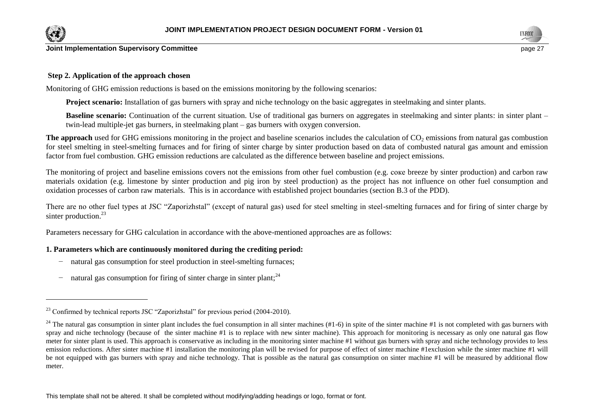

 $\overline{a}$ 



**Joint Implementation Supervisory Committee**  page 27 **page 27** 

#### **Step 2. Application of the approach chosen**

Monitoring of GHG emission reductions is based on the emissions monitoring by the following scenarios:

**Project scenario:** Installation of gas burners with spray and niche technology on the basic aggregates in steelmaking and sinter plants.

**Baseline scenario:** Continuation of the current situation. Use of traditional gas burners on aggregates in steelmaking and sinter plants: in sinter plant – twin-lead multiple-jet gas burners, in steelmaking plant – gas burners with oxygen conversion.

**The approach** used for GHG emissions monitoring in the project and baseline scenarios includes the calculation of CO<sub>2</sub> emissions from natural gas combustion for steel smelting in steel-smelting furnaces and for firing of sinter charge by sinter production based on data of combusted natural gas amount and emission factor from fuel combustion. GHG emission reductions are calculated as the difference between baseline and project emissions.

The monitoring of project and baseline emissions covers not the emissions from other fuel combustion (e.g. coke breeze by sinter production) and carbon raw materials oxidation (e.g. limestone by sinter production and pig iron by steel production) as the project has not influence on other fuel consumption and oxidation processes of carbon raw materials. This is in accordance with established project boundaries (section B.3 of the PDD).

There are no other fuel types at JSC "Zaporizhstal" (except of natural gas) used for steel smelting in steel-smelting furnaces and for firing of sinter charge by sinter production.<sup>23</sup>

Parameters necessary for GHG calculation in accordance with the above-mentioned approaches are as follows:

#### **1. Parameters which are continuously monitored during the crediting period:**

- − natural gas consumption for steel production in steel-smelting furnaces;
- − natural gas consumption for firing of sinter charge in sinter plant;<sup>24</sup>

 $^{23}$  Confirmed by technical reports JSC "Zaporizhstal" for previous period (2004-2010).

<sup>&</sup>lt;sup>24</sup> The natural gas consumption in sinter plant includes the fuel consumption in all sinter machines (#1-6) in spite of the sinter machine #1 is not completed with gas burners with spray and niche technology (because of the sinter machine #1 is to replace with new sinter machine). This approach for monitoring is necessary as only one natural gas flow meter for sinter plant is used. This approach is conservative as including in the monitoring sinter machine #1 without gas burners with spray and niche technology provides to less emission reductions. After sinter machine #1 installation the monitoring plan will be revised for purpose of effect of sinter machine #1exclusion while the sinter machine #1 will be not equipped with gas burners with spray and niche technology. That is possible as the natural gas consumption on sinter machine #1 will be measured by additional flow meter.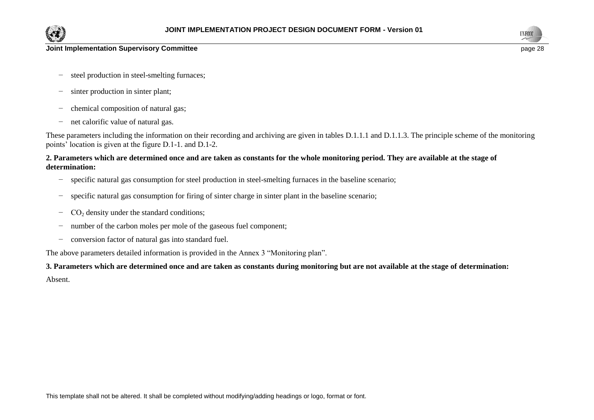



- − steel production in steel-smelting furnaces;
- − sinter production in sinter plant;
- − chemical composition of natural gas;
- − net calorific value of natural gas.

These parameters including the information on their recording and archiving are given in tables D.1.1.1 and D.1.1.3. The principle scheme of the monitoring points' location is given at the figure D.1-1. and D.1-2.

### **2. Parameters which are determined once and are taken as constants for the whole monitoring period. They are available at the stage of determination:**

- − specific natural gas consumption for steel production in steel-smelting furnaces in the baseline scenario;
- − specific natural gas consumption for firing of sinter charge in sinter plant in the baseline scenario;
- − СО<sup>2</sup> density under the standard conditions;
- − number of the carbon moles per mole of the gaseous fuel component;
- − conversion factor of natural gas into standard fuel.

The above parameters detailed information is provided in the Annex 3 "Monitoring plan".

# **3. Parameters which are determined once and are taken as constants during monitoring but are not available at the stage of determination:** Absent.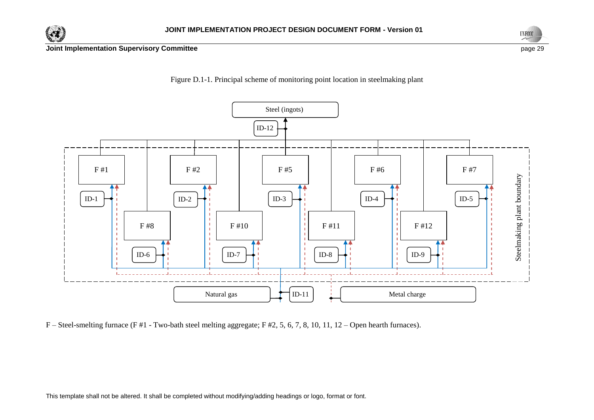







F – Steel-smelting furnace (F #1 - Two-bath steel melting aggregate; F #2, 5, 6, 7, 8, 10, 11, 12 – Open hearth furnaces).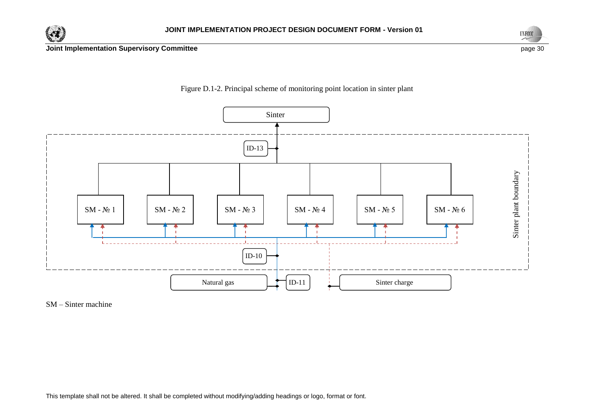





Figure D.1-2. Principal scheme of monitoring point location in sinter plant

SM – Sinter machine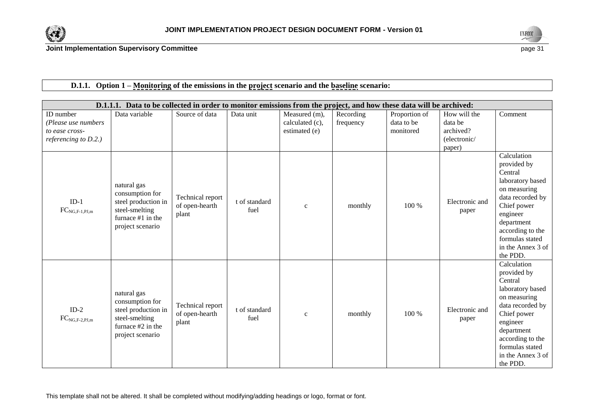



|                              | D.1.1.1. Data to be collected in order to monitor emissions from the project, and how these data will be archived: |                                             |                       |                 |           |               |                         |                                                                                                                                                                                                                |
|------------------------------|--------------------------------------------------------------------------------------------------------------------|---------------------------------------------|-----------------------|-----------------|-----------|---------------|-------------------------|----------------------------------------------------------------------------------------------------------------------------------------------------------------------------------------------------------------|
| ID number                    | Data variable                                                                                                      | Source of data                              | Data unit             | Measured (m),   | Recording | Proportion of | How will the            | Comment                                                                                                                                                                                                        |
| (Please use numbers          |                                                                                                                    |                                             |                       | calculated (c), | frequency | data to be    | data be                 |                                                                                                                                                                                                                |
| to ease cross-               |                                                                                                                    |                                             |                       | estimated (e)   |           | monitored     | archived?               |                                                                                                                                                                                                                |
| referencing to $D.2.$ )      |                                                                                                                    |                                             |                       |                 |           |               | (electronic/            |                                                                                                                                                                                                                |
|                              |                                                                                                                    |                                             |                       |                 |           |               | paper)                  |                                                                                                                                                                                                                |
| $ID-1$<br>$FC_{NG,F-1,PJ,m}$ | natural gas<br>consumption for<br>steel production in<br>steel-smelting<br>furnace #1 in the<br>project scenario   | Technical report<br>of open-hearth<br>plant | t of standard<br>fuel | $\mathbf{C}$    | monthly   | 100 %         | Electronic and<br>paper | Calculation<br>provided by<br>Central<br>laboratory based<br>on measuring<br>data recorded by<br>Chief power<br>engineer<br>department<br>according to the<br>formulas stated<br>in the Annex 3 of<br>the PDD. |
| $ID-2$<br>$FC_{NG,F-2,PJ,m}$ | natural gas<br>consumption for<br>steel production in<br>steel-smelting<br>furnace #2 in the<br>project scenario   | Technical report<br>of open-hearth<br>plant | t of standard<br>fuel | $\mathbf{C}$    | monthly   | 100 %         | Electronic and<br>paper | Calculation<br>provided by<br>Central<br>laboratory based<br>on measuring<br>data recorded by<br>Chief power<br>engineer<br>department<br>according to the<br>formulas stated<br>in the Annex 3 of<br>the PDD. |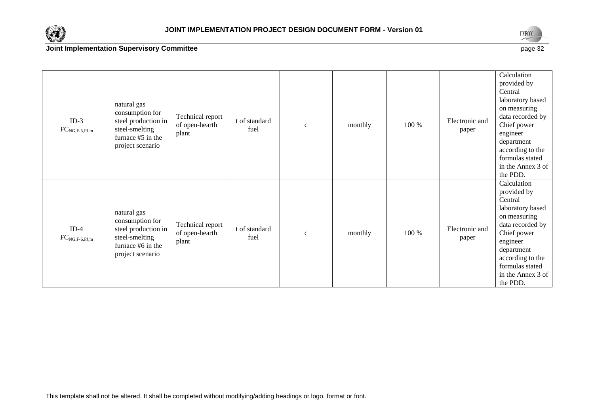



| $ID-3$<br>$FC_{NG,F-5,PJ,m}$ | natural gas<br>consumption for<br>steel production in<br>steel-smelting<br>furnace #5 in the<br>project scenario | Technical report<br>of open-hearth<br>plant | t of standard<br>fuel | $\mathbf c$  | monthly | 100 % | Electronic and<br>paper | Calculation<br>provided by<br>Central<br>laboratory based<br>on measuring<br>data recorded by<br>Chief power<br>engineer<br>department<br>according to the<br>formulas stated<br>in the Annex 3 of<br>the PDD. |
|------------------------------|------------------------------------------------------------------------------------------------------------------|---------------------------------------------|-----------------------|--------------|---------|-------|-------------------------|----------------------------------------------------------------------------------------------------------------------------------------------------------------------------------------------------------------|
| $ID-4$<br>$FC_{NG,F-6,PJ,m}$ | natural gas<br>consumption for<br>steel production in<br>steel-smelting<br>furnace #6 in the<br>project scenario | Technical report<br>of open-hearth<br>plant | t of standard<br>fuel | $\mathbf{C}$ | monthly | 100 % | Electronic and<br>paper | Calculation<br>provided by<br>Central<br>laboratory based<br>on measuring<br>data recorded by<br>Chief power<br>engineer<br>department<br>according to the<br>formulas stated<br>in the Annex 3 of<br>the PDD. |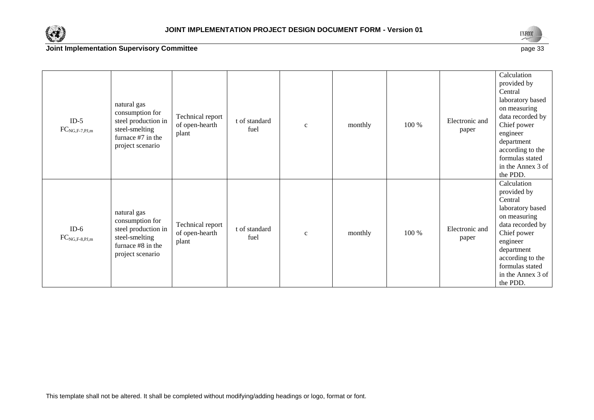



| $ID-5$<br>$FC_{NG,F-7,PJ,m}$ | natural gas<br>consumption for<br>steel production in<br>steel-smelting<br>furnace #7 in the<br>project scenario | Technical report<br>of open-hearth<br>plant | t of standard<br>fuel | $\mathbf{C}$ | monthly | 100 % | Electronic and<br>paper | Calculation<br>provided by<br>Central<br>laboratory based<br>on measuring<br>data recorded by<br>Chief power<br>engineer<br>department<br>according to the<br>formulas stated<br>in the Annex 3 of<br>the PDD. |
|------------------------------|------------------------------------------------------------------------------------------------------------------|---------------------------------------------|-----------------------|--------------|---------|-------|-------------------------|----------------------------------------------------------------------------------------------------------------------------------------------------------------------------------------------------------------|
| $ID-6$<br>$FC_{NG,F-8,PJ,m}$ | natural gas<br>consumption for<br>steel production in<br>steel-smelting<br>furnace #8 in the<br>project scenario | Technical report<br>of open-hearth<br>plant | t of standard<br>fuel | $\mathbf c$  | monthly | 100 % | Electronic and<br>paper | Calculation<br>provided by<br>Central<br>laboratory based<br>on measuring<br>data recorded by<br>Chief power<br>engineer<br>department<br>according to the<br>formulas stated<br>in the Annex 3 of<br>the PDD. |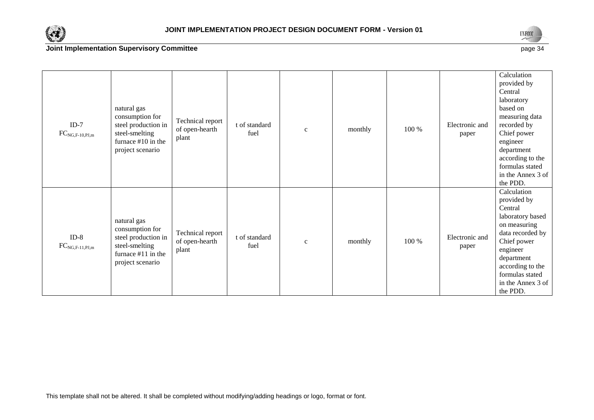



| $ID-7$<br>$FC_{NG,F-10,PJ,m}$ | natural gas<br>consumption for<br>steel production in<br>steel-smelting<br>furnace $#10$ in the<br>project scenario | Technical report<br>of open-hearth<br>plant | t of standard<br>fuel | $\mathbf c$ | monthly | 100 % | Electronic and<br>paper | Calculation<br>provided by<br>Central<br>laboratory<br>based on<br>measuring data<br>recorded by<br>Chief power<br>engineer<br>department<br>according to the<br>formulas stated<br>in the Annex 3 of<br>the PDD. |
|-------------------------------|---------------------------------------------------------------------------------------------------------------------|---------------------------------------------|-----------------------|-------------|---------|-------|-------------------------|-------------------------------------------------------------------------------------------------------------------------------------------------------------------------------------------------------------------|
| $ID-8$<br>$FC_{NG,F-11,PJ,m}$ | natural gas<br>consumption for<br>steel production in<br>steel-smelting<br>furnace $#11$ in the<br>project scenario | Technical report<br>of open-hearth<br>plant | t of standard<br>fuel | $\mathbf c$ | monthly | 100 % | Electronic and<br>paper | Calculation<br>provided by<br>Central<br>laboratory based<br>on measuring<br>data recorded by<br>Chief power<br>engineer<br>department<br>according to the<br>formulas stated<br>in the Annex 3 of<br>the PDD.    |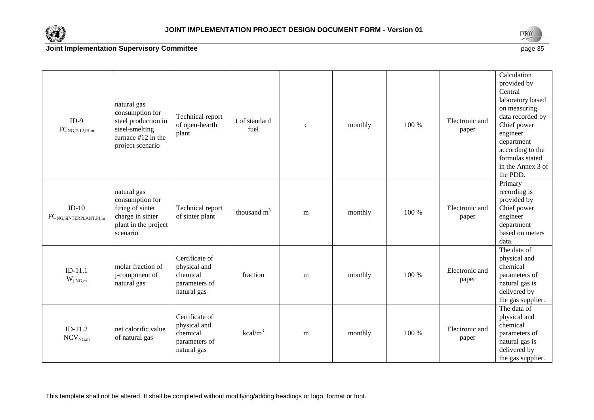



| $ID-9$<br>$FC_{\rm NG, F\text{-}12, PJ, m}$ | natural gas<br>consumption for<br>steel production in<br>steel-smelting<br>furnace #12 in the<br>project scenario | Technical report<br>of open-hearth<br>plant                                | t of standard<br>fuel | $\mathbf{c}$ | monthly | 100 % | Electronic and<br>paper | Calculation<br>provided by<br>Central<br>laboratory based<br>on measuring<br>data recorded by<br>Chief power<br>engineer<br>department<br>according to the<br>formulas stated<br>in the Annex 3 of<br>the PDD. |
|---------------------------------------------|-------------------------------------------------------------------------------------------------------------------|----------------------------------------------------------------------------|-----------------------|--------------|---------|-------|-------------------------|----------------------------------------------------------------------------------------------------------------------------------------------------------------------------------------------------------------|
| $ID-10$<br>$FC_{NG, SINTERPLANT,PI, m}$     | natural gas<br>consumption for<br>firing of sinter<br>charge in sinter<br>plant in the project<br>scenario        | Technical report<br>of sinter plant                                        | thousand $m3$         | m            | monthly | 100 % | Electronic and<br>paper | Primary<br>recording is<br>provided by<br>Chief power<br>engineer<br>department<br>based on meters<br>data.                                                                                                    |
| $ID-11.1$<br>$\mathbf{W}_{j,NG,m}$          | molar fraction of<br>j-component of<br>natural gas                                                                | Certificate of<br>physical and<br>chemical<br>parameters of<br>natural gas | fraction              | m            | monthly | 100 % | Electronic and<br>paper | The data of<br>physical and<br>chemical<br>parameters of<br>natural gas is<br>delivered by<br>the gas supplier.                                                                                                |
| $ID-11.2$<br>$NCV_{NG,m}$                   | net calorific value<br>of natural gas                                                                             | Certificate of<br>physical and<br>chemical<br>parameters of<br>natural gas | $kcal/m^3$            | m            | monthly | 100 % | Electronic and<br>paper | The data of<br>physical and<br>chemical<br>parameters of<br>natural gas is<br>delivered by<br>the gas supplier.                                                                                                |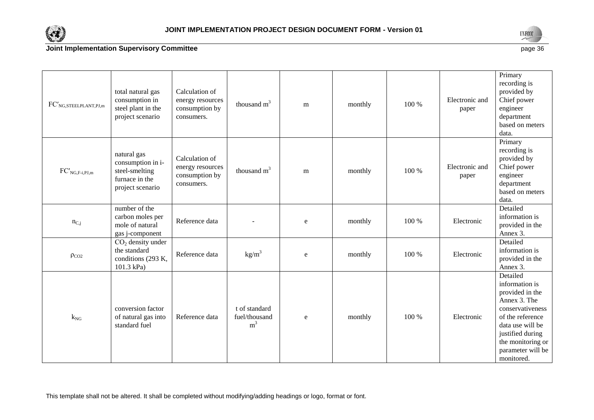



| $\operatorname{FC}^\prime_{\operatorname{NG},\operatorname{STEELPLANT},\operatorname{PI},\operatorname{m}}$ | total natural gas<br>consumption in<br>steel plant in the<br>project scenario            | Calculation of<br>energy resources<br>consumption by<br>consumers. | thousand $m3$                                    | m         | monthly | 100 % | Electronic and<br>paper | Primary<br>recording is<br>provided by<br>Chief power<br>engineer<br>department<br>based on meters<br>data.                                                                                           |
|-------------------------------------------------------------------------------------------------------------|------------------------------------------------------------------------------------------|--------------------------------------------------------------------|--------------------------------------------------|-----------|---------|-------|-------------------------|-------------------------------------------------------------------------------------------------------------------------------------------------------------------------------------------------------|
| $FC'_{NG,F-i,PJ,m}$                                                                                         | natural gas<br>consumption in i-<br>steel-smelting<br>furnace in the<br>project scenario | Calculation of<br>energy resources<br>consumption by<br>consumers. | thousand $m3$                                    | m         | monthly | 100 % | Electronic and<br>paper | Primary<br>recording is<br>provided by<br>Chief power<br>engineer<br>department<br>based on meters<br>data.                                                                                           |
| $n_{C,j}$                                                                                                   | number of the<br>carbon moles per<br>mole of natural<br>gas j-component                  | Reference data                                                     |                                                  | ${\bf e}$ | monthly | 100 % | Electronic              | Detailed<br>information is<br>provided in the<br>Annex 3.                                                                                                                                             |
| $\rho_{CO2}$                                                                                                | $CO2$ density under<br>the standard<br>conditions (293 K,<br>101.3 kPa)                  | Reference data                                                     | kg/m <sup>3</sup>                                | e         | monthly | 100 % | Electronic              | Detailed<br>information is<br>provided in the<br>Annex 3.                                                                                                                                             |
| $k_{NG}$                                                                                                    | conversion factor<br>of natural gas into<br>standard fuel                                | Reference data                                                     | t of standard<br>fuel/thousand<br>m <sup>3</sup> | ${\bf e}$ | monthly | 100 % | Electronic              | Detailed<br>information is<br>provided in the<br>Annex 3. The<br>conservativeness<br>of the reference<br>data use will be<br>justified during<br>the monitoring or<br>parameter will be<br>monitored. |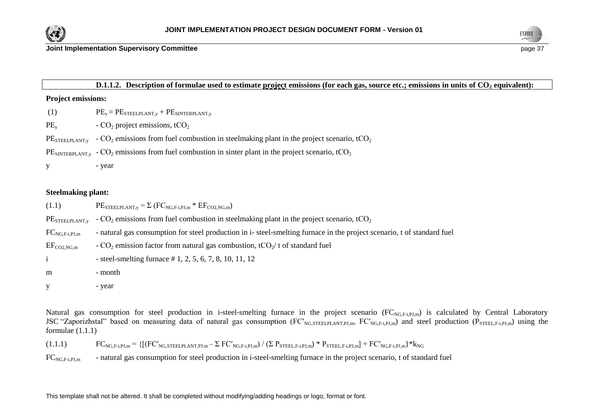



#### **Joint Implementation Supervisory Committee page 37 and 20 years and 20 years and 20 years and 37 years and 37 years and 37 years and 37 years and 37 years and 37 years and 37 years and 37 years and 37 years and 37 years a**

#### **D.1.1.2. Description of formulae used to estimate project emissions (for each gas, source etc.; emissions in units of CO<sup>2</sup> equivalent):**

#### **Project emissions:**

- (1)  $PE_y = PE_{STEELPLANT,y} + PE_{SINTERPLANT,y}$
- $PE<sub>v</sub>$  CO<sub>2</sub> project emissions, tCO<sub>2</sub>

 $PE<sub>STEEPLANT,y</sub>$  -  $CO<sub>2</sub>$  emissions from fuel combustion in steelmaking plant in the project scenario, tCO<sub>2</sub>

 $PE<sub>SNTFRPIANTy</sub> - CO<sub>2</sub> emissions from fuel combustion in sinter plant in the project scenario,  $tCO<sub>2</sub>$$ 

y - year

#### **Steelmaking plant:**

| (1.1)              | $PE_{STEELPLANT,y} = \sum (FC_{NG,F-i,PJ,m} * EF_{CO2,NG,m})$                                                          |
|--------------------|------------------------------------------------------------------------------------------------------------------------|
| $PE$ steelplant,y  | - $CO2$ emissions from fuel combustion in steelmaking plant in the project scenario, tCO <sub>2</sub>                  |
| $FC_{NG,F-i,PI,m}$ | - natural gas consumption for steel production in i-steel-smelting furnace in the project scenario, t of standard fuel |
| $EF_{CO2,NG,m}$    | - $CO2$ emission factor from natural gas combustion, tCO <sub>2</sub> /t of standard fuel                              |
|                    | - steel-smelting furnace $# 1, 2, 5, 6, 7, 8, 10, 11, 12$                                                              |
| m                  | - month                                                                                                                |
|                    | - year                                                                                                                 |

Natural gas consumption for steel production in i-steel-smelting furnace in the project scenario  $(FC_{NGF,iPLm})$  is calculated by Central Laboratory JSC "Zaporizhstal" based on measuring data of natural gas consumption (FC'<sub>NG,STEELPLANT,PJ,m</sub>, FC'<sub>NG,F-i,PJ,m</sub>) and steel production (P<sub>STEELF-i,PJ,m</sub>) using the formulae  $(1.1.1)$ 

 $(1.1.1)$   $FC_{NG,F-i,PJ,m} = \{[(FC'_{NG,STEELPLANT,PJ,m} - \Sigma FC'_{NG,F-i,PJ,m}) / (\Sigma P_{STEEL,F-i,PJ,m}) * P_{STEEL,F-i,PJ,m}] + FC'_{NG,F-i,PJ,m}\} * k_{NGF,i,PJ,m}$ 

 $FC_{NGF+1PL,m}$  - natural gas consumption for steel production in i-steel-smelting furnace in the project scenario, t of standard fuel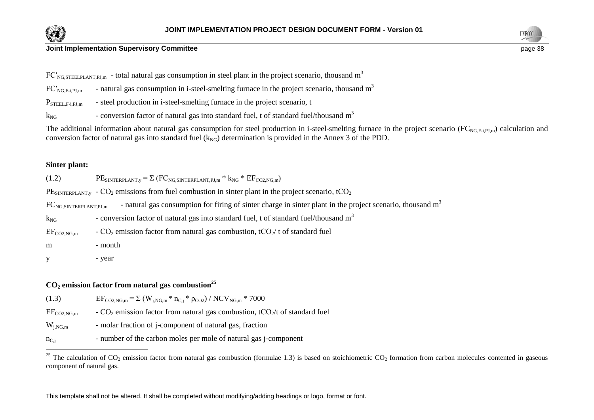



 $FC'_{NG, STFELPLANTPLm}$  - total natural gas consumption in steel plant in the project scenario, thousand m<sup>3</sup>

- $FC'_{NG,F-i,PJ,m}$  natural gas consumption in i-steel-smelting furnace in the project scenario, thousand  $m<sup>3</sup>$
- $P_{\text{STEEL},F-i,PJ,m}$  steel production in i-steel-smelting furnace in the project scenario, t

 $k_{NG}$  - conversion factor of natural gas into standard fuel, t of standard fuel/thousand  $m<sup>3</sup>$ 

The additional information about natural gas consumption for steel production in i-steel-smelting furnace in the project scenario ( $FC_{NGF+1PLm}$ ) calculation and conversion factor of natural gas into standard fuel  $(k_{NG})$  determination is provided in the Annex 3 of the PDD.

#### **Sinter plant:**

 $\overline{a}$ 

| (1.2)                                    | $PE$ SINTERPLANT, $y = \sum (FC_{NG, SINTERPLANT, PJ,m} * k_{NG} * EF_{CO2, NG,m})$                                    |
|------------------------------------------|------------------------------------------------------------------------------------------------------------------------|
|                                          | $PE_{SINTERPLANT,v}$ - $CO_2$ emissions from fuel combustion in sinter plant in the project scenario, tCO <sub>2</sub> |
| $\text{FC}_{\text{NG,SINTERPLANT,PI,m}}$ | - natural gas consumption for firing of sinter charge in sinter plant in the project scenario, thousand m <sup>3</sup> |
| $k_{NG}$                                 | - conversion factor of natural gas into standard fuel, t of standard fuel/thousand m <sup>3</sup>                      |
| $EF_{CO2,NG,m}$                          | - $CO2$ emission factor from natural gas combustion, t $CO2/t$ of standard fuel                                        |
| m                                        | - month                                                                                                                |
|                                          | - year                                                                                                                 |

#### **СО<sup>2</sup> emission factor from natural gas combustion<sup>25</sup>**

| (1.3)           | $EF_{\text{CO2,NG,m}} = \Sigma (W_{i,\text{NG,m}} * n_{C,i} * \rho_{\text{CO2}}) / NCV_{\text{NG,m}} * 7000$ |
|-----------------|--------------------------------------------------------------------------------------------------------------|
| $EF_{CO2,NG,m}$ | - $CO2$ emission factor from natural gas combustion, tCO <sub>2</sub> /t of standard fuel                    |
| $W_{i,NG,m}$    | - molar fraction of j-component of natural gas, fraction                                                     |
| $n_{C,i}$       | - number of the carbon moles per mole of natural gas j-component                                             |

<sup>&</sup>lt;sup>25</sup> The calculation of CO<sub>2</sub> emission factor from natural gas combustion (formulae 1.3) is based on stoichiometric CO<sub>2</sub> formation from carbon molecules contented in gaseous component of natural gas.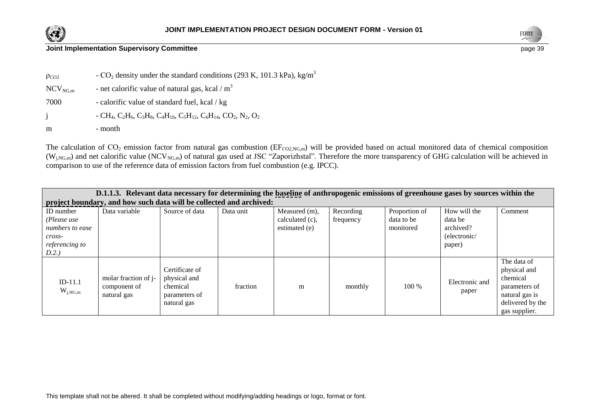



| $\rho_{CO2}$           | - $CO_2$ density under the standard conditions (293 K, 101.3 kPa), kg/m <sup>3</sup>             |
|------------------------|--------------------------------------------------------------------------------------------------|
| $\rm{NCV}_{\rm{NG},m}$ | - net calorific value of natural gas, kcal / $m3$                                                |
| 7000                   | - calorific value of standard fuel, kcal/kg                                                      |
| $\mathbf{1}$           | $-CH_4$ , $C_2H_6$ , $C_3H_8$ , $C_4H_{10}$ , $C_5H_{12}$ , $C_6H_{14}$ , $CO_2$ , $N_2$ , $O_2$ |
| m                      | - month                                                                                          |

The calculation of  $CO_2$  emission factor from natural gas combustion (EF<sub>CO2,NG,m</sub>) will be provided based on actual monitored data of chemical composition  $(W_{i,NG,m})$  and net calorific value (NCV<sub>NG,m</sub>) of natural gas used at JSC "Zaporizhstal". Therefore the more transparency of GHG calculation will be achieved in comparison to use of the reference data of emission factors from fuel combustion (e.g. IPCC).

| D.1.1.3. Relevant data necessary for determining the baseline of anthropogenic emissions of greenhouse gases by sources within the |                                                                     |                                                                            |           |                                                   |                        |                                          |                                                                |                                                                                                                 |
|------------------------------------------------------------------------------------------------------------------------------------|---------------------------------------------------------------------|----------------------------------------------------------------------------|-----------|---------------------------------------------------|------------------------|------------------------------------------|----------------------------------------------------------------|-----------------------------------------------------------------------------------------------------------------|
|                                                                                                                                    | project boundary, and how such data will be collected and archived: |                                                                            |           |                                                   |                        |                                          |                                                                |                                                                                                                 |
| ID number<br>(Please use<br>numbers to ease<br>cross-<br>referencing to<br>D.2.)                                                   | Data variable                                                       | Source of data                                                             | Data unit | Measured (m),<br>calculated (c),<br>estimated (e) | Recording<br>frequency | Proportion of<br>data to be<br>monitored | How will the<br>data be<br>archived?<br>(electronic/<br>paper) | Comment                                                                                                         |
| $ID-11.1$<br>$W_{j,NG,m}$                                                                                                          | molar fraction of j-<br>component of<br>natural gas                 | Certificate of<br>physical and<br>chemical<br>parameters of<br>natural gas | fraction  | m                                                 | monthly                | $100\%$                                  | Electronic and<br>paper                                        | The data of<br>physical and<br>chemical<br>parameters of<br>natural gas is<br>delivered by the<br>gas supplier. |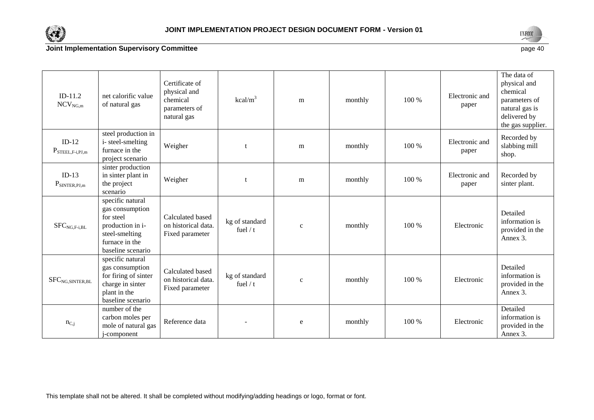



| $ID-11.2$<br>$NCV_{NG.m}$                | net calorific value<br>of natural gas                                                                                         | Certificate of<br>physical and<br>chemical<br>parameters of<br>natural gas | $kcal/m^3$                   | m            | monthly | 100 % | Electronic and<br>paper | The data of<br>physical and<br>chemical<br>parameters of<br>natural gas is<br>delivered by<br>the gas supplier. |
|------------------------------------------|-------------------------------------------------------------------------------------------------------------------------------|----------------------------------------------------------------------------|------------------------------|--------------|---------|-------|-------------------------|-----------------------------------------------------------------------------------------------------------------|
| $ID-12$<br>$P_{\text{STEEL}, F-i, PJ,m}$ | steel production in<br>i-steel-smelting<br>furnace in the<br>project scenario                                                 | Weigher                                                                    |                              | ${\rm m}$    | monthly | 100 % | Electronic and<br>paper | Recorded by<br>slabbing mill<br>shop.                                                                           |
| $ID-13$<br>$P_{SINTER,PI,m}$             | sinter production<br>in sinter plant in<br>the project<br>scenario                                                            | Weigher                                                                    |                              | m            | monthly | 100 % | Electronic and<br>paper | Recorded by<br>sinter plant.                                                                                    |
| $SFC_{NG,F-i,BL}$                        | specific natural<br>gas consumption<br>for steel<br>production in i-<br>steel-smelting<br>furnace in the<br>baseline scenario | Calculated based<br>on historical data.<br>Fixed parameter                 | kg of standard<br>fuel $/ t$ | $\mathbf{C}$ | monthly | 100 % | Electronic              | Detailed<br>information is<br>provided in the<br>Annex 3.                                                       |
| $\mbox{SFC}_{\rm NG, SINTER, BL}$        | specific natural<br>gas consumption<br>for firing of sinter<br>charge in sinter<br>plant in the<br>baseline scenario          | Calculated based<br>on historical data.<br>Fixed parameter                 | kg of standard<br>fuel $/ t$ | $\mathbf{C}$ | monthly | 100 % | Electronic              | Detailed<br>information is<br>provided in the<br>Annex 3.                                                       |
| $n_{C,j}$                                | number of the<br>carbon moles per<br>mole of natural gas<br>j-component                                                       | Reference data                                                             |                              | e            | monthly | 100 % | Electronic              | Detailed<br>information is<br>provided in the<br>Annex 3.                                                       |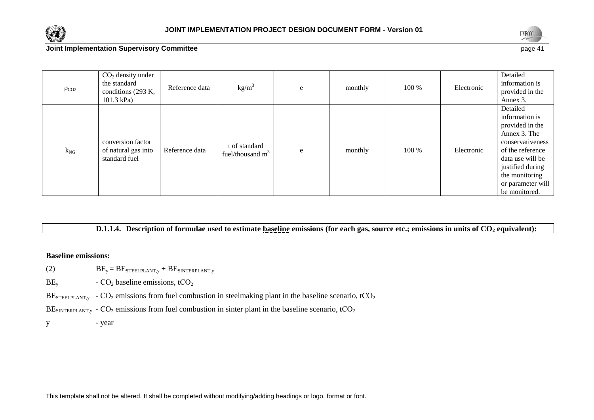



| $\rho_{CO2}$ | $CO2$ density under<br>the standard<br>conditions (293 K,<br>$101.3$ kPa) | Reference data | $\text{kg/m}^3$                      | e | monthly | 100 % | Electronic | Detailed<br>information is<br>provided in the<br>Annex 3.                                                                                                                                             |
|--------------|---------------------------------------------------------------------------|----------------|--------------------------------------|---|---------|-------|------------|-------------------------------------------------------------------------------------------------------------------------------------------------------------------------------------------------------|
| $k_{NG}$     | conversion factor<br>of natural gas into<br>standard fuel                 | Reference data | t of standard<br>fuel/thousand $m^3$ | e | monthly | 100 % | Electronic | Detailed<br>information is<br>provided in the<br>Annex 3. The<br>conservativeness<br>of the reference<br>data use will be<br>justified during<br>the monitoring<br>or parameter will<br>be monitored. |

#### **D.1.1.4. Description of formulae used to estimate baseline emissions (for each gas, source etc.; emissions in units of CO<sup>2</sup> equivalent):**

#### **Baseline emissions:**

- (2)  $BE_y = BE_{STEELPLANT,y} + BE_{SINTERPLANT,y}$
- $BE<sub>v</sub>$   $CO<sub>2</sub>$  baseline emissions, t $CO<sub>2</sub>$
- $BE<sub>STEELPLANT,y</sub>$   $CO<sub>2</sub>$  emissions from fuel combustion in steelmaking plant in the baseline scenario, tCO<sub>2</sub>
- BE<sub>SINTERPLANT,y</sub>  $CO_2$  emissions from fuel combustion in sinter plant in the baseline scenario, tCO<sub>2</sub>

y - year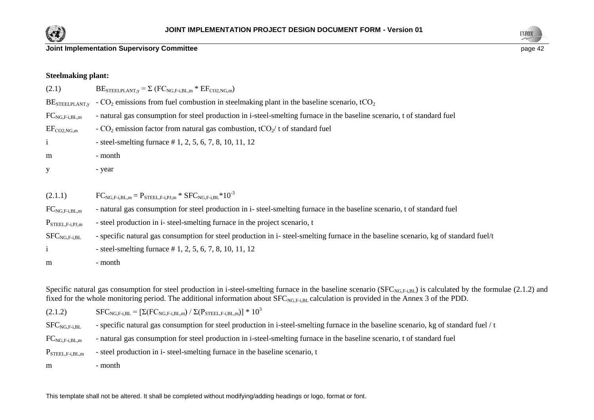



| Steelmaking plant: |                           |
|--------------------|---------------------------|
| (2.1)              | $BESTEELPLANT,y = \Sigma$ |

**Steelmaking plant:**

 $\Sigma$  (FC<sub>NG E-i BL,m</sub>  $*$  EF<sub>CO2</sub> NG<sub>m</sub>)

BE<sub>STEELPLANT</sub>, - CO<sub>2</sub> emissions from fuel combustion in steelmaking plant in the baseline scenario, tCO<sub>2</sub>

 $FC_{NGF,IR,m}$  - natural gas consumption for steel production in i-steel-smelting furnace in the baseline scenario, t of standard fuel

 $EF_{CO2,NG,m}$  - CO<sub>2</sub> emission factor from natural gas combustion, tCO<sub>2</sub>/ t of standard fuel

i - steel-smelting furnace # 1, 2, 5, 6, 7, 8, 10, 11, 12

m - month

y - year

| (2.1.1) | $FC_{NG,F-i,BL,m} = P_{STEEL,F-i,PJ,m} * SFC_{NG,F-i,BL} * 10^{-3}$ |  |  |  |
|---------|---------------------------------------------------------------------|--|--|--|
|---------|---------------------------------------------------------------------|--|--|--|

 $FC_{NG,Fi,BL,m}$  - natural gas consumption for steel production in i-steel-smelting furnace in the baseline scenario, t of standard fuel

 $P_{\text{STEELF-i.PJ,m}}$  - steel production in i- steel-smelting furnace in the project scenario, t

 $SFC_{NGE,IRI}$  - specific natural gas consumption for steel production in i-steel-smelting furnace in the baseline scenario, kg of standard fuel/t

 $i$  - steel-smelting furnace # 1, 2, 5, 6, 7, 8, 10, 11, 12

m - month

Specific natural gas consumption for steel production in i-steel-smelting furnace in the baseline scenario ( $SFC_{NG,F+1BL}$ ) is calculated by the formulae (2.1.2) and fixed for the whole monitoring period. The additional information about  $SFC_{NG,F,iBL}$  calculation is provided in the Annex 3 of the PDD.

(2.1.2)  $SFC_{NG,F-i,BL} = [\Sigma(FC_{NG,F-i,BL,m}) / \Sigma(P_{STEEL,F-i,BL,m})] * 10^3$ 

 $SFC_{NGF+1BL}$  - specific natural gas consumption for steel production in i-steel-smelting furnace in the baseline scenario, kg of standard fuel / t

 $FC_{NGF+1BL,m}$  - natural gas consumption for steel production in i-steel-smelting furnace in the baseline scenario, t of standard fuel

 $P_{\text{STEELEI,BI,m}}$  - steel production in i- steel-smelting furnace in the baseline scenario, t

m - month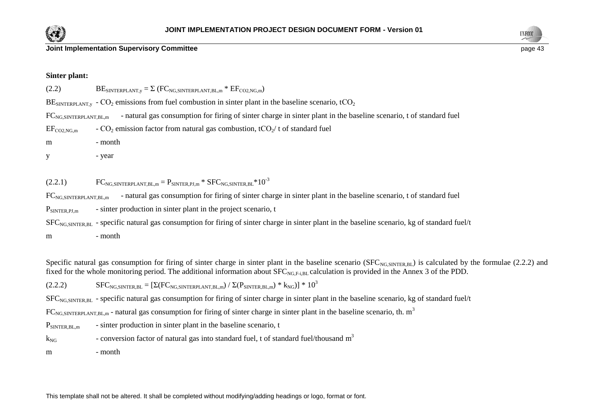



#### **Sinter plant:**

| (2.2)                        | $\text{BE}_{\text{SINTERPLANT,y}} = \Sigma \left( \text{FC}_{\text{NG,SINTERPLANT, BL,m}} * \text{EF}_{\text{CO2,NG,m}} \right)$                           |
|------------------------------|------------------------------------------------------------------------------------------------------------------------------------------------------------|
|                              | $BESNTERPLANT,v - CO2 emissions from fuel combustion in sinter plant in the baseline scenario, tCO2$                                                       |
| $FC_{NG, SINTERPLANT, BL,m}$ | - natural gas consumption for firing of sinter charge in sinter plant in the baseline scenario, t of standard fuel                                         |
| $EF_{CO2,NG,m}$              | - $CO2$ emission factor from natural gas combustion, tCO <sub>2</sub> /t of standard fuel                                                                  |
| m                            | - month                                                                                                                                                    |
| У                            | - year                                                                                                                                                     |
|                              |                                                                                                                                                            |
| (2.2.1)                      | $FC_{NG, SINTERPLANT, BL,m} = P_{SINTER, PJ,m} * SFC_{NG, SINTER, BL} * 10^{-3}$                                                                           |
| $FC_{NG, SINTERPLANT, BL,m}$ | - natural gas consumption for firing of sinter charge in sinter plant in the baseline scenario, t of standard fuel                                         |
| $P_{SINTER,PI,m}$            | - sinter production in sinter plant in the project scenario, t                                                                                             |
|                              | SFC <sub>NG,SINTER,BL</sub> - specific natural gas consumption for firing of sinter charge in sinter plant in the baseline scenario, kg of standard fuel/t |
| m                            | - month                                                                                                                                                    |
|                              |                                                                                                                                                            |

Specific natural gas consumption for firing of sinter charge in sinter plant in the baseline scenario (SFC<sub>NG SINTER BL</sub>) is calculated by the formulae (2.2.2) and fixed for the whole monitoring period. The additional information about SFC<sub>NG,F-i,BL</sub> calculation is provided in the Annex 3 of the PDD.

(2.2.2)  $SFC_{NG, SINTER, BL} = [\Sigma(FC_{NG, SINTERPLANT, BL,m}) / \Sigma(P_{SINTER, BL,m}) * k_{NG})] * 10<sup>3</sup>$ 

 $SFC<sub>NG</sub> SNTER<sub>BL</sub>$  - specific natural gas consumption for firing of sinter charge in sinter plant in the baseline scenario, kg of standard fuel/t

 $FC_{NG, SINTERPLANT, BL,m}$  - natural gas consumption for firing of sinter charge in sinter plant in the baseline scenario, th.  $m<sup>3</sup>$ 

 $P_{\text{SINTER, BL,m}}$  - sinter production in sinter plant in the baseline scenario, t

 $k_{NG}$  - conversion factor of natural gas into standard fuel, t of standard fuel/thousand  $m<sup>3</sup>$ 

m - month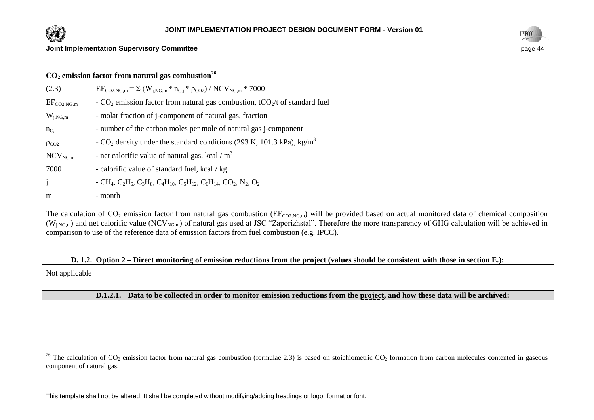



| $CO2$ emission factor from natural gas combustion <sup>26</sup> |                                                                                                                                                                                                                                |  |  |  |  |  |
|-----------------------------------------------------------------|--------------------------------------------------------------------------------------------------------------------------------------------------------------------------------------------------------------------------------|--|--|--|--|--|
| (2.3)                                                           | $EF_{\text{CO2,NG,m}} = \Sigma (W_{i,\text{NG,m}} * n_{C,i} * \rho_{\text{CO2}}) / NCV_{\text{NG,m}} * 7000$                                                                                                                   |  |  |  |  |  |
| $EF_{CO2,NG,m}$                                                 | - $CO_2$ emission factor from natural gas combustion, tCO <sub>2</sub> /t of standard fuel                                                                                                                                     |  |  |  |  |  |
| $W_{i,NG,m}$                                                    | - molar fraction of j-component of natural gas, fraction                                                                                                                                                                       |  |  |  |  |  |
| $n_{C,i}$                                                       | - number of the carbon moles per mole of natural gas j-component                                                                                                                                                               |  |  |  |  |  |
| $\rho_{CO2}$                                                    | - $CO_2$ density under the standard conditions (293 K, 101.3 kPa), kg/m <sup>3</sup>                                                                                                                                           |  |  |  |  |  |
| $NCV_{NG,m}$                                                    | - net calorific value of natural gas, kcal / $m3$                                                                                                                                                                              |  |  |  |  |  |
| 7000                                                            | - calorific value of standard fuel, kcal / kg                                                                                                                                                                                  |  |  |  |  |  |
| $\mathbf{j}$                                                    | $-CH_4$ , C <sub>2</sub> H <sub>6</sub> , C <sub>3</sub> H <sub>8</sub> , C <sub>4</sub> H <sub>10</sub> , C <sub>5</sub> H <sub>12</sub> , C <sub>6</sub> H <sub>14</sub> , CO <sub>2</sub> , N <sub>2</sub> , O <sub>2</sub> |  |  |  |  |  |
| m                                                               | - month                                                                                                                                                                                                                        |  |  |  |  |  |

The calculation of  $CO_2$  emission factor from natural gas combustion ( $EF_{CO2,NG,m}$ ) will be provided based on actual monitored data of chemical composition  $(W_{i,NG,m})$  and net calorific value (NCV<sub>NG,m</sub>) of natural gas used at JSC "Zaporizhstal". Therefore the more transparency of GHG calculation will be achieved in comparison to use of the reference data of emission factors from fuel combustion (e.g. IPCC).

**D. 1.2. Option 2 – Direct monitoring of emission reductions from the project (values should be consistent with those in section E.):**

Not applicable

 $\overline{a}$ 

**D.1.2.1. Data to be collected in order to monitor emission reductions from the project, and how these data will be archived:**

<sup>&</sup>lt;sup>26</sup> The calculation of CO<sub>2</sub> emission factor from natural gas combustion (formulae 2.3) is based on stoichiometric CO<sub>2</sub> formation from carbon molecules contented in gaseous component of natural gas.

This template shall not be altered. It shall be completed without modifying/adding headings or logo, format or font.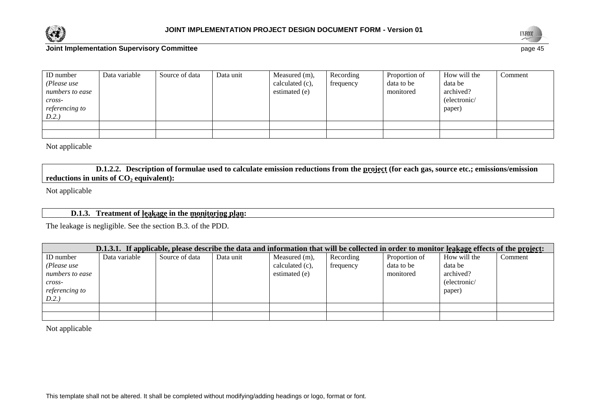



| ID number<br>(Please use<br>numbers to ease | Data variable | Source of data | Data unit | Measured (m),<br>calculated (c),<br>estimated (e) | Recording<br>frequency | Proportion of<br>data to be<br>monitored | How will the<br>data be<br>archived? | Comment |
|---------------------------------------------|---------------|----------------|-----------|---------------------------------------------------|------------------------|------------------------------------------|--------------------------------------|---------|
| $cross-$                                    |               |                |           |                                                   |                        |                                          | (electronic/                         |         |
| <i>referencing to</i>                       |               |                |           |                                                   |                        |                                          | paper)                               |         |
| D.2.)                                       |               |                |           |                                                   |                        |                                          |                                      |         |
|                                             |               |                |           |                                                   |                        |                                          |                                      |         |
|                                             |               |                |           |                                                   |                        |                                          |                                      |         |

Not applicable

**D.1.2.2. Description of formulae used to calculate emission reductions from the project (for each gas, source etc.; emissions/emission reductions in units of CO<sup>2</sup> equivalent):**

Not applicable

# **D.1.3. Treatment of leakage in the monitoring plan:**

The leakage is negligible. See the section B.3. of the PDD.

| D.1.3.1. If applicable, please describe the data and information that will be collected in order to monitor leakage effects of the project: |               |                |           |                    |           |               |              |         |  |
|---------------------------------------------------------------------------------------------------------------------------------------------|---------------|----------------|-----------|--------------------|-----------|---------------|--------------|---------|--|
| <b>ID</b> number                                                                                                                            | Data variable | Source of data | Data unit | Measured (m),      | Recording | Proportion of | How will the | Comment |  |
| (Please use                                                                                                                                 |               |                |           | calculated $(c)$ , | frequency | data to be    | data be      |         |  |
| numbers to ease                                                                                                                             |               |                |           | estimated (e)      |           | monitored     | archived?    |         |  |
| $cross-$                                                                                                                                    |               |                |           |                    |           |               | (electronic/ |         |  |
| referencing to                                                                                                                              |               |                |           |                    |           |               | paper)       |         |  |
| D.2.)                                                                                                                                       |               |                |           |                    |           |               |              |         |  |
|                                                                                                                                             |               |                |           |                    |           |               |              |         |  |
|                                                                                                                                             |               |                |           |                    |           |               |              |         |  |

Not applicable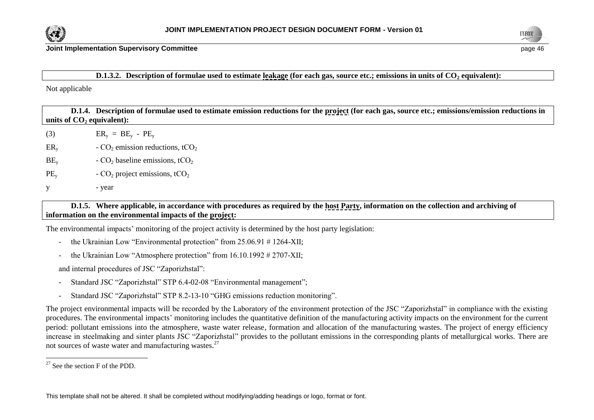



#### **D.1.3.2. Description of formulae used to estimate leakage (for each gas, source etc.; emissions in units of CO<sup>2</sup> equivalent):**

Not applicable

**D.1.4. Description of formulae used to estimate emission reductions for the project (for each gas, source etc.; emissions/emission reductions in units of CO<sup>2</sup> equivalent):** (3)  $\text{ER}_{\text{v}} = \text{BE}_{\text{v}} - \text{PE}_{\text{v}}$  $ER_{y}$  - CO<sub>2</sub> emission reductions, tCO<sub>2</sub>  $BE<sub>v</sub>$  - CO<sub>2</sub> baseline emissions, tCO<sub>2</sub>

- $PE<sub>v</sub>$  CO<sub>2</sub> project emissions, tCO<sub>2</sub>
- y year

# **D.1.5. Where applicable, in accordance with procedures as required by the host Party, information on the collection and archiving of information on the environmental impacts of the project:**

The environmental impacts' monitoring of the project activity is determined by the host party legislation:

- the Ukrainian Low "Environmental protection" from 25.06.91 #1264-XII;
- the Ukrainian Low "Atmosphere protection" from 16.10.1992 # 2707-XII;

and internal procedures of JSC "Zaporizhstal":

- Standard JSC "Zaporizhstal" STP 6.4-02-08 "Environmental management";
- Standard JSC "Zaporizhstal" STP 8.2-13-10 "GHG emissions reduction monitoring".

The project environmental impacts will be recorded by the Laboratory of the environment protection of the JSC "Zaporizhstal" in compliance with the existing procedures. The environmental impacts' monitoring includes the quantitative definition of the manufacturing activity impacts on the environment for the current period: pollutant emissions into the atmosphere, waste water release, formation and allocation of the manufacturing wastes. The project of energy efficiency increase in steelmaking and sinter plants JSC "Zaporizhstal" provides to the pollutant emissions in the corresponding plants of metallurgical works. There are not sources of waste water and manufacturing wastes.<sup>27</sup>

l

 $27$  See the section F of the PDD.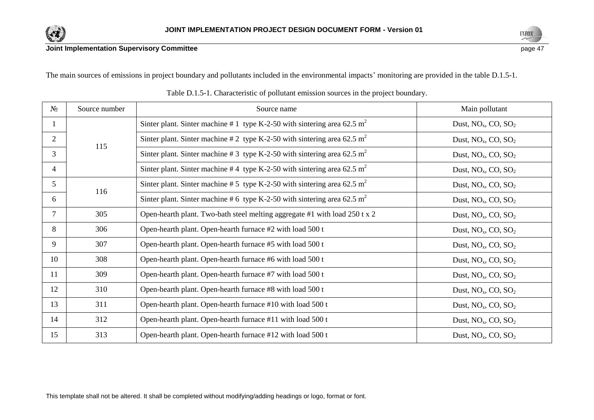



The main sources of emissions in project boundary and pollutants included in the environmental impacts' monitoring are provided in the table D.1.5-1.

| $N_2$          | Source number | Source name                                                                          | Main pollutant               |
|----------------|---------------|--------------------------------------------------------------------------------------|------------------------------|
|                |               | Sinter plant. Sinter machine # 1 type K-2-50 with sintering area 62.5 m <sup>2</sup> | Dust, $NO_x$ , $CO$ , $SO_2$ |
| $\overline{2}$ | 115           | Sinter plant. Sinter machine # 2 type K-2-50 with sintering area 62.5 m <sup>2</sup> | Dust, $NO_x$ , $CO$ , $SO_2$ |
| 3              |               | Sinter plant. Sinter machine # 3 type K-2-50 with sintering area 62.5 m <sup>2</sup> | Dust, $NO_x$ , $CO$ , $SO_2$ |
| 4              |               | Sinter plant. Sinter machine #4 type K-2-50 with sintering area 62.5 m <sup>2</sup>  | Dust, $NO_x$ , $CO$ , $SO_2$ |
| 5 <sup>5</sup> | 116           | Sinter plant. Sinter machine # 5 type K-2-50 with sintering area 62.5 m <sup>2</sup> | Dust, $NO_x$ , $CO$ , $SO_2$ |
| 6              |               | Sinter plant. Sinter machine # 6 type K-2-50 with sintering area 62.5 m <sup>2</sup> | Dust, $NO_x$ , $CO$ , $SO_2$ |
| $\tau$         | 305           | Open-hearth plant. Two-bath steel melting aggregate #1 with load 250 t x 2           | Dust, $NO_x$ , $CO$ , $SO_2$ |
| 8              | 306           | Open-hearth plant. Open-hearth furnace #2 with load 500 t                            | Dust, $NO_x$ , $CO$ , $SO_2$ |
| 9              | 307           | Open-hearth plant. Open-hearth furnace #5 with load 500 t                            | Dust, $NO_x$ , $CO$ , $SO_2$ |
| 10             | 308           | Open-hearth plant. Open-hearth furnace #6 with load 500 t                            | Dust, $NO_x$ , $CO$ , $SO_2$ |
| 11             | 309           | Open-hearth plant. Open-hearth furnace #7 with load 500 t                            | Dust, $NO_x$ , $CO$ , $SO_2$ |
| 12             | 310           | Open-hearth plant. Open-hearth furnace #8 with load 500 t                            | Dust, $NO_x$ , $CO$ , $SO_2$ |
| 13             | 311           | Open-hearth plant. Open-hearth furnace #10 with load 500 t                           | Dust, $NO_x$ , $CO$ , $SO_2$ |
| 14             | 312           | Open-hearth plant. Open-hearth furnace #11 with load 500 t                           | Dust, $NO_x$ , $CO$ , $SO_2$ |
| 15             | 313           | Open-hearth plant. Open-hearth furnace #12 with load 500 t                           | Dust, $NO_x$ , $CO$ , $SO_2$ |

Table D.1.5-1. Characteristic of pollutant emission sources in the project boundary.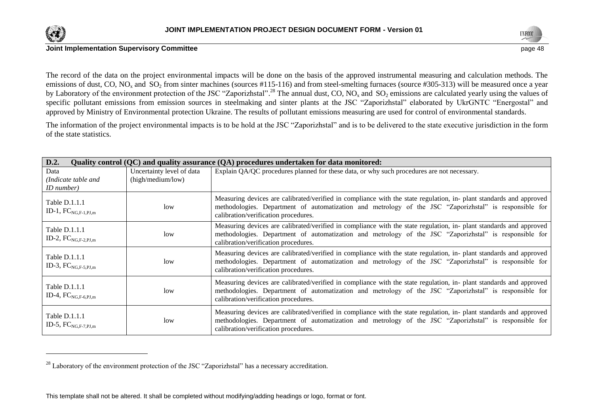

l





The record of the data on the project environmental impacts will be done on the basis of the approved instrumental measuring and calculation methods. The emissions of dust, CO, NO<sub>x</sub> and SO<sub>2</sub> from sinter machines (sources #115-116) and from steel-smelting furnaces (source #305-313) will be measured once a year by Laboratory of the environment protection of the JSC "Zaporizhstal".<sup>28</sup> The annual dust, CO, NO<sub>x</sub> and SO<sub>2</sub> emissions are calculated yearly using the values of specific pollutant emissions from emission sources in steelmaking and sinter plants at the JSC "Zaporizhstal" elaborated by UkrGNTC "Energostal" and approved by Ministry of Environmental protection Ukraine. The results of pollutant emissions measuring are used for control of environmental standards.

The information of the project environmental impacts is to be hold at the JSC "Zaporizhstal" and is to be delivered to the state executive jurisdiction in the form of the state statistics.

| D.2.                                      |                           | Quality control (QC) and quality assurance (QA) procedures undertaken for data monitored:                                                                                                                                                                             |
|-------------------------------------------|---------------------------|-----------------------------------------------------------------------------------------------------------------------------------------------------------------------------------------------------------------------------------------------------------------------|
| Data                                      | Uncertainty level of data | Explain QA/QC procedures planned for these data, or why such procedures are not necessary.                                                                                                                                                                            |
| (Indicate table and                       | (high/medium/low)         |                                                                                                                                                                                                                                                                       |
| <i>ID</i> number)                         |                           |                                                                                                                                                                                                                                                                       |
| Table D.1.1.1<br>ID-1, $FC_{NG.F-1.PJ.m}$ | 1 <sub>ow</sub>           | Measuring devices are calibrated/verified in compliance with the state regulation, in- plant standards and approved<br>methodologies. Department of automatization and metrology of the JSC "Zaporizhstal" is responsible for<br>calibration/verification procedures. |
| Table D.1.1.1<br>ID-2, $FC_{NG.F-2.PJ.m}$ | low                       | Measuring devices are calibrated/verified in compliance with the state regulation, in- plant standards and approved<br>methodologies. Department of automatization and metrology of the JSC "Zaporizhstal" is responsible for<br>calibration/verification procedures. |
| Table D.1.1.1<br>ID-3, $FC_{NG,F-5,PJ,m}$ | 1 <sub>ow</sub>           | Measuring devices are calibrated/verified in compliance with the state regulation, in- plant standards and approved<br>methodologies. Department of automatization and metrology of the JSC "Zaporizhstal" is responsible for<br>calibration/verification procedures. |
| Table D.1.1.1<br>ID-4, $FC_{NG,F-6,PI,m}$ | 1 <sub>ow</sub>           | Measuring devices are calibrated/verified in compliance with the state regulation, in- plant standards and approved<br>methodologies. Department of automatization and metrology of the JSC "Zaporizhstal" is responsible for<br>calibration/verification procedures. |
| Table D.1.1.1<br>ID-5, $FC_{NG,F-7,PJ,m}$ | low                       | Measuring devices are calibrated/verified in compliance with the state regulation, in- plant standards and approved<br>methodologies. Department of automatization and metrology of the JSC "Zaporizhstal" is responsible for<br>calibration/verification procedures. |

 $^{28}$  Laboratory of the environment protection of the JSC "Zaporizhstal" has a necessary accreditation.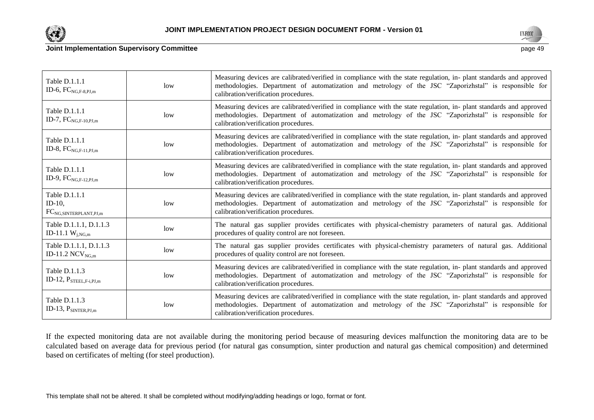

Table D.1.1.1 ID-6,  $FC_{NG,F-8,PJ,m}$ 

Table D.1.1.1 ID-7,  $FC_{NG,F-10,PJ,m}$ 

Table D.1.1.1 ID-8,  $FC_{NG.F-11.PJ,m}$ 

Table D.1.1.1 ID-9,  $FC_{NGF-12,PIm}$ 

Table D.1.1.1 ID-10,

FCNG,SINTERPLANT,PJ,m

Table D.1.1.1, D.1.1.3



#### **Joint Implementation Supervisory Committee** page 49

| low | Measuring devices are calibrated/verified in compliance with the state regulation, in- plant standards and approved<br>methodologies. Department of automatization and metrology of the JSC "Zaporizhstal" is responsible for<br>calibration/verification procedures. |
|-----|-----------------------------------------------------------------------------------------------------------------------------------------------------------------------------------------------------------------------------------------------------------------------|
| low | Measuring devices are calibrated/verified in compliance with the state regulation, in-plant standards and approved<br>methodologies. Department of automatization and metrology of the JSC "Zaporizhstal" is responsible for<br>calibration/verification procedures.  |
| low | Measuring devices are calibrated/verified in compliance with the state regulation, in- plant standards and approved<br>methodologies. Department of automatization and metrology of the JSC "Zaporizhstal" is responsible for<br>calibration/verification procedures. |
| low | Measuring devices are calibrated/verified in compliance with the state regulation, in- plant standards and approved<br>methodologies. Department of automatization and metrology of the JSC "Zaporizhstal" is responsible for<br>calibration/verification procedures. |
| low | Measuring devices are calibrated/verified in compliance with the state regulation, in- plant standards and approved<br>methodologies. Department of automatization and metrology of the JSC "Zaporizhstal" is responsible for                                         |

low The natural gas supplier provides certificates with physical-chemistry parameters of natural gas. Additional

| ID-11.1 $W_{i,NG,m}$                                       | $\cdots$ | procedures of quality control are not foreseen.                                                                                                                                                                                                                       |
|------------------------------------------------------------|----------|-----------------------------------------------------------------------------------------------------------------------------------------------------------------------------------------------------------------------------------------------------------------------|
| Table D.1.1.1, D.1.1.3<br>ID-11.2 NCV $_{\text{NGm}}$      | low      | The natural gas supplier provides certificates with physical-chemistry parameters of natural gas. Additional<br>procedures of quality control are not foreseen.                                                                                                       |
| Table D.1.1.3<br>ID-12, $P_{\text{STEEL},\text{F-i,PI,m}}$ | low      | Measuring devices are calibrated/verified in compliance with the state regulation, in- plant standards and approved<br>methodologies. Department of automatization and metrology of the JSC "Zaporizhstal" is responsible for<br>calibration/verification procedures. |
| Table $D.1.1.3$<br>ID-13, $P_{SINTER,PI,m}$                | low      | Measuring devices are calibrated/verified in compliance with the state regulation, in- plant standards and approved<br>methodologies. Department of automatization and metrology of the JSC "Zaporizhstal" is responsible for<br>calibration/verification procedures. |

calibration/verification procedures.

If the expected monitoring data are not available during the monitoring period because of measuring devices malfunction the monitoring data are to be calculated based on average data for previous period (for natural gas consumption, sinter production and natural gas chemical composition) and determined based on certificates of melting (for steel production).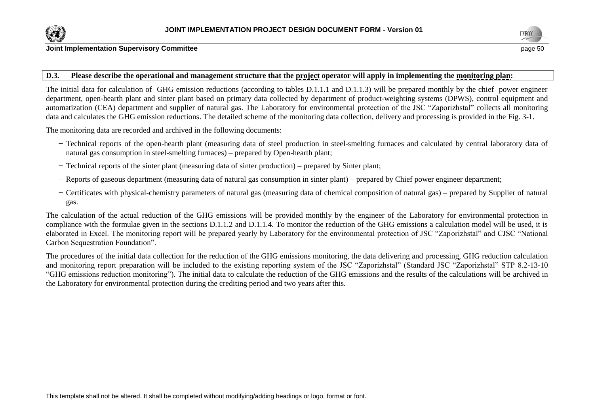



#### **D.3. Please describe the operational and management structure that the project operator will apply in implementing the monitoring plan:**

The initial data for calculation of GHG emission reductions (according to tables D.1.1.1 and D.1.1.3) will be prepared monthly by the chief power engineer department, open-hearth plant and sinter plant based on primary data collected by department of product-weighting systems (DPWS), control equipment and automatization (CEA) department and supplier of natural gas. The Laboratory for environmental protection of the JSC "Zaporizhstal" collects all monitoring data and calculates the GHG emission reductions. The detailed scheme of the monitoring data collection, delivery and processing is provided in the Fig. 3-1.

The monitoring data are recorded and archived in the following documents:

- − Technical reports of the open-hearth plant (measuring data of steel production in steel-smelting furnaces and calculated by central laboratory data of natural gas consumption in steel-smelting furnaces) – prepared by Open-hearth plant;
- − Technical reports of the sinter plant (measuring data of sinter production) prepared by Sinter plant;
- − Reports of gaseous department (measuring data of natural gas consumption in sinter plant) prepared by Chief power engineer department;
- − Certificates with physical-chemistry parameters of natural gas (measuring data of chemical composition of natural gas) prepared by Supplier of natural gas.

The calculation of the actual reduction of the GHG emissions will be provided monthly by the engineer of the Laboratory for environmental protection in compliance with the formulae given in the sections D.1.1.2 and D.1.1.4. To monitor the reduction of the GHG emissions a calculation model will be used, it is elaborated in Excel. The monitoring report will be prepared yearly by Laboratory for the environmental protection of JSC "Zaporizhstal" and CJSC "National Carbon Sequestration Foundation".

The procedures of the initial data collection for the reduction of the GHG emissions monitoring, the data delivering and processing, GHG reduction calculation and monitoring report preparation will be included to the existing reporting system of the JSC "Zaporizhstal" (Standard JSC "Zaporizhstal" STP 8.2-13-10 "GHG emissions reduction monitoring"). The initial data to calculate the reduction of the GHG emissions and the results of the calculations will be archived in the Laboratory for environmental protection during the crediting period and two years after this.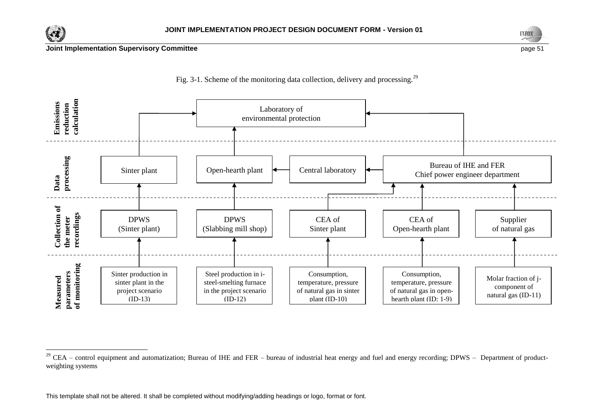

 $\overline{a}$ 







 $^{29}$  CEA – control equipment and automatization; Bureau of IHE and FER – bureau of industrial heat energy and fuel and energy recording; DPWS – Department of productweighting systems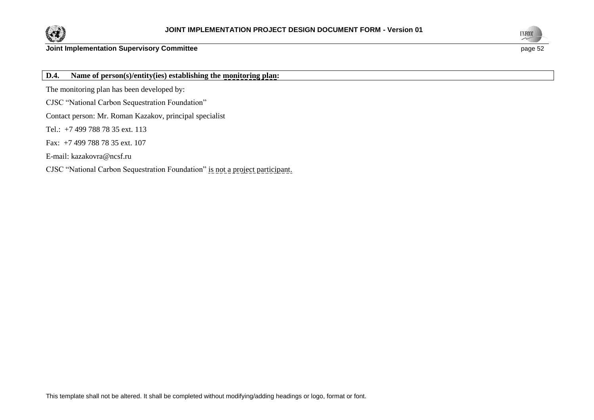



**D.4. Name of person(s)/entity(ies) establishing the monitoring plan:**

The monitoring plan has been developed by:

CJSC "National Carbon Sequestration Foundation"

Contact person: Mr. Roman Kazakov, principal specialist

Tel.: +7 499 788 78 35 ext. 113

Fax: +7 499 788 78 35 ext. 107

E-mail: [kazakovra@ncsf.ru](mailto:kazakovra@ncsf.ru)

CJSC "National Carbon Sequestration Foundation" is not a project participant.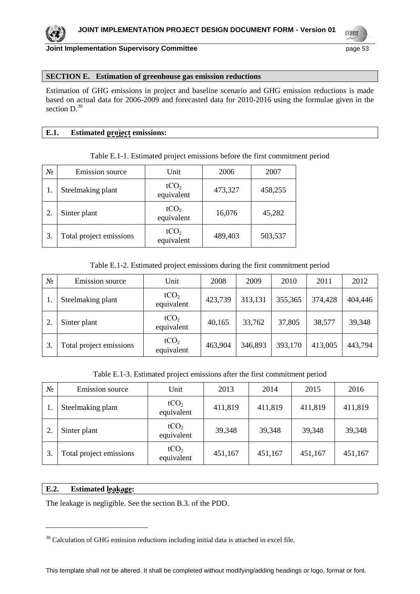**UNFOCO** 

#### **SECTION E. Estimation of greenhouse gas emission reductions**

Estimation of GHG emissions in project and baseline scenario and GHG emission reductions is made based on actual data for 2006-2009 and forecasted data for 2010-2016 using the formulae given in the section  $D^{30}$ 

#### **E.1. Estimated project emissions:**

#### Table E.1-1. Estimated project emissions before the first commitment period

| $N_2$ | Emission source         | Unit                           | 2006    | 2007    |
|-------|-------------------------|--------------------------------|---------|---------|
|       | Steelmaking plant       | tCO <sub>2</sub><br>equivalent | 473,327 | 458,255 |
|       | Sinter plant            | tCO <sub>2</sub><br>equivalent | 16,076  | 45,282  |
| 3.    | Total project emissions | tCO <sub>2</sub><br>equivalent | 489,403 | 503,537 |

#### Table E.1-2. Estimated project emissions during the first commitment period

| $N_2$ | Emission source         | Unit                           | 2008    | 2009    | 2010    | 2011    | 2012    |
|-------|-------------------------|--------------------------------|---------|---------|---------|---------|---------|
|       | Steelmaking plant       | tCO <sub>2</sub><br>equivalent | 423,739 | 313,131 | 355,365 | 374,428 | 404,446 |
|       | Sinter plant            | tCO <sub>2</sub><br>equivalent | 40,165  | 33,762  | 37,805  | 38,577  | 39,348  |
|       | Total project emissions | tCO <sub>2</sub><br>equivalent | 463,904 | 346,893 | 393,170 | 413,005 | 443,794 |

#### Table E.1-3. Estimated project emissions after the first commitment period

| $N_2$ | Emission source         | Unit                           | 2013    | 2014    | 2015    | 2016    |
|-------|-------------------------|--------------------------------|---------|---------|---------|---------|
| 1.    | Steelmaking plant       | tCO <sub>2</sub><br>equivalent | 411,819 | 411,819 | 411,819 | 411,819 |
| 2.    | Sinter plant            | tCO <sub>2</sub><br>equivalent | 39,348  | 39,348  | 39,348  | 39,348  |
| 3.    | Total project emissions | tCO <sub>2</sub><br>equivalent | 451,167 | 451,167 | 451,167 | 451,167 |

#### **E.2. Estimated leakage:**

l

The leakage is negligible. See the section B.3. of the PDD.

<sup>&</sup>lt;sup>30</sup> Calculation of GHG emission reductions including initial data is attached in excel file.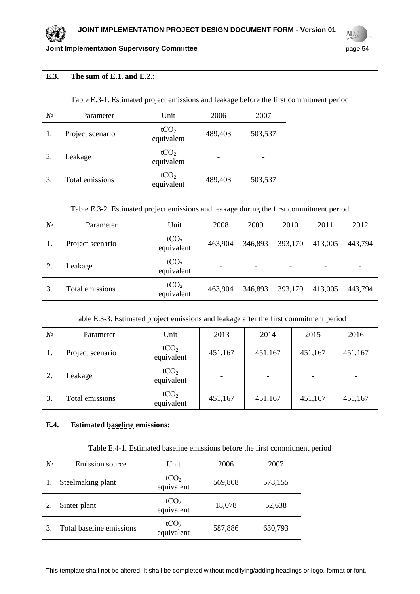**UNFCCC** 

#### **E.3. The sum of E.1. and E.2.:**

| Table E.3-1. Estimated project emissions and leakage before the first commitment period |        |      |      |  |
|-----------------------------------------------------------------------------------------|--------|------|------|--|
| Parameter                                                                               | I Init | 2006 | 2007 |  |

| $N_2$ | Parameter        | Unit                           | 2006    | 2007    |
|-------|------------------|--------------------------------|---------|---------|
| 1.    | Project scenario | tCO <sub>2</sub><br>equivalent | 489,403 | 503,537 |
| 2.    | Leakage          | tCO <sub>2</sub><br>equivalent |         |         |
| 3.    | Total emissions  | tCO <sub>2</sub><br>equivalent | 489,403 | 503,537 |

Table E.3-2. Estimated project emissions and leakage during the first commitment period

| $N_2$ | Parameter        | Unit                           | 2008    | 2009    | 2010    | 2011    | 2012    |
|-------|------------------|--------------------------------|---------|---------|---------|---------|---------|
| 1.    | Project scenario | tCO <sub>2</sub><br>equivalent | 463,904 | 346,893 | 393,170 | 413,005 | 443,794 |
| 2.    | Leakage          | tCO <sub>2</sub><br>equivalent |         |         |         |         |         |
| 3.    | Total emissions  | tCO <sub>2</sub><br>equivalent | 463,904 | 346,893 | 393,170 | 413,005 | 443,794 |

#### Table E.3-3. Estimated project emissions and leakage after the first commitment period

| $N_2$ | Parameter        | Unit                           | 2013    | 2014    | 2015    | 2016    |
|-------|------------------|--------------------------------|---------|---------|---------|---------|
| 1.    | Project scenario | tCO <sub>2</sub><br>equivalent | 451,167 | 451,167 | 451,167 | 451,167 |
| 2.    | Leakage          | tCO <sub>2</sub><br>equivalent |         |         |         |         |
| 3.    | Total emissions  | tCO <sub>2</sub><br>equivalent | 451,167 | 451,167 | 451,167 | 451,167 |

# **E.4. Estimated baseline emissions:**

|  |  |  | Table E.4-1. Estimated baseline emissions before the first commitment period |  |
|--|--|--|------------------------------------------------------------------------------|--|
|  |  |  |                                                                              |  |

| $N_2$ | <b>Emission</b> source   | Unit                           | 2006    | 2007    |
|-------|--------------------------|--------------------------------|---------|---------|
|       | Steelmaking plant        | tCO <sub>2</sub><br>equivalent | 569,808 | 578,155 |
|       | Sinter plant             | tCO <sub>2</sub><br>equivalent | 18,078  | 52,638  |
| 3.    | Total baseline emissions | tCO <sub>2</sub><br>equivalent | 587,886 | 630,793 |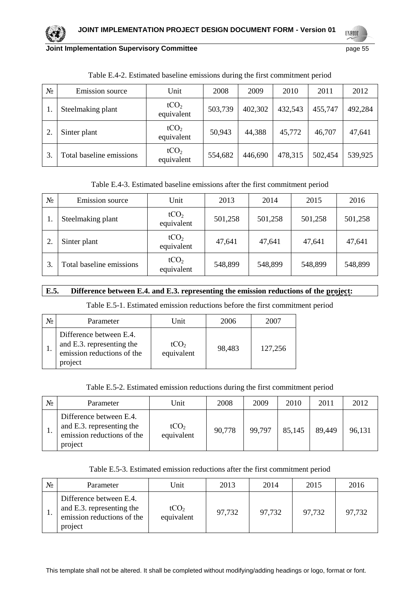

**Joint Implementation Supervisory Committee Access 2018 12:33 Page 55** page 55

**UNFOCO** 

| No | Emission source          | Unit                           | 2008    | 2009    | 2010    | 2011    | 2012    |
|----|--------------------------|--------------------------------|---------|---------|---------|---------|---------|
|    | Steelmaking plant        | tCO <sub>2</sub><br>equivalent | 503,739 | 402,302 | 432,543 | 455,747 | 492,284 |
|    | Sinter plant             | tCO <sub>2</sub><br>equivalent | 50,943  | 44,388  | 45,772  | 46,707  | 47,641  |
|    | Total baseline emissions | tCO <sub>2</sub><br>equivalent | 554,682 | 446,690 | 478,315 | 502,454 | 539,925 |

Table E.4-2. Estimated baseline emissions during the first commitment period

Table E.4-3. Estimated baseline emissions after the first commitment period

| N∘ | Emission source          | Unit                           | 2013    | 2014    | 2015    | 2016    |
|----|--------------------------|--------------------------------|---------|---------|---------|---------|
|    | Steelmaking plant        | tCO <sub>2</sub><br>equivalent | 501,258 | 501,258 | 501,258 | 501,258 |
|    | Sinter plant             | tCO <sub>2</sub><br>equivalent | 47,641  | 47,641  | 47,641  | 47,641  |
|    | Total baseline emissions | tCO <sub>2</sub><br>equivalent | 548,899 | 548,899 | 548,899 | 548,899 |

# **E.5. Difference between E.4. and E.3. representing the emission reductions of the project:**

Table E.5-1. Estimated emission reductions before the first commitment period

| N <sub>0</sub> | Parameter                                                                                     | Unit                           | 2006   | 2007    |
|----------------|-----------------------------------------------------------------------------------------------|--------------------------------|--------|---------|
|                | Difference between E.4.<br>and E.3. representing the<br>emission reductions of the<br>project | tCO <sub>2</sub><br>equivalent | 98,483 | 127,256 |

Table E.5-2. Estimated emission reductions during the first commitment period

| $N_{2}$ | Parameter                                                                                     | Unit                           | 2008   | 2009   | 2010   | 2011   | 2012   |
|---------|-----------------------------------------------------------------------------------------------|--------------------------------|--------|--------|--------|--------|--------|
|         | Difference between E.4.<br>and E.3. representing the<br>emission reductions of the<br>project | tCO <sub>2</sub><br>equivalent | 90,778 | 99,797 | 85,145 | 89,449 | 96,131 |

Table E.5-3. Estimated emission reductions after the first commitment period

| $N_{2}$ | Parameter                                                                                     | Unit                           | 2013   | 2014   | 2015   | 2016   |
|---------|-----------------------------------------------------------------------------------------------|--------------------------------|--------|--------|--------|--------|
|         | Difference between E.4.<br>and E.3. representing the<br>emission reductions of the<br>project | tCO <sub>2</sub><br>equivalent | 97,732 | 97,732 | 97,732 | 97,732 |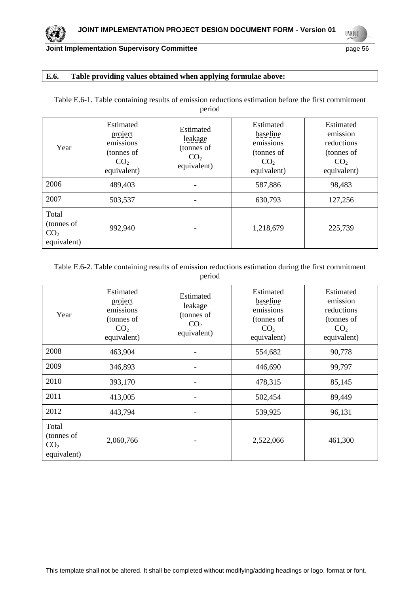**UNFCCC** 

### **E.6. Table providing values obtained when applying formulae above:**

| Table E.6-1. Table containing results of emission reductions estimation before the first commitment |  |  |  |  |  |  |  |  |
|-----------------------------------------------------------------------------------------------------|--|--|--|--|--|--|--|--|
| period                                                                                              |  |  |  |  |  |  |  |  |
|                                                                                                     |  |  |  |  |  |  |  |  |

| Year                                                  | Estimated<br>project<br>emissions<br>(tonnes of<br>CO <sub>2</sub><br>equivalent) | Estimated<br>leakage<br>(tonnes of<br>CO <sub>2</sub><br>equivalent) | Estimated<br>baseline<br>emissions<br>(tonnes of<br>CO <sub>2</sub><br>equivalent) | Estimated<br>emission<br>reductions<br>(tonnes of<br>CO <sub>2</sub><br>equivalent) |
|-------------------------------------------------------|-----------------------------------------------------------------------------------|----------------------------------------------------------------------|------------------------------------------------------------------------------------|-------------------------------------------------------------------------------------|
| 2006                                                  | 489,403                                                                           |                                                                      | 587,886                                                                            | 98,483                                                                              |
| 2007                                                  | 503,537                                                                           |                                                                      | 630,793                                                                            | 127,256                                                                             |
| Total<br>(tonnes of<br>CO <sub>2</sub><br>equivalent) | 992,940                                                                           |                                                                      | 1,218,679                                                                          | 225,739                                                                             |

Table E.6-2. Table containing results of emission reductions estimation during the first commitment period

| Year                                                  | Estimated<br>project<br>emissions<br>(tonnes of<br>CO <sub>2</sub><br>equivalent) | Estimated<br>leakage<br>(tonnes of<br>CO <sub>2</sub><br>equivalent) | Estimated<br>baseline<br>emissions<br>(tonnes of<br>CO <sub>2</sub><br>equivalent) | Estimated<br>emission<br>reductions<br>(tonnes of<br>CO <sub>2</sub><br>equivalent) |
|-------------------------------------------------------|-----------------------------------------------------------------------------------|----------------------------------------------------------------------|------------------------------------------------------------------------------------|-------------------------------------------------------------------------------------|
| 2008                                                  | 463,904                                                                           |                                                                      | 554,682                                                                            | 90,778                                                                              |
| 2009                                                  | 346,893                                                                           |                                                                      | 446,690                                                                            | 99,797                                                                              |
| 2010                                                  | 393,170                                                                           |                                                                      | 478,315                                                                            | 85,145                                                                              |
| 2011                                                  | 413,005                                                                           |                                                                      | 502,454                                                                            | 89,449                                                                              |
| 2012                                                  | 443,794                                                                           |                                                                      | 539,925                                                                            | 96,131                                                                              |
| Total<br>(tonnes of<br>CO <sub>2</sub><br>equivalent) | 2,060,766                                                                         |                                                                      | 2,522,066                                                                          | 461,300                                                                             |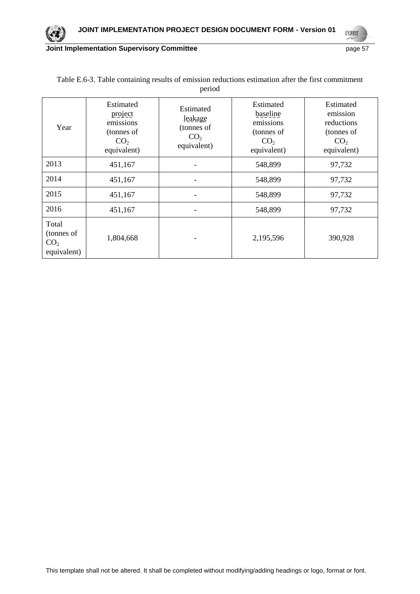

**UNFCCC** 

| Year                                                  | Estimated<br>project<br>emissions<br>(tonnes of<br>CO <sub>2</sub><br>equivalent) | Estimated<br>leakage<br>(tonnes of<br>CO <sub>2</sub><br>equivalent) | Estimated<br>baseline<br>emissions<br>(tonnes of<br>CO <sub>2</sub><br>equivalent) | Estimated<br>emission<br>reductions<br>(tonnes of<br>CO <sub>2</sub><br>equivalent) |
|-------------------------------------------------------|-----------------------------------------------------------------------------------|----------------------------------------------------------------------|------------------------------------------------------------------------------------|-------------------------------------------------------------------------------------|
| 2013                                                  | 451,167                                                                           |                                                                      | 548,899                                                                            | 97,732                                                                              |
| 2014                                                  | 451,167                                                                           |                                                                      | 548,899                                                                            | 97,732                                                                              |
| 2015                                                  | 451,167                                                                           |                                                                      | 548,899                                                                            | 97,732                                                                              |
| 2016                                                  | 451,167                                                                           | -                                                                    | 548,899                                                                            | 97,732                                                                              |
| Total<br>(tonnes of<br>CO <sub>2</sub><br>equivalent) | 1,804,668                                                                         |                                                                      | 2,195,596                                                                          | 390,928                                                                             |

# Table E.6-3. Table containing results of emission reductions estimation after the first commitment period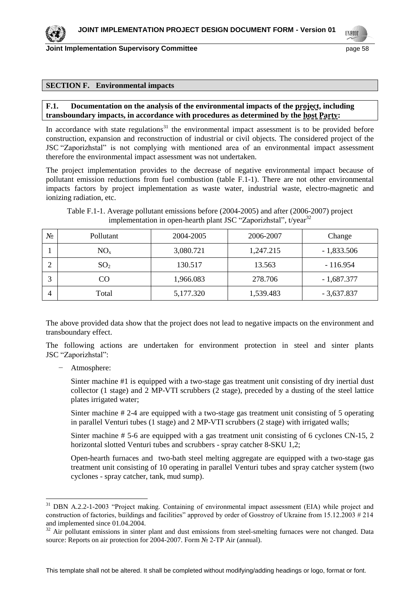**Joint Implementation Supervisory Committee According to the Control of the Control of the Control of the Control of the Page 58** 

**UNFOCO** 

#### **SECTION F. Environmental impacts**

#### F.1. Documentation on the analysis of the environmental impacts of the project, including **transboundary impacts, in accordance with procedures as determined by the host Party:**

In accordance with state regulations $31$  the environmental impact assessment is to be provided before construction, expansion and reconstruction of industrial or civil objects. The considered project of the JSC "Zaporizhstal" is not complying with mentioned area of an environmental impact assessment therefore the environmental impact assessment was not undertaken.

The project implementation provides to the decrease of negative environmental impact because of pollutant emission reductions from fuel combustion (table F.1-1). There are not other environmental impacts factors by project implementation as waste water, industrial waste, electro-magnetic and ionizing radiation, etc.

Table F.1-1. Average pollutant emissions before (2004-2005) and after (2006-2007) project implementation in open-hearth plant JSC "Zaporizhstal", t/year<sup>32</sup>

| N₫ | Pollutant       | 2004-2005 | 2006-2007 | Change       |
|----|-----------------|-----------|-----------|--------------|
|    | $NO_{x}$        | 3,080.721 | 1,247.215 | $-1,833.506$ |
|    | SO <sub>2</sub> | 130.517   | 13.563    | $-116.954$   |
| 2  | CO.             | 1,966.083 | 278.706   | $-1,687.377$ |
| 4  | Total           | 5,177.320 | 1,539.483 | $-3,637.837$ |

The above provided data show that the project does not lead to negative impacts on the environment and transboundary effect.

The following actions are undertaken for environment protection in steel and sinter plants JSC "Zaporizhstal":

− Atmosphere:

 $\overline{a}$ 

Sinter machine #1 is equipped with a two-stage gas treatment unit consisting of dry inertial dust collector (1 stage) and 2 MP-VTI scrubbers (2 stage), preceded by a dusting of the steel lattice plates irrigated water;

Sinter machine # 2-4 are equipped with a two-stage gas treatment unit consisting of 5 operating in parallel Venturi tubes (1 stage) and 2 MP-VTI scrubbers (2 stage) with irrigated walls;

Sinter machine # 5-6 are equipped with a gas treatment unit consisting of 6 cyclones CN-15, 2 horizontal slotted Venturi tubes and scrubbers - spray catcher 8-SKU 1,2;

Open-hearth furnaces and two-bath steel melting aggregate are equipped with a two-stage gas treatment unit consisting of 10 operating in parallel Venturi tubes and spray catcher system (two cyclones - spray catcher, tank, mud sump).

<sup>&</sup>lt;sup>31</sup> DBN A.2.2-1-2003 "Project making. Containing of environmental impact assessment (EIA) while project and construction of factories, buildings and facilities" approved by order of Gosstroy of Ukraine from 15.12.2003 # 214 and implemented since 01.04.2004.

 $32$  Air pollutant emissions in sinter plant and dust emissions from steel-smelting furnaces were not changed. Data source: Reports on air protection for 2004-2007. Form № 2-TP Air (annual).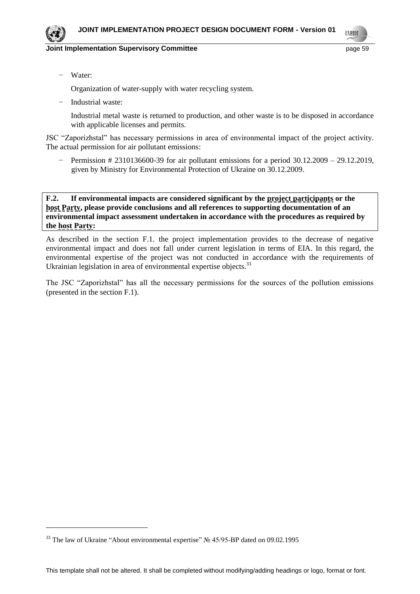

#### **Joint Implementation Supervisory Committee Access 20 and 20 and 20 and 20 and 20 and 20 and 20 and 20 and 20 and 20 and 20 and 20 and 20 and 20 and 20 and 20 and 20 and 20 and 20 and 20 and 20 and 20 and 20 and 20 and 20**



− Water:

l

Organization of water-supply with water recycling system.

− Industrial waste:

Industrial metal waste is returned to production, and other waste is to be disposed in accordance with applicable licenses and permits.

JSC "Zaporizhstal" has necessary permissions in area of environmental impact of the project activity. The actual permission for air pollutant emissions:

− Permission # 2310136600-39 for air pollutant emissions for a period 30.12.2009 – 29.12.2019, given by Ministry for Environmental Protection of Ukraine on 30.12.2009.

**F.2. If environmental impacts are considered significant by the project participants or the host Party, please provide conclusions and all references to supporting documentation of an environmental impact assessment undertaken in accordance with the procedures as required by the host Party:**

As described in the section F.1. the project implementation provides to the decrease of negative environmental impact and does not fall under current legislation in terms of EIA. In this regard, the environmental expertise of the project was not conducted in accordance with the requirements of Ukrainian legislation in area of environmental expertise objects.<sup>33</sup>

The JSC "Zaporizhstal" has all the necessary permissions for the sources of the pollution emissions (presented in the section F.1).

<sup>&</sup>lt;sup>33</sup> The law of Ukraine "About environmental expertise" № 45/95-BP dated on 09.02.1995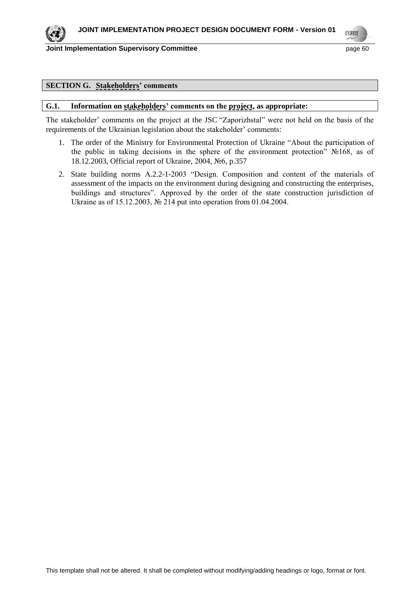

**Joint Implementation Supervisory Committee Access 2008 2012 12:30 Page 60** 



#### **SECTION G. Stakeholders' comments**

#### **G.1. Information on stakeholders' comments on the project, as appropriate:**

The stakeholder' comments on the project at the JSC "Zaporizhstal" were not held on the basis of the requirements of the Ukrainian legislation about the stakeholder' comments:

- 1. The order of the Ministry for Environmental Protection of Ukraine "About the participation of the public in taking decisions in the sphere of the environment protection" №168, as of 18.12.2003, Official report of Ukraine, 2004, №6, p.357
- 2. State building norms А.2.2-1-2003 "Design. Composition and content of the materials of assessment of the impacts on the environment during designing and constructing the enterprises, buildings and structures". Approved by the order of the state construction jurisdiction of Ukraine as of 15.12.2003, № 214 put into operation from 01.04.2004.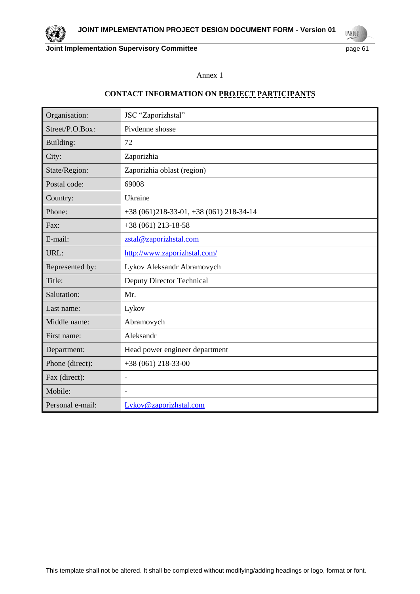# Annex 1

# **CONTACT INFORMATION ON PROJECT PARTICIPANTS**

| Organisation:    | JSC "Zaporizhstal"                     |
|------------------|----------------------------------------|
| Street/P.O.Box:  | Pivdenne shosse                        |
| Building:        | 72                                     |
| City:            | Zaporizhia                             |
| State/Region:    | Zaporizhia oblast (region)             |
| Postal code:     | 69008                                  |
| Country:         | Ukraine                                |
| Phone:           | $+38(061)218-33-01, +38(061)218-34-14$ |
| Fax:             | $+38(061)$ 213-18-58                   |
| E-mail:          | zstal@zaporizhstal.com                 |
| URL:             | http://www.zaporizhstal.com/           |
| Represented by:  | Lykov Aleksandr Abramovych             |
| Title:           | Deputy Director Technical              |
| Salutation:      | Mr.                                    |
| Last name:       | Lykov                                  |
| Middle name:     | Abramovych                             |
| First name:      | Aleksandr                              |
| Department:      | Head power engineer department         |
| Phone (direct):  | $+38(061)$ 218-33-00                   |
| Fax (direct):    | $\overline{\phantom{a}}$               |
| Mobile:          | $\blacksquare$                         |
| Personal e-mail: | Lykov@zaporizhstal.com                 |



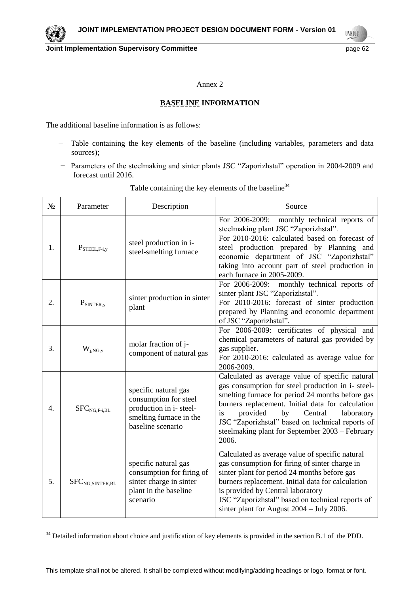

Annex 2

# **BASELINE INFORMATION**

The additional baseline information is as follows:

 $\overline{a}$ 

- − Table containing the key elements of the baseline (including variables, parameters and data sources);
- − Parameters of the steelmaking and sinter plants JSC "Zaporizhstal" operation in 2004-2009 and forecast until 2016.

| N <sub>2</sub> | Parameter                     | Description                                                                                                             | Source                                                                                                                                                                                                                                                                                                                                                                         |
|----------------|-------------------------------|-------------------------------------------------------------------------------------------------------------------------|--------------------------------------------------------------------------------------------------------------------------------------------------------------------------------------------------------------------------------------------------------------------------------------------------------------------------------------------------------------------------------|
| 1.             | $P_{\text{STEEL},F-i,y}$      | steel production in i-<br>steel-smelting furnace                                                                        | For 2006-2009:<br>monthly technical reports of<br>steelmaking plant JSC "Zaporizhstal".<br>For 2010-2016: calculated based on forecast of<br>steel production prepared by Planning and<br>economic department of JSC "Zaporizhstal"<br>taking into account part of steel production in<br>each furnace in 2005-2009.                                                           |
| 2.             | $P_{SINTER,y}$                | sinter production in sinter<br>plant                                                                                    | For 2006-2009: monthly technical reports of<br>sinter plant JSC "Zaporizhstal".<br>For 2010-2016: forecast of sinter production<br>prepared by Planning and economic department<br>of JSC "Zaporizhstal".                                                                                                                                                                      |
| 3.             | $W_{j,NG,y}$                  | molar fraction of j-<br>component of natural gas                                                                        | For 2006-2009: certificates of physical and<br>chemical parameters of natural gas provided by<br>gas supplier.<br>For 2010-2016: calculated as average value for<br>2006-2009.                                                                                                                                                                                                 |
| 4.             | $SFCNG,F-i, BL$               | specific natural gas<br>consumption for steel<br>production in i-steel-<br>smelting furnace in the<br>baseline scenario | Calculated as average value of specific natural<br>gas consumption for steel production in i- steel-<br>smelting furnace for period 24 months before gas<br>burners replacement. Initial data for calculation<br>provided<br>is<br>by<br>Central<br>laboratory<br>JSC "Zaporizhstal" based on technical reports of<br>steelmaking plant for September 2003 – February<br>2006. |
| 5.             | SFC <sub>NG, SINTER, BL</sub> | specific natural gas<br>consumption for firing of<br>sinter charge in sinter<br>plant in the baseline<br>scenario       | Calculated as average value of specific natural<br>gas consumption for firing of sinter charge in<br>sinter plant for period 24 months before gas<br>burners replacement. Initial data for calculation<br>is provided by Central laboratory<br>JSC "Zaporizhstal" based on technical reports of<br>sinter plant for August $2004 - \text{July } 2006$ .                        |

# Table containing the key elements of the baseline<sup>34</sup>

 $34$  Detailed information about choice and justification of key elements is provided in the section B.1 of the PDD.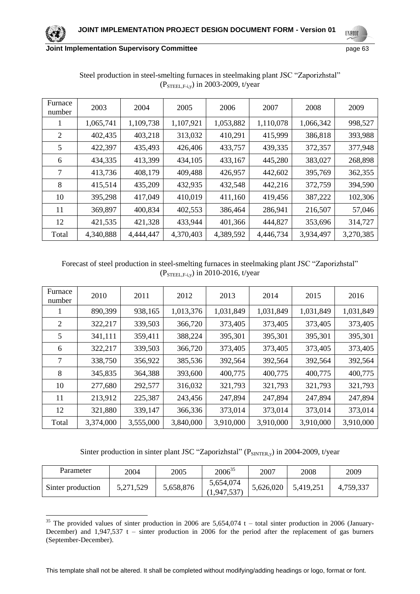**UNFCCC** 

| Furnace<br>number | 2003      | 2004      | 2005      | 2006      | 2007      | 2008      | 2009      |
|-------------------|-----------|-----------|-----------|-----------|-----------|-----------|-----------|
| $\bf{I}$          | 1,065,741 | 1,109,738 | 1,107,921 | 1,053,882 | 1,110,078 | 1,066,342 | 998,527   |
| 2                 | 402,435   | 403,218   | 313,032   | 410,291   | 415,999   | 386,818   | 393,988   |
| 5                 | 422,397   | 435,493   | 426,406   | 433,757   | 439,335   | 372,357   | 377,948   |
| 6                 | 434,335   | 413,399   | 434,105   | 433,167   | 445,280   | 383,027   | 268,898   |
| 7                 | 413,736   | 408,179   | 409,488   | 426,957   | 442,602   | 395,769   | 362,355   |
| 8                 | 415,514   | 435,209   | 432,935   | 432,548   | 442,216   | 372,759   | 394,590   |
| 10                | 395,298   | 417,049   | 410,019   | 411,160   | 419,456   | 387,222   | 102,306   |
| 11                | 369,897   | 400,834   | 402,553   | 386,464   | 286,941   | 216,507   | 57,046    |
| 12                | 421,535   | 421,328   | 433,944   | 401,366   | 444,827   | 353,696   | 314,727   |
| Total             | 4,340,888 | 4,444,447 | 4,370,403 | 4,389,592 | 4,446,734 | 3,934,497 | 3,270,385 |

Steel production in steel-smelting furnaces in steelmaking plant JSC "Zaporizhstal" (PSTEEL,F-i,y) in 2003-2009, t/year

# Forecast of steel production in steel-smelting furnaces in steelmaking plant JSC "Zaporizhstal" ( $P<sub>STEEL,F-i,y</sub>$ ) in 2010-2016, t/year

| Furnace<br>number | 2010      | 2011      | 2012      | 2013      | 2014      | 2015      | 2016      |
|-------------------|-----------|-----------|-----------|-----------|-----------|-----------|-----------|
|                   | 890,399   | 938,165   | 1,013,376 | 1,031,849 | 1,031,849 | 1,031,849 | 1,031,849 |
| 2                 | 322,217   | 339,503   | 366,720   | 373,405   | 373,405   | 373,405   | 373,405   |
| 5                 | 341,111   | 359,411   | 388,224   | 395,301   | 395,301   | 395,301   | 395,301   |
| 6                 | 322,217   | 339,503   | 366,720   | 373,405   | 373,405   | 373,405   | 373,405   |
| 7                 | 338,750   | 356,922   | 385,536   | 392,564   | 392,564   | 392,564   | 392,564   |
| 8                 | 345,835   | 364,388   | 393,600   | 400,775   | 400,775   | 400,775   | 400,775   |
| 10                | 277,680   | 292,577   | 316,032   | 321,793   | 321,793   | 321,793   | 321,793   |
| 11                | 213,912   | 225,387   | 243,456   | 247,894   | 247,894   | 247,894   | 247,894   |
| 12                | 321,880   | 339,147   | 366,336   | 373,014   | 373,014   | 373,014   | 373,014   |
| Total             | 3,374,000 | 3,555,000 | 3,840,000 | 3,910,000 | 3,910,000 | 3,910,000 | 3,910,000 |

Sinter production in sinter plant JSC "Zaporizhstal" ( $P_{SINTER,V}$ ) in 2004-2009, t/year

| Parameter         | 2004      | 2005      | $2006^{35}$              | 2007      | 2008      | 2009      |
|-------------------|-----------|-----------|--------------------------|-----------|-----------|-----------|
| Sinter production | 5,271,529 | 5,658,876 | 5,654,074<br>(1,947,537) | 5,626,020 | 5,419,251 | 4,759,337 |

 $\overline{a}$ <sup>35</sup> The provided values of sinter production in 2006 are 5,654,074 t – total sinter production in 2006 (January-December) and  $1,947,537$  t – sinter production in 2006 for the period after the replacement of gas burners (September-December).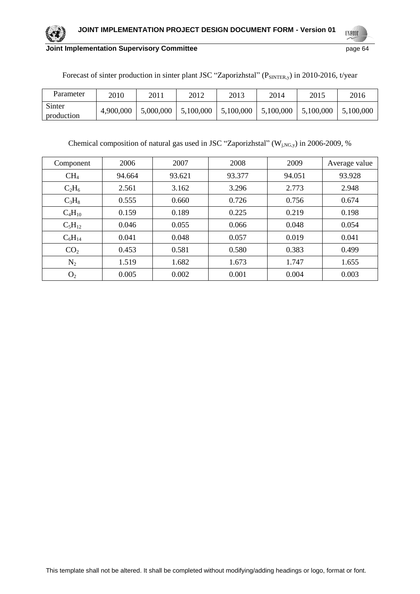

**UNFCCC** 

| Parameter            | 2010      | 2011      | 2012      | 2013      | 2014      | 2015      | 2016      |
|----------------------|-----------|-----------|-----------|-----------|-----------|-----------|-----------|
| Sinter<br>production | 4,900,000 | 5,000,000 | 5,100,000 | 5,100,000 | 5,100,000 | 5,100,000 | 5,100,000 |

Forecast of sinter production in sinter plant JSC "Zaporizhstal" (PSINTER,y) in 2010-2016, t/year

Chemical composition of natural gas used in JSC "Zaporizhstal" ( $W<sub>j,NG,y</sub>$ ) in 2006-2009, %

| Component       | 2006   | 2007   | 2008   | 2009   | Average value |
|-----------------|--------|--------|--------|--------|---------------|
| CH <sub>4</sub> | 94.664 | 93.621 | 93.377 | 94.051 | 93.928        |
| $C_2H_6$        | 2.561  | 3.162  | 3.296  | 2.773  | 2.948         |
| $C_3H_8$        | 0.555  | 0.660  | 0.726  | 0.756  | 0.674         |
| $C_4H_{10}$     | 0.159  | 0.189  | 0.225  | 0.219  | 0.198         |
| $C_5H_{12}$     | 0.046  | 0.055  | 0.066  | 0.048  | 0.054         |
| $C_6H_{14}$     | 0.041  | 0.048  | 0.057  | 0.019  | 0.041         |
| CO <sub>2</sub> | 0.453  | 0.581  | 0.580  | 0.383  | 0.499         |
| $N_2$           | 1.519  | 1.682  | 1.673  | 1.747  | 1.655         |
| O <sub>2</sub>  | 0.005  | 0.002  | 0.001  | 0.004  | 0.003         |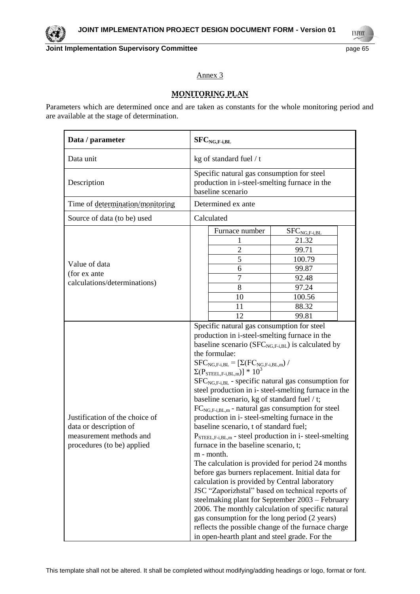

**UNFCC** 

## Annex 3

# **MONITORING PLAN**

Parameters which are determined once and are taken as constants for the whole monitoring period and are available at the stage of determination.

| Data / parameter                                                                                                  | $SFC_{NG,F-i,BL}$                                                                                                                                                                                                                                                                                                                                                                                                                                                                                                                                                                                                                                                                                                                                                                                                                                                                                                                                                                                                                                                                                                                                                                                                                          |  |  |  |  |
|-------------------------------------------------------------------------------------------------------------------|--------------------------------------------------------------------------------------------------------------------------------------------------------------------------------------------------------------------------------------------------------------------------------------------------------------------------------------------------------------------------------------------------------------------------------------------------------------------------------------------------------------------------------------------------------------------------------------------------------------------------------------------------------------------------------------------------------------------------------------------------------------------------------------------------------------------------------------------------------------------------------------------------------------------------------------------------------------------------------------------------------------------------------------------------------------------------------------------------------------------------------------------------------------------------------------------------------------------------------------------|--|--|--|--|
| Data unit                                                                                                         | kg of standard fuel / t                                                                                                                                                                                                                                                                                                                                                                                                                                                                                                                                                                                                                                                                                                                                                                                                                                                                                                                                                                                                                                                                                                                                                                                                                    |  |  |  |  |
| Description                                                                                                       | Specific natural gas consumption for steel<br>production in i-steel-smelting furnace in the<br>baseline scenario                                                                                                                                                                                                                                                                                                                                                                                                                                                                                                                                                                                                                                                                                                                                                                                                                                                                                                                                                                                                                                                                                                                           |  |  |  |  |
| Time of determination/monitoring                                                                                  | Determined ex ante                                                                                                                                                                                                                                                                                                                                                                                                                                                                                                                                                                                                                                                                                                                                                                                                                                                                                                                                                                                                                                                                                                                                                                                                                         |  |  |  |  |
| Source of data (to be) used                                                                                       | Calculated                                                                                                                                                                                                                                                                                                                                                                                                                                                                                                                                                                                                                                                                                                                                                                                                                                                                                                                                                                                                                                                                                                                                                                                                                                 |  |  |  |  |
| Value of data<br>(for ex ante<br>calculations/determinations)                                                     | Furnace number<br>$SFC_{NG,F-i,BL}$<br>21.32<br>$\overline{2}$<br>99.71<br>5<br>100.79<br>6<br>99.87<br>7<br>92.48<br>8<br>97.24<br>10<br>100.56<br>88.32<br>11<br>12<br>99.81                                                                                                                                                                                                                                                                                                                                                                                                                                                                                                                                                                                                                                                                                                                                                                                                                                                                                                                                                                                                                                                             |  |  |  |  |
| Justification of the choice of<br>data or description of<br>measurement methods and<br>procedures (to be) applied | Specific natural gas consumption for steel<br>production in i-steel-smelting furnace in the<br>baseline scenario ( $SFC_{NG,F-i,BL}$ ) is calculated by<br>the formulae:<br>$\begin{array}{l} SFC_{NG,F-i,BL} = [\Sigma(FC_{NG,F-i,BL,m}) \ / \\ \Sigma(P_{STEEL,F-i,BL,m})] \ * \ 10^3 \end{array}$<br>$SFC_{NG,F-i, BL}$ - specific natural gas consumption for<br>steel production in i- steel-smelting furnace in the<br>baseline scenario, kg of standard fuel / t;<br>$FC_{NG,F-i,BL,m}$ - natural gas consumption for steel<br>production in i- steel-smelting furnace in the<br>baseline scenario, t of standard fuel;<br>$P_{\text{STEEL}, F-i, BL,m}$ - steel production in i- steel-smelting<br>furnace in the baseline scenario, t;<br>m - month.<br>The calculation is provided for period 24 months<br>before gas burners replacement. Initial data for<br>calculation is provided by Central laboratory<br>JSC "Zaporizhstal" based on technical reports of<br>steelmaking plant for September 2003 – February<br>2006. The monthly calculation of specific natural<br>gas consumption for the long period (2 years)<br>reflects the possible change of the furnace charge<br>in open-hearth plant and steel grade. For the |  |  |  |  |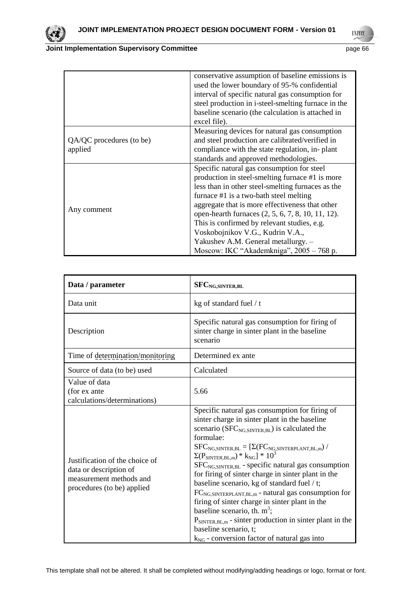

|                          | conservative assumption of baseline emissions is    |
|--------------------------|-----------------------------------------------------|
|                          | used the lower boundary of 95-% confidential        |
|                          | interval of specific natural gas consumption for    |
|                          | steel production in i-steel-smelting furnace in the |
|                          | baseline scenario (the calculation is attached in   |
|                          | excel file).                                        |
|                          | Measuring devices for natural gas consumption       |
| QA/QC procedures (to be) | and steel production are calibrated/verified in     |
| applied                  | compliance with the state regulation, in-plant      |
|                          | standards and approved methodologies.               |
|                          | Specific natural gas consumption for steel          |
|                          | production in steel-smelting furnace #1 is more     |
|                          | less than in other steel-smelting furnaces as the   |
|                          | furnace #1 is a two-bath steel melting              |
|                          | aggregate that is more effectiveness that other     |
| Any comment              | open-hearth furnaces (2, 5, 6, 7, 8, 10, 11, 12).   |
|                          | This is confirmed by relevant studies, e.g.         |
|                          | Voskobojnikov V.G., Kudrin V.A.,                    |
|                          | Yakushev A.M. General metallurgy. -                 |
|                          | Moscow: IKC "Akademkniga", 2005 - 768 p.            |

| Data / parameter                                                                                                  | SFC <sub>NG,SINTER,BL</sub>                                                                                                                                                                                                                                                                                                                                                                                                                                                                                                                                                                                                                                                                                                                                                                                       |
|-------------------------------------------------------------------------------------------------------------------|-------------------------------------------------------------------------------------------------------------------------------------------------------------------------------------------------------------------------------------------------------------------------------------------------------------------------------------------------------------------------------------------------------------------------------------------------------------------------------------------------------------------------------------------------------------------------------------------------------------------------------------------------------------------------------------------------------------------------------------------------------------------------------------------------------------------|
| Data unit                                                                                                         | kg of standard fuel / t                                                                                                                                                                                                                                                                                                                                                                                                                                                                                                                                                                                                                                                                                                                                                                                           |
| Description                                                                                                       | Specific natural gas consumption for firing of<br>sinter charge in sinter plant in the baseline<br>scenario                                                                                                                                                                                                                                                                                                                                                                                                                                                                                                                                                                                                                                                                                                       |
| Time of determination/monitoring                                                                                  | Determined ex ante                                                                                                                                                                                                                                                                                                                                                                                                                                                                                                                                                                                                                                                                                                                                                                                                |
| Source of data (to be) used                                                                                       | Calculated                                                                                                                                                                                                                                                                                                                                                                                                                                                                                                                                                                                                                                                                                                                                                                                                        |
| Value of data<br>(for ex ante<br>calculations/determinations)                                                     | 5.66                                                                                                                                                                                                                                                                                                                                                                                                                                                                                                                                                                                                                                                                                                                                                                                                              |
| Justification of the choice of<br>data or description of<br>measurement methods and<br>procedures (to be) applied | Specific natural gas consumption for firing of<br>sinter charge in sinter plant in the baseline<br>scenario ( $SFC_{NG, SINTER, BL}$ ) is calculated the<br>formulae:<br>$\begin{array}{l} SFC_{\rm NG, SINTER, BL} = [\Sigma(FC_{\rm NG, SINTERPLANT, BL, m}) \; / \\ \Sigma(P_{\rm SINTER, BL, m}) * k_{\rm NG}] * 10^3 \end{array}$<br>$SFCNG, SINTER, BL$ - specific natural gas consumption<br>for firing of sinter charge in sinter plant in the<br>baseline scenario, kg of standard fuel / t;<br>FC <sub>NG,SINTERPLANT,BL,m</sub> - natural gas consumption for<br>firing of sinter charge in sinter plant in the<br>baseline scenario, th. $m^3$ ;<br>$P_{\text{SINTER, BL,m}}$ - sinter production in sinter plant in the<br>baseline scenario, t;<br>$k_{NG}$ - conversion factor of natural gas into |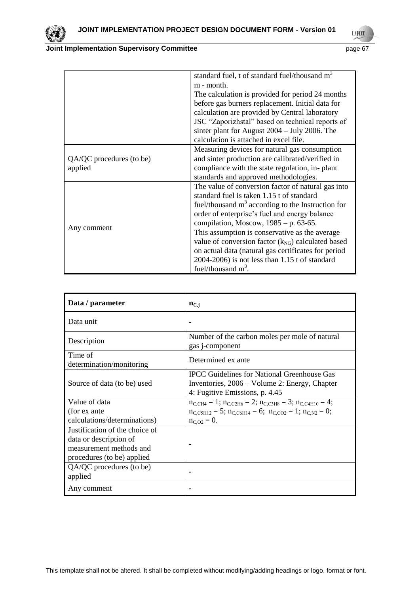

**UNFCCC** 

|                          | standard fuel, t of standard fuel/thousand m <sup>3</sup> |
|--------------------------|-----------------------------------------------------------|
|                          | m - month.                                                |
|                          | The calculation is provided for period 24 months          |
|                          | before gas burners replacement. Initial data for          |
|                          | calculation are provided by Central laboratory            |
|                          | JSC "Zaporizhstal" based on technical reports of          |
|                          | sinter plant for August $2004 - \text{July } 2006$ . The  |
|                          | calculation is attached in excel file.                    |
|                          | Measuring devices for natural gas consumption             |
| QA/QC procedures (to be) | and sinter production are calibrated/verified in          |
| applied                  | compliance with the state regulation, in-plant            |
|                          | standards and approved methodologies.                     |
|                          | The value of conversion factor of natural gas into        |
|                          | standard fuel is taken 1.15 t of standard                 |
|                          | fuel/thousand $m3$ according to the Instruction for       |
|                          | order of enterprise's fuel and energy balance             |
|                          | compilation, Moscow, $1985 - p. 63-65$ .                  |
| Any comment              | This assumption is conservative as the average            |
|                          | value of conversion factor $(k_{NG})$ calculated based    |
|                          | on actual data (natural gas certificates for period       |
|                          | $2004-2006$ ) is not less than 1.15 t of standard         |
|                          | fuel/thousand $m^3$ .                                     |

| Data / parameter                    | $n_{C,i}$                                                                                                                             |
|-------------------------------------|---------------------------------------------------------------------------------------------------------------------------------------|
| Data unit                           |                                                                                                                                       |
| Description                         | Number of the carbon moles per mole of natural<br>gas j-component                                                                     |
| Time of<br>determination/monitoring | Determined ex ante                                                                                                                    |
| Source of data (to be) used         | <b>IPCC</b> Guidelines for National Greenhouse Gas<br>Inventories, 2006 – Volume 2: Energy, Chapter<br>4: Fugitive Emissions, p. 4.45 |
| Value of data                       | $n_{C,CH4} = 1$ ; $n_{C,C2H6} = 2$ ; $n_{C,C3H8} = 3$ ; $n_{C,C4H10} = 4$ ;                                                           |
| (for ex ante                        | $n_{C, \text{CSH12}} = 5$ ; $n_{C, \text{CGH14}} = 6$ ; $n_{C, \text{CO2}} = 1$ ; $n_{C,N2} = 0$ ;                                    |
| calculations/determinations)        | $n_{C, O2} = 0.$                                                                                                                      |
| Justification of the choice of      |                                                                                                                                       |
| data or description of              |                                                                                                                                       |
| measurement methods and             |                                                                                                                                       |
| procedures (to be) applied          |                                                                                                                                       |
| QA/QC procedures (to be)            |                                                                                                                                       |
| applied                             |                                                                                                                                       |
| Any comment                         |                                                                                                                                       |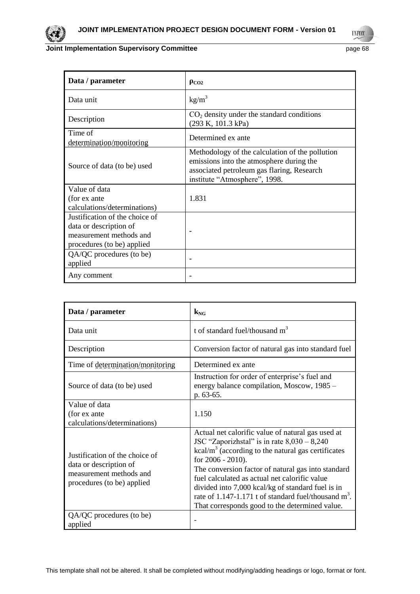

**UNFCCC** 

| Data / parameter                                                                                                  | $\rho_{CO2}$                                                                                                                                                               |
|-------------------------------------------------------------------------------------------------------------------|----------------------------------------------------------------------------------------------------------------------------------------------------------------------------|
| Data unit                                                                                                         | $kg/m^3$                                                                                                                                                                   |
| Description                                                                                                       | $CO2$ density under the standard conditions<br>(293 K, 101.3 kPa)                                                                                                          |
| Time of<br>determination/monitoring                                                                               | Determined ex ante                                                                                                                                                         |
| Source of data (to be) used                                                                                       | Methodology of the calculation of the pollution<br>emissions into the atmosphere during the<br>associated petroleum gas flaring, Research<br>institute "Atmosphere", 1998. |
| Value of data<br>(for ex ante<br>calculations/determinations)                                                     | 1.831                                                                                                                                                                      |
| Justification of the choice of<br>data or description of<br>measurement methods and<br>procedures (to be) applied |                                                                                                                                                                            |
| QA/QC procedures (to be)<br>applied                                                                               |                                                                                                                                                                            |
| Any comment                                                                                                       |                                                                                                                                                                            |

| Data / parameter                                                                                                  | $k_{\rm NG}$                                                                                                                                                                                                                                                                                                                                                                                                                                                      |
|-------------------------------------------------------------------------------------------------------------------|-------------------------------------------------------------------------------------------------------------------------------------------------------------------------------------------------------------------------------------------------------------------------------------------------------------------------------------------------------------------------------------------------------------------------------------------------------------------|
| Data unit                                                                                                         | t of standard fuel/thousand $m3$                                                                                                                                                                                                                                                                                                                                                                                                                                  |
| Description                                                                                                       | Conversion factor of natural gas into standard fuel                                                                                                                                                                                                                                                                                                                                                                                                               |
| Time of determination/monitoring                                                                                  | Determined ex ante                                                                                                                                                                                                                                                                                                                                                                                                                                                |
| Source of data (to be) used                                                                                       | Instruction for order of enterprise's fuel and<br>energy balance compilation, Moscow, 1985 -<br>p. 63-65.                                                                                                                                                                                                                                                                                                                                                         |
| Value of data<br>(for ex ante<br>calculations/determinations)                                                     | 1.150                                                                                                                                                                                                                                                                                                                                                                                                                                                             |
| Justification of the choice of<br>data or description of<br>measurement methods and<br>procedures (to be) applied | Actual net calorific value of natural gas used at<br>JSC "Zaporizhstal" is in rate $8,030 - 8,240$<br>$kcal/m3$ (according to the natural gas certificates<br>for 2006 - 2010).<br>The conversion factor of natural gas into standard<br>fuel calculated as actual net calorific value<br>divided into 7,000 kcal/kg of standard fuel is in<br>rate of 1.147-1.171 t of standard fuel/thousand m <sup>3</sup> .<br>That corresponds good to the determined value. |
| QA/QC procedures (to be)<br>applied                                                                               |                                                                                                                                                                                                                                                                                                                                                                                                                                                                   |